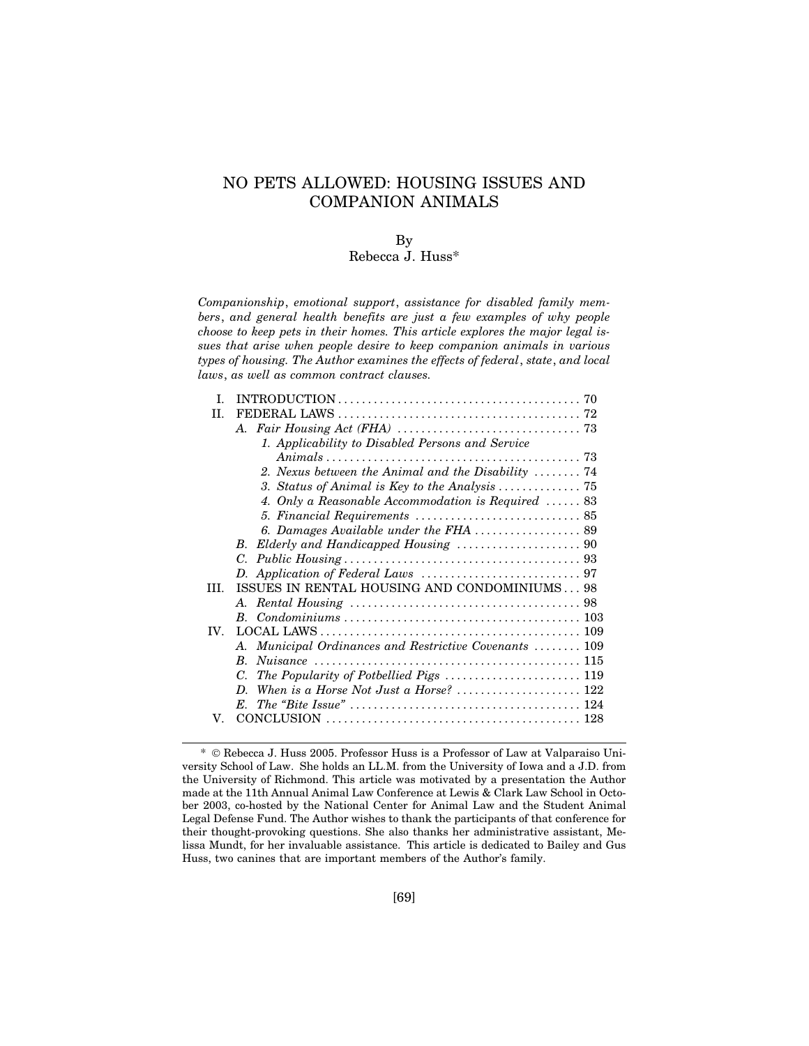# NO PETS ALLOWED: HOUSING ISSUES AND COMPANION ANIMALS

## By

## Rebecca J. Huss\*

*Companionship*, *emotional support*, *assistance for disabled family members*, *and general health benefits are just a few examples of why people choose to keep pets in their homes. This article explores the major legal issues that arise when people desire to keep companion animals in various types of housing. The Author examines the effects of federal*, *state*, *and local laws*, *as well as common contract clauses.*

| $\mathbf{L}$      |                                                                             |
|-------------------|-----------------------------------------------------------------------------|
| H.                |                                                                             |
|                   |                                                                             |
|                   | 1. Applicability to Disabled Persons and Service                            |
|                   |                                                                             |
|                   | 2. Nexus between the Animal and the Disability $\ldots \ldots$ 74           |
|                   | 3. Status of Animal is Key to the Analysis $\ldots \ldots \ldots \ldots$ 75 |
|                   | 4. Only a Reasonable Accommodation is Required $\ldots$ . 83                |
|                   |                                                                             |
|                   |                                                                             |
|                   | B.                                                                          |
|                   |                                                                             |
|                   |                                                                             |
| HL.               | ISSUES IN RENTAL HOUSING AND CONDOMINIUMS 98                                |
|                   |                                                                             |
|                   |                                                                             |
| $\mathbf{IV}_{-}$ |                                                                             |
|                   | A. Municipal Ordinances and Restrictive Covenants  109                      |
|                   | B.                                                                          |
|                   | $C_{\cdot}$                                                                 |
|                   |                                                                             |
|                   | $E_{\cdot}$                                                                 |
| V.                |                                                                             |
|                   |                                                                             |

<sup>\*</sup> Rebecca J. Huss 2005. Professor Huss is a Professor of Law at Valparaiso University School of Law. She holds an LL.M. from the University of Iowa and a J.D. from the University of Richmond. This article was motivated by a presentation the Author made at the 11th Annual Animal Law Conference at Lewis & Clark Law School in October 2003, co-hosted by the National Center for Animal Law and the Student Animal Legal Defense Fund. The Author wishes to thank the participants of that conference for their thought-provoking questions. She also thanks her administrative assistant, Melissa Mundt, for her invaluable assistance. This article is dedicated to Bailey and Gus Huss, two canines that are important members of the Author's family.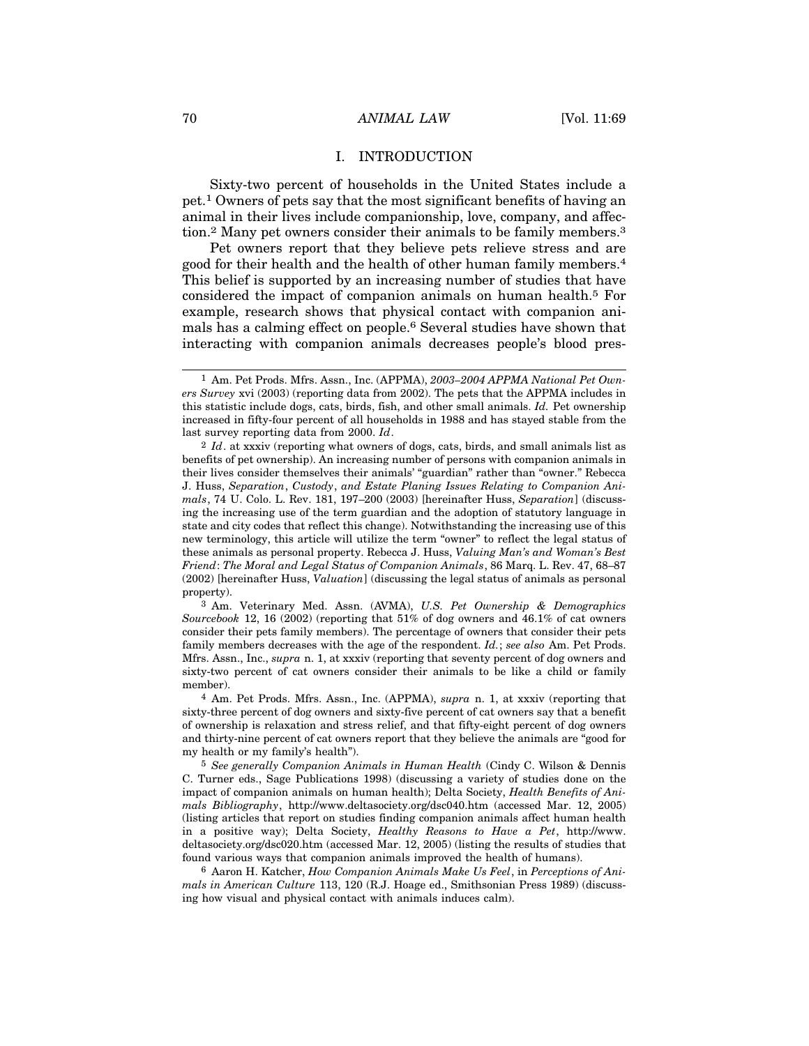#### I. INTRODUCTION

Sixty-two percent of households in the United States include a pet.1 Owners of pets say that the most significant benefits of having an animal in their lives include companionship, love, company, and affection.2 Many pet owners consider their animals to be family members.3

Pet owners report that they believe pets relieve stress and are good for their health and the health of other human family members.4 This belief is supported by an increasing number of studies that have considered the impact of companion animals on human health.5 For example, research shows that physical contact with companion animals has a calming effect on people.6 Several studies have shown that interacting with companion animals decreases people's blood pres-

3 Am. Veterinary Med. Assn. (AVMA), *U.S. Pet Ownership & Demographics Sourcebook* 12, 16 (2002) (reporting that 51% of dog owners and 46.1% of cat owners consider their pets family members). The percentage of owners that consider their pets family members decreases with the age of the respondent. *Id.*; *see also* Am. Pet Prods. Mfrs. Assn., Inc., *supra* n. 1, at xxxiv (reporting that seventy percent of dog owners and sixty-two percent of cat owners consider their animals to be like a child or family member).

4 Am. Pet Prods. Mfrs. Assn., Inc. (APPMA), *supra* n. 1, at xxxiv (reporting that sixty-three percent of dog owners and sixty-five percent of cat owners say that a benefit of ownership is relaxation and stress relief, and that fifty-eight percent of dog owners and thirty-nine percent of cat owners report that they believe the animals are "good for my health or my family's health").

5 *See generally Companion Animals in Human Health* (Cindy C. Wilson & Dennis C. Turner eds., Sage Publications 1998) (discussing a variety of studies done on the impact of companion animals on human health); Delta Society, *Health Benefits of Animals Bibliography*, http://www.deltasociety.org/dsc040.htm (accessed Mar. 12, 2005) (listing articles that report on studies finding companion animals affect human health in a positive way); Delta Society, *Healthy Reasons to Have a Pet*, http://www. deltasociety.org/dsc020.htm (accessed Mar. 12, 2005) (listing the results of studies that found various ways that companion animals improved the health of humans).

6 Aaron H. Katcher, *How Companion Animals Make Us Feel*, in *Perceptions of Animals in American Culture* 113, 120 (R.J. Hoage ed., Smithsonian Press 1989) (discussing how visual and physical contact with animals induces calm).

<sup>1</sup> Am. Pet Prods. Mfrs. Assn., Inc. (APPMA), *2003–2004 APPMA National Pet Owners Survey* xvi (2003) (reporting data from 2002). The pets that the APPMA includes in this statistic include dogs, cats, birds, fish, and other small animals. *Id.* Pet ownership increased in fifty-four percent of all households in 1988 and has stayed stable from the last survey reporting data from 2000. *Id*.

<sup>2</sup> *Id*. at xxxiv (reporting what owners of dogs, cats, birds, and small animals list as benefits of pet ownership). An increasing number of persons with companion animals in their lives consider themselves their animals' "guardian" rather than "owner." Rebecca J. Huss, *Separation*, *Custody*, *and Estate Planing Issues Relating to Companion Animals*, 74 U. Colo. L. Rev. 181, 197–200 (2003) [hereinafter Huss, *Separation*] (discussing the increasing use of the term guardian and the adoption of statutory language in state and city codes that reflect this change). Notwithstanding the increasing use of this new terminology, this article will utilize the term "owner" to reflect the legal status of these animals as personal property. Rebecca J. Huss, *Valuing Man's and Woman's Best Friend*: *The Moral and Legal Status of Companion Animals*, 86 Marq. L. Rev. 47, 68–87 (2002) [hereinafter Huss, *Valuation*] (discussing the legal status of animals as personal property).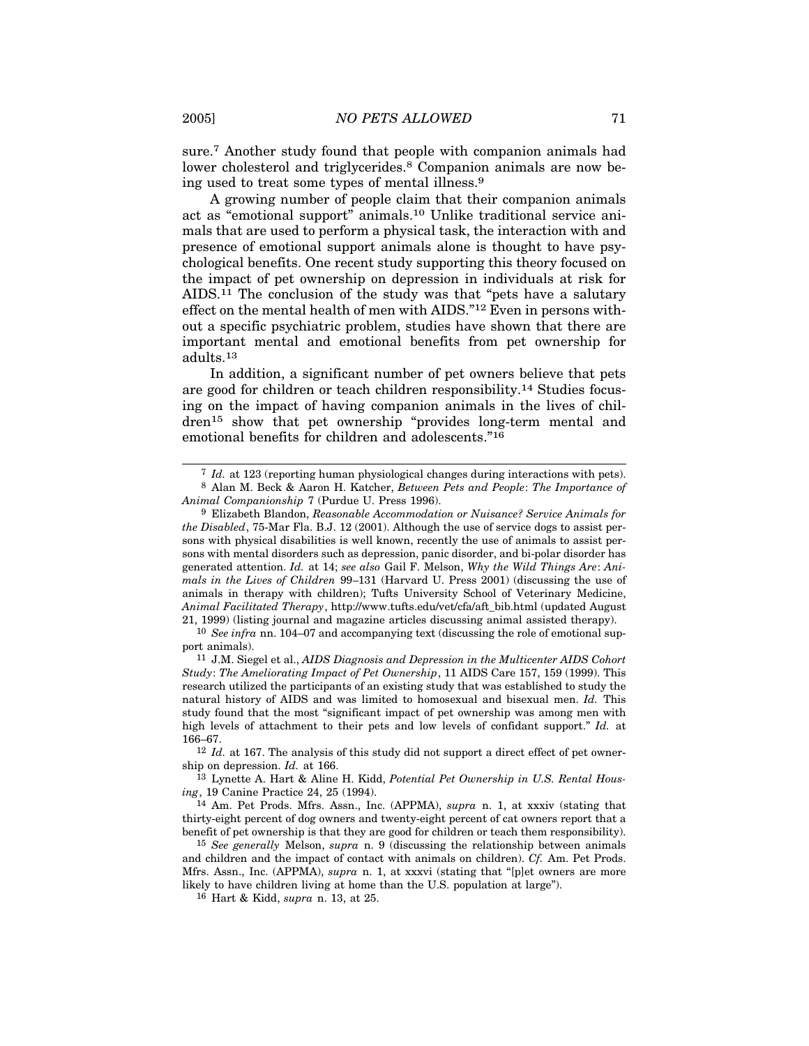sure.7 Another study found that people with companion animals had lower cholesterol and triglycerides.<sup>8</sup> Companion animals are now being used to treat some types of mental illness.9

A growing number of people claim that their companion animals act as "emotional support" animals.10 Unlike traditional service animals that are used to perform a physical task, the interaction with and presence of emotional support animals alone is thought to have psychological benefits. One recent study supporting this theory focused on the impact of pet ownership on depression in individuals at risk for AIDS.11 The conclusion of the study was that "pets have a salutary effect on the mental health of men with AIDS."12 Even in persons without a specific psychiatric problem, studies have shown that there are important mental and emotional benefits from pet ownership for adults.13

In addition, a significant number of pet owners believe that pets are good for children or teach children responsibility.14 Studies focusing on the impact of having companion animals in the lives of children15 show that pet ownership "provides long-term mental and emotional benefits for children and adolescents."16

13 Lynette A. Hart & Aline H. Kidd, *Potential Pet Ownership in U.S. Rental Housing*, 19 Canine Practice 24, 25 (1994).

<sup>7</sup> *Id.* at 123 (reporting human physiological changes during interactions with pets).

<sup>8</sup> Alan M. Beck & Aaron H. Katcher, *Between Pets and People*: *The Importance of Animal Companionship* 7 (Purdue U. Press 1996).

<sup>9</sup> Elizabeth Blandon, *Reasonable Accommodation or Nuisance? Service Animals for the Disabled*, 75-Mar Fla. B.J. 12 (2001). Although the use of service dogs to assist persons with physical disabilities is well known, recently the use of animals to assist persons with mental disorders such as depression, panic disorder, and bi-polar disorder has generated attention. *Id.* at 14; *see also* Gail F. Melson, *Why the Wild Things Are*: *Animals in the Lives of Children* 99–131 (Harvard U. Press 2001) (discussing the use of animals in therapy with children); Tufts University School of Veterinary Medicine, *Animal Facilitated Therapy*, http://www.tufts.edu/vet/cfa/aft\_bib.html (updated August 21, 1999) (listing journal and magazine articles discussing animal assisted therapy).

<sup>10</sup> *See infra* nn. 104–07 and accompanying text (discussing the role of emotional support animals).

<sup>11</sup> J.M. Siegel et al., *AIDS Diagnosis and Depression in the Multicenter AIDS Cohort Study*: *The Ameliorating Impact of Pet Ownership*, 11 AIDS Care 157, 159 (1999). This research utilized the participants of an existing study that was established to study the natural history of AIDS and was limited to homosexual and bisexual men. *Id.* This study found that the most "significant impact of pet ownership was among men with high levels of attachment to their pets and low levels of confidant support." *Id.* at 166–67.

<sup>12</sup> *Id.* at 167. The analysis of this study did not support a direct effect of pet ownership on depression. *Id.* at 166.

<sup>14</sup> Am. Pet Prods. Mfrs. Assn., Inc. (APPMA), *supra* n. 1, at xxxiv (stating that thirty-eight percent of dog owners and twenty-eight percent of cat owners report that a benefit of pet ownership is that they are good for children or teach them responsibility).

<sup>15</sup> *See generally* Melson, *supra* n. 9 (discussing the relationship between animals and children and the impact of contact with animals on children). *Cf.* Am. Pet Prods. Mfrs. Assn., Inc. (APPMA), *supra* n. 1, at xxxvi (stating that "[p]et owners are more likely to have children living at home than the U.S. population at large").

<sup>16</sup> Hart & Kidd, *supra* n. 13, at 25.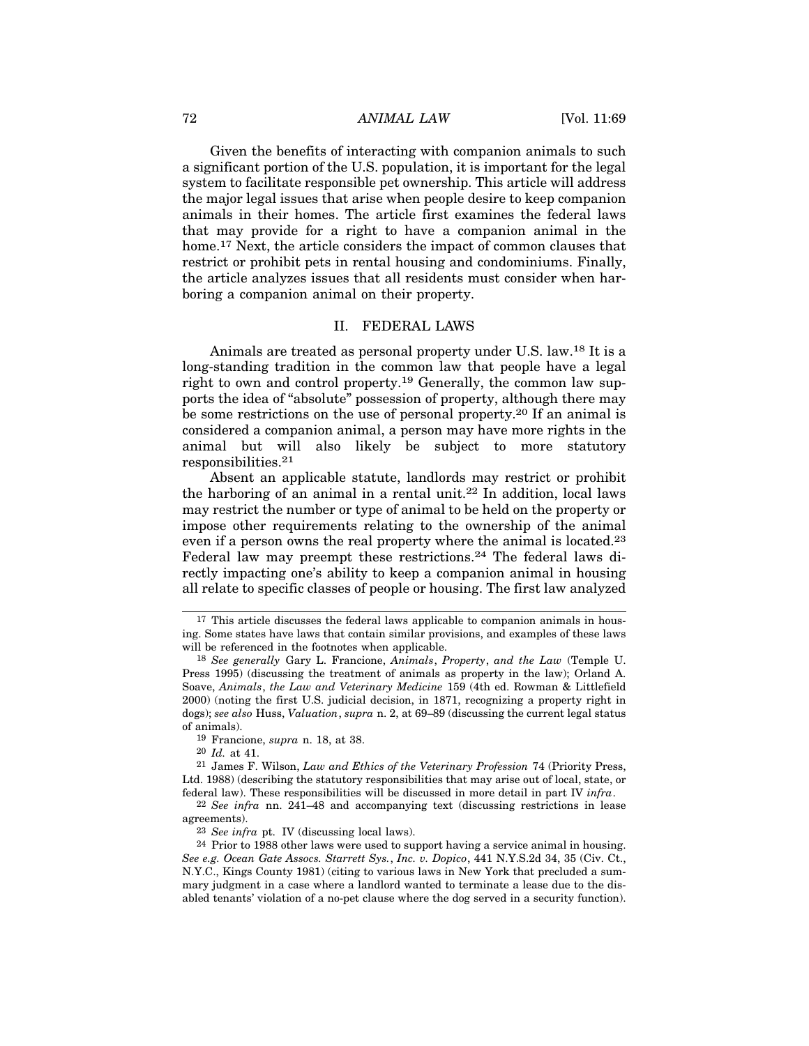## 72 *ANIMAL LAW* [Vol. 11:69

Given the benefits of interacting with companion animals to such a significant portion of the U.S. population, it is important for the legal system to facilitate responsible pet ownership. This article will address the major legal issues that arise when people desire to keep companion animals in their homes. The article first examines the federal laws that may provide for a right to have a companion animal in the home.<sup>17</sup> Next, the article considers the impact of common clauses that restrict or prohibit pets in rental housing and condominiums. Finally, the article analyzes issues that all residents must consider when harboring a companion animal on their property.

#### II. FEDERAL LAWS

Animals are treated as personal property under U.S. law.18 It is a long-standing tradition in the common law that people have a legal right to own and control property.19 Generally, the common law supports the idea of "absolute" possession of property, although there may be some restrictions on the use of personal property.20 If an animal is considered a companion animal, a person may have more rights in the animal but will also likely be subject to more statutory responsibilities.21

Absent an applicable statute, landlords may restrict or prohibit the harboring of an animal in a rental unit.22 In addition, local laws may restrict the number or type of animal to be held on the property or impose other requirements relating to the ownership of the animal even if a person owns the real property where the animal is located.<sup>23</sup> Federal law may preempt these restrictions.<sup>24</sup> The federal laws directly impacting one's ability to keep a companion animal in housing all relate to specific classes of people or housing. The first law analyzed

20 *Id.* at 41.

21 James F. Wilson, *Law and Ethics of the Veterinary Profession* 74 (Priority Press, Ltd. 1988) (describing the statutory responsibilities that may arise out of local, state, or federal law). These responsibilities will be discussed in more detail in part IV *infra*.

<sup>17</sup> This article discusses the federal laws applicable to companion animals in housing. Some states have laws that contain similar provisions, and examples of these laws will be referenced in the footnotes when applicable.

<sup>18</sup> *See generally* Gary L. Francione, *Animals*, *Property*, *and the Law* (Temple U. Press 1995) (discussing the treatment of animals as property in the law); Orland A. Soave, *Animals*, *the Law and Veterinary Medicine* 159 (4th ed. Rowman & Littlefield 2000) (noting the first U.S. judicial decision, in 1871, recognizing a property right in dogs); *see also* Huss, *Valuation*, *supra* n. 2, at 69–89 (discussing the current legal status of animals).

<sup>19</sup> Francione, *supra* n. 18, at 38.

<sup>22</sup> *See infra* nn. 241–48 and accompanying text (discussing restrictions in lease agreements).

<sup>23</sup> *See infra* pt. IV (discussing local laws).

 $24$  Prior to 1988 other laws were used to support having a service animal in housing. *See e.g. Ocean Gate Assocs. Starrett Sys.*, *Inc. v. Dopico*, 441 N.Y.S.2d 34, 35 (Civ. Ct., N.Y.C., Kings County 1981) (citing to various laws in New York that precluded a summary judgment in a case where a landlord wanted to terminate a lease due to the disabled tenants' violation of a no-pet clause where the dog served in a security function).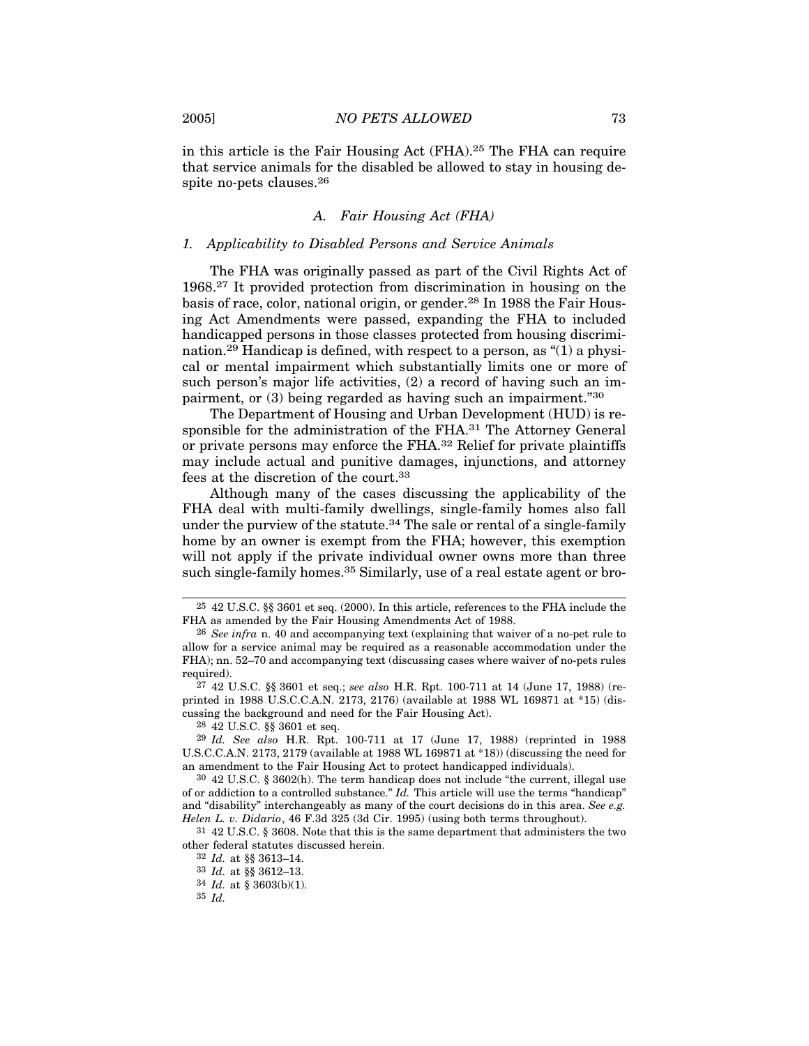in this article is the Fair Housing Act (FHA).25 The FHA can require that service animals for the disabled be allowed to stay in housing despite no-pets clauses.26

#### *A. Fair Housing Act (FHA)*

#### *1. Applicability to Disabled Persons and Service Animals*

The FHA was originally passed as part of the Civil Rights Act of 1968.27 It provided protection from discrimination in housing on the basis of race, color, national origin, or gender.28 In 1988 the Fair Housing Act Amendments were passed, expanding the FHA to included handicapped persons in those classes protected from housing discrimination.29 Handicap is defined, with respect to a person, as "(1) a physical or mental impairment which substantially limits one or more of such person's major life activities, (2) a record of having such an impairment, or (3) being regarded as having such an impairment."30

The Department of Housing and Urban Development (HUD) is responsible for the administration of the FHA.<sup>31</sup> The Attorney General or private persons may enforce the FHA.32 Relief for private plaintiffs may include actual and punitive damages, injunctions, and attorney fees at the discretion of the court.33

Although many of the cases discussing the applicability of the FHA deal with multi-family dwellings, single-family homes also fall under the purview of the statute.34 The sale or rental of a single-family home by an owner is exempt from the FHA; however, this exemption will not apply if the private individual owner owns more than three such single-family homes.<sup>35</sup> Similarly, use of a real estate agent or bro-

28 42 U.S.C. §§ 3601 et seq.

31 42 U.S.C. § 3608. Note that this is the same department that administers the two other federal statutes discussed herein.

32 *Id.* at §§ 3613–14.

33 *Id.* at §§ 3612–13.

34 *Id.* at § 3603(b)(1).

35 *Id.*

<sup>25</sup> 42 U.S.C. §§ 3601 et seq. (2000). In this article, references to the FHA include the FHA as amended by the Fair Housing Amendments Act of 1988.

<sup>26</sup> *See infra* n. 40 and accompanying text (explaining that waiver of a no-pet rule to allow for a service animal may be required as a reasonable accommodation under the FHA); nn. 52–70 and accompanying text (discussing cases where waiver of no-pets rules required).

<sup>27</sup> 42 U.S.C. §§ 3601 et seq.; *see also* H.R. Rpt. 100-711 at 14 (June 17, 1988) (reprinted in 1988 U.S.C.C.A.N. 2173, 2176) (available at 1988 WL 169871 at \*15) (discussing the background and need for the Fair Housing Act).

<sup>29</sup> *Id. See also* H.R. Rpt. 100-711 at 17 (June 17, 1988) (reprinted in 1988 U.S.C.C.A.N. 2173, 2179 (available at 1988 WL 169871 at \*18)) (discussing the need for an amendment to the Fair Housing Act to protect handicapped individuals).

<sup>30</sup> 42 U.S.C. § 3602(h). The term handicap does not include "the current, illegal use of or addiction to a controlled substance." *Id.* This article will use the terms "handicap" and "disability" interchangeably as many of the court decisions do in this area. *See e.g. Helen L. v. Didario*, 46 F.3d 325 (3d Cir. 1995) (using both terms throughout).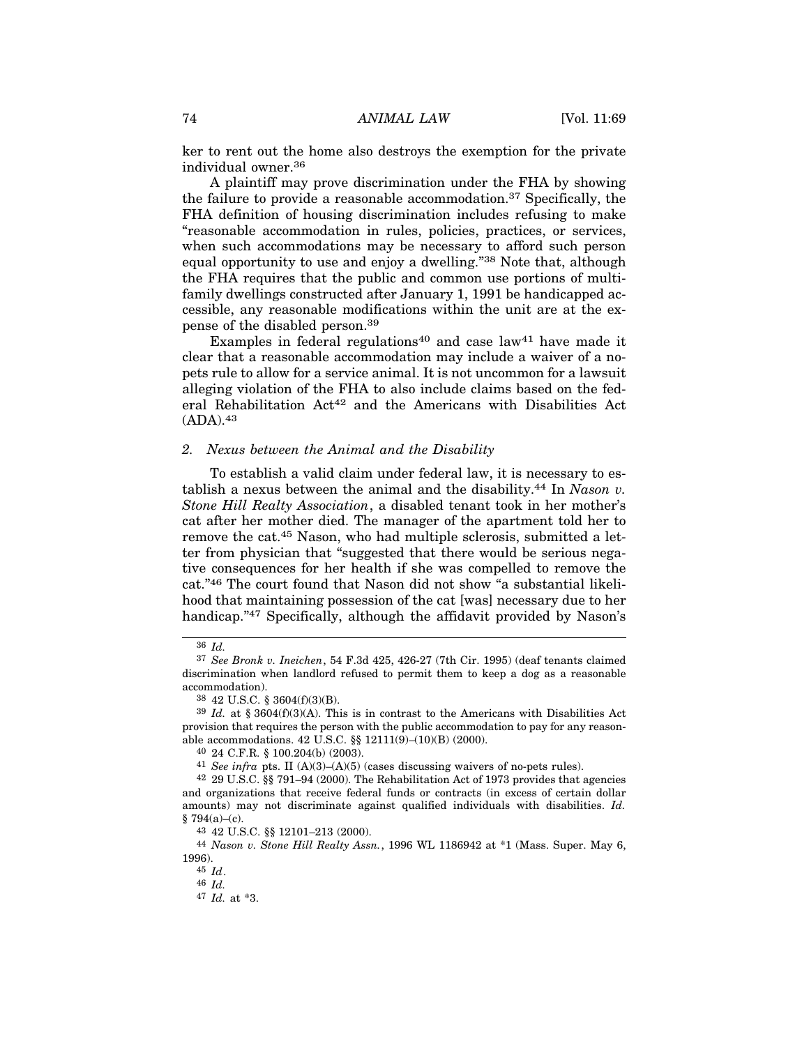ker to rent out the home also destroys the exemption for the private individual owner.36

A plaintiff may prove discrimination under the FHA by showing the failure to provide a reasonable accommodation.<sup>37</sup> Specifically, the FHA definition of housing discrimination includes refusing to make "reasonable accommodation in rules, policies, practices, or services, when such accommodations may be necessary to afford such person equal opportunity to use and enjoy a dwelling."38 Note that, although the FHA requires that the public and common use portions of multifamily dwellings constructed after January 1, 1991 be handicapped accessible, any reasonable modifications within the unit are at the expense of the disabled person.39

Examples in federal regulations<sup>40</sup> and case law<sup>41</sup> have made it clear that a reasonable accommodation may include a waiver of a nopets rule to allow for a service animal. It is not uncommon for a lawsuit alleging violation of the FHA to also include claims based on the federal Rehabilitation Act42 and the Americans with Disabilities Act (ADA).43

## *2. Nexus between the Animal and the Disability*

To establish a valid claim under federal law, it is necessary to establish a nexus between the animal and the disability.44 In *Nason v. Stone Hill Realty Association*, a disabled tenant took in her mother's cat after her mother died. The manager of the apartment told her to remove the cat.45 Nason, who had multiple sclerosis, submitted a letter from physician that "suggested that there would be serious negative consequences for her health if she was compelled to remove the cat."46 The court found that Nason did not show "a substantial likelihood that maintaining possession of the cat [was] necessary due to her handicap."<sup>47</sup> Specifically, although the affidavit provided by Nason's

43 42 U.S.C. §§ 12101–213 (2000).

44 *Nason v. Stone Hill Realty Assn.*, 1996 WL 1186942 at \*1 (Mass. Super. May 6, 1996).

45 *Id*.

46 *Id.*

<sup>36</sup> *Id.*

<sup>37</sup> *See Bronk v. Ineichen*, 54 F.3d 425, 426-27 (7th Cir. 1995) (deaf tenants claimed discrimination when landlord refused to permit them to keep a dog as a reasonable accommodation).

<sup>38</sup> 42 U.S.C. § 3604(f)(3)(B).

<sup>39</sup> *Id.* at § 3604(f)(3)(A). This is in contrast to the Americans with Disabilities Act provision that requires the person with the public accommodation to pay for any reasonable accommodations. 42 U.S.C. §§ 12111(9)–(10)(B) (2000).

<sup>40</sup> 24 C.F.R. § 100.204(b) (2003).

 $41$  *See infra* pts. II (A)(3)–(A)(5) (cases discussing waivers of no-pets rules).

<sup>42</sup> 29 U.S.C. §§ 791–94 (2000). The Rehabilitation Act of 1973 provides that agencies and organizations that receive federal funds or contracts (in excess of certain dollar amounts) may not discriminate against qualified individuals with disabilities. *Id.*  $§ 794(a)–(c).$ 

<sup>47</sup> *Id.* at \*3.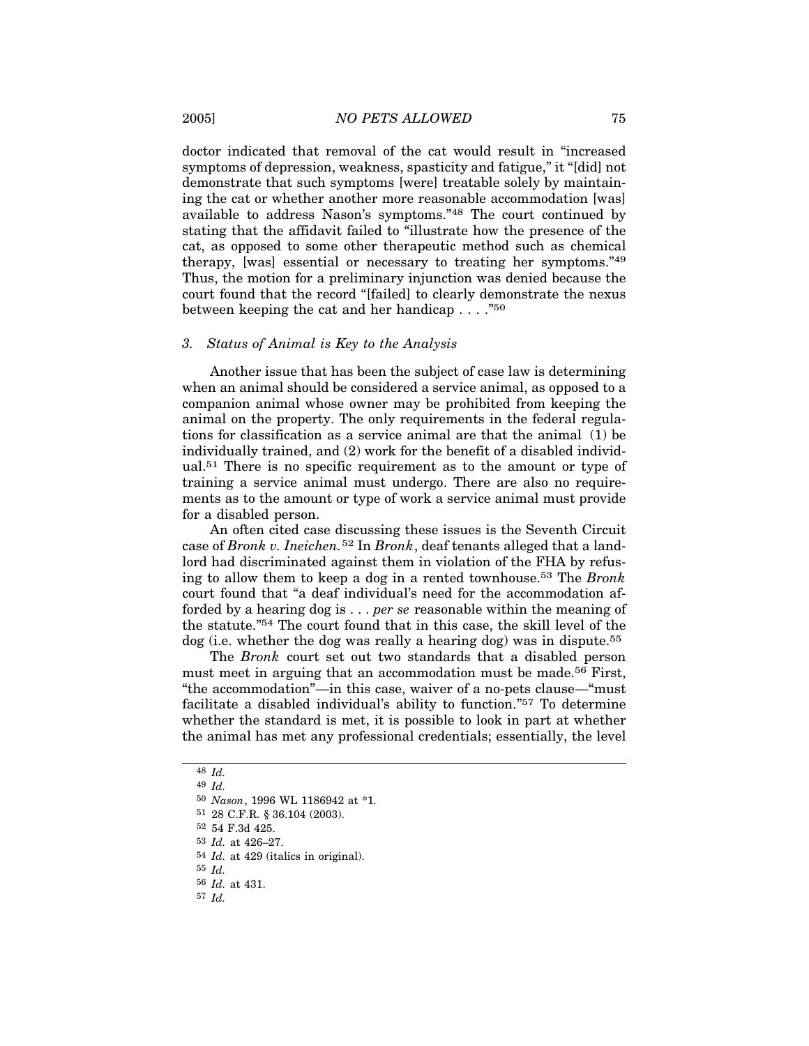doctor indicated that removal of the cat would result in "increased symptoms of depression, weakness, spasticity and fatigue," it "[did] not demonstrate that such symptoms [were] treatable solely by maintaining the cat or whether another more reasonable accommodation [was] available to address Nason's symptoms."48 The court continued by stating that the affidavit failed to "illustrate how the presence of the cat, as opposed to some other therapeutic method such as chemical therapy, [was] essential or necessary to treating her symptoms."49 Thus, the motion for a preliminary injunction was denied because the court found that the record "[failed] to clearly demonstrate the nexus between keeping the cat and her handicap . . . ."50

## *3. Status of Animal is Key to the Analysis*

Another issue that has been the subject of case law is determining when an animal should be considered a service animal, as opposed to a companion animal whose owner may be prohibited from keeping the animal on the property. The only requirements in the federal regulations for classification as a service animal are that the animal (1) be individually trained, and (2) work for the benefit of a disabled individual.51 There is no specific requirement as to the amount or type of training a service animal must undergo. There are also no requirements as to the amount or type of work a service animal must provide for a disabled person.

An often cited case discussing these issues is the Seventh Circuit case of *Bronk v. Ineichen.*52 In *Bronk*, deaf tenants alleged that a landlord had discriminated against them in violation of the FHA by refusing to allow them to keep a dog in a rented townhouse.53 The *Bronk* court found that "a deaf individual's need for the accommodation afforded by a hearing dog is . . . *per se* reasonable within the meaning of the statute."54 The court found that in this case, the skill level of the dog (i.e. whether the dog was really a hearing dog) was in dispute.<sup>55</sup>

The *Bronk* court set out two standards that a disabled person must meet in arguing that an accommodation must be made.56 First, "the accommodation"—in this case, waiver of a no-pets clause—"must facilitate a disabled individual's ability to function."57 To determine whether the standard is met, it is possible to look in part at whether the animal has met any professional credentials; essentially, the level

<sup>48</sup> *Id.*

<sup>49</sup> *Id.*

<sup>50</sup> *Nason*, 1996 WL 1186942 at \*1*.*

<sup>51</sup> 28 C.F.R. § 36.104 (2003).

<sup>52</sup> 54 F.3d 425.

<sup>53</sup> *Id.* at 426–27.

<sup>54</sup> *Id.* at 429 (italics in original).

<sup>55</sup> *Id.*

<sup>56</sup> *Id.* at 431.

<sup>57</sup> *Id.*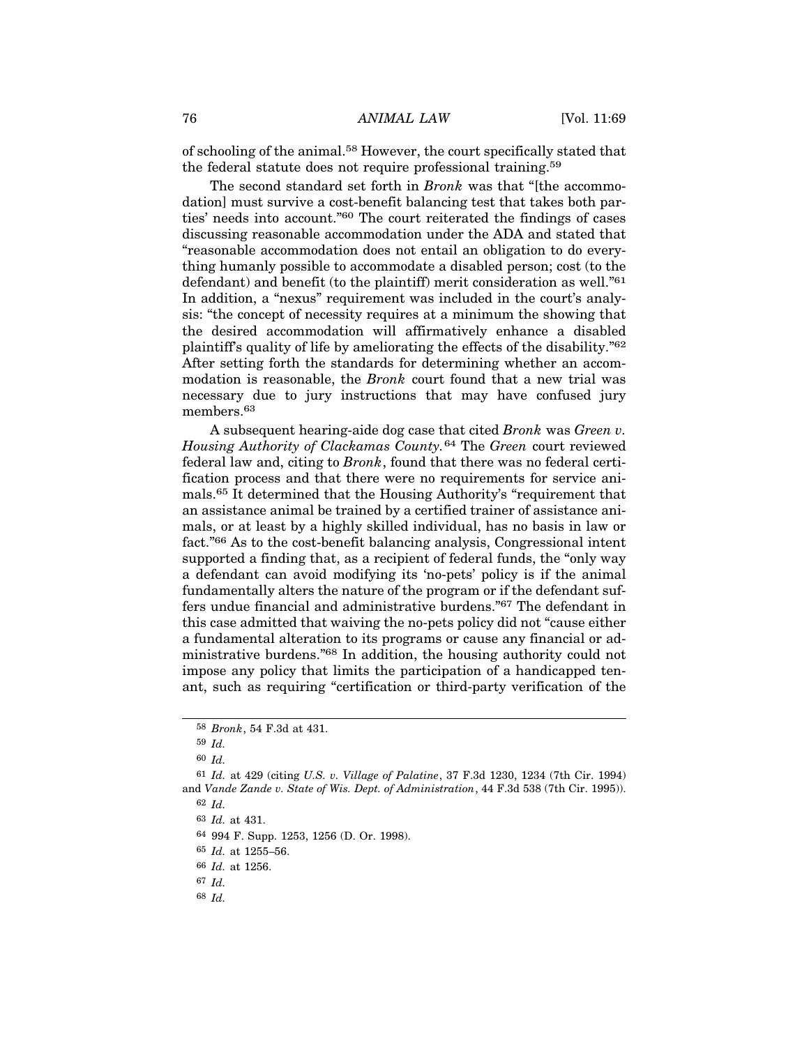of schooling of the animal.58 However, the court specifically stated that the federal statute does not require professional training.59

The second standard set forth in *Bronk* was that "[the accommodation] must survive a cost-benefit balancing test that takes both parties' needs into account."60 The court reiterated the findings of cases discussing reasonable accommodation under the ADA and stated that "reasonable accommodation does not entail an obligation to do everything humanly possible to accommodate a disabled person; cost (to the defendant) and benefit (to the plaintiff) merit consideration as well."61 In addition, a "nexus" requirement was included in the court's analysis: "the concept of necessity requires at a minimum the showing that the desired accommodation will affirmatively enhance a disabled plaintiff's quality of life by ameliorating the effects of the disability."62 After setting forth the standards for determining whether an accommodation is reasonable, the *Bronk* court found that a new trial was necessary due to jury instructions that may have confused jury members.<sup>63</sup>

A subsequent hearing-aide dog case that cited *Bronk* was *Green v. Housing Authority of Clackamas County.*64 The *Green* court reviewed federal law and, citing to *Bronk*, found that there was no federal certification process and that there were no requirements for service animals.65 It determined that the Housing Authority's "requirement that an assistance animal be trained by a certified trainer of assistance animals, or at least by a highly skilled individual, has no basis in law or fact."66 As to the cost-benefit balancing analysis, Congressional intent supported a finding that, as a recipient of federal funds, the "only way a defendant can avoid modifying its 'no-pets' policy is if the animal fundamentally alters the nature of the program or if the defendant suffers undue financial and administrative burdens."67 The defendant in this case admitted that waiving the no-pets policy did not "cause either a fundamental alteration to its programs or cause any financial or administrative burdens."68 In addition, the housing authority could not impose any policy that limits the participation of a handicapped tenant, such as requiring "certification or third-party verification of the

64 994 F. Supp. 1253, 1256 (D. Or. 1998).

<sup>58</sup> *Bronk*, 54 F.3d at 431.

<sup>59</sup> *Id.*

<sup>60</sup> *Id.*

<sup>61</sup> *Id.* at 429 (citing *U.S. v. Village of Palatine*, 37 F.3d 1230, 1234 (7th Cir. 1994) and *Vande Zande v. State of Wis. Dept. of Administration*, 44 F.3d 538 (7th Cir. 1995)).

<sup>62</sup> *Id.*

<sup>63</sup> *Id.* at 431.

<sup>65</sup> *Id.* at 1255–56.

<sup>66</sup> *Id.* at 1256.

<sup>67</sup> *Id.*

<sup>68</sup> *Id.*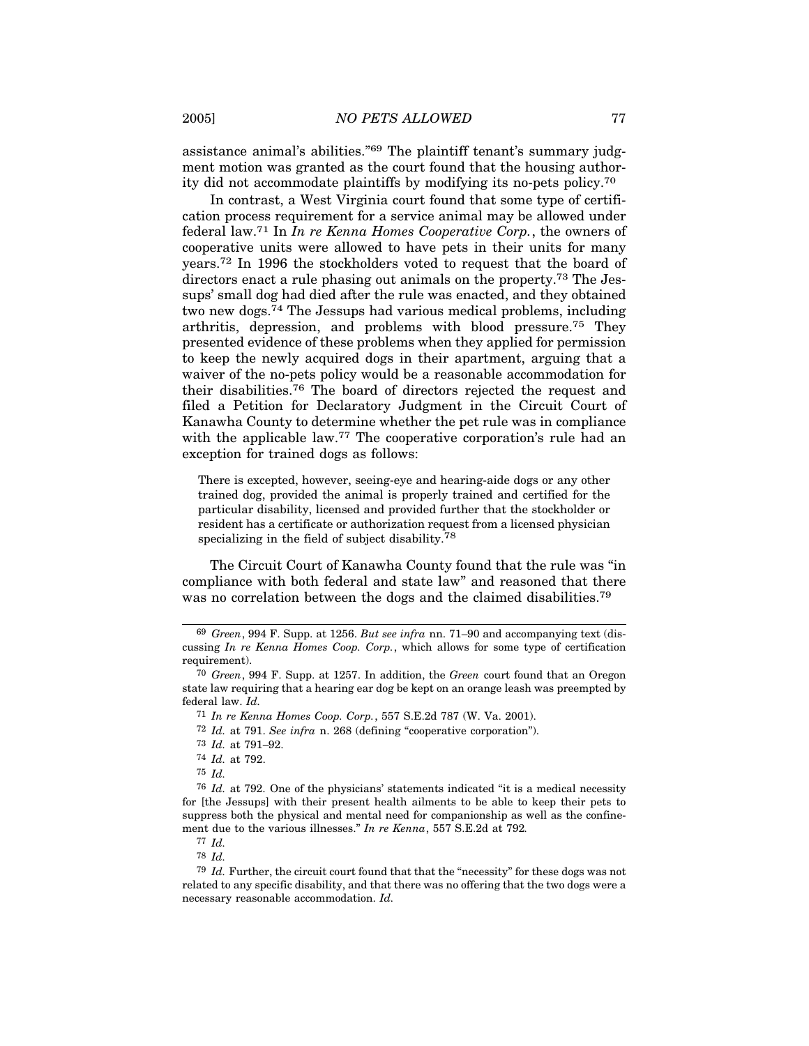assistance animal's abilities."69 The plaintiff tenant's summary judgment motion was granted as the court found that the housing authority did not accommodate plaintiffs by modifying its no-pets policy.70

In contrast, a West Virginia court found that some type of certification process requirement for a service animal may be allowed under federal law.71 In *In re Kenna Homes Cooperative Corp.*, the owners of cooperative units were allowed to have pets in their units for many years.72 In 1996 the stockholders voted to request that the board of directors enact a rule phasing out animals on the property.73 The Jessups' small dog had died after the rule was enacted, and they obtained two new dogs.74 The Jessups had various medical problems, including arthritis, depression, and problems with blood pressure.75 They presented evidence of these problems when they applied for permission to keep the newly acquired dogs in their apartment, arguing that a waiver of the no-pets policy would be a reasonable accommodation for their disabilities.76 The board of directors rejected the request and filed a Petition for Declaratory Judgment in the Circuit Court of Kanawha County to determine whether the pet rule was in compliance with the applicable law.<sup>77</sup> The cooperative corporation's rule had an exception for trained dogs as follows:

There is excepted, however, seeing-eye and hearing-aide dogs or any other trained dog, provided the animal is properly trained and certified for the particular disability, licensed and provided further that the stockholder or resident has a certificate or authorization request from a licensed physician specializing in the field of subject disability.78

The Circuit Court of Kanawha County found that the rule was "in compliance with both federal and state law" and reasoned that there was no correlation between the dogs and the claimed disabilities.<sup>79</sup>

71 *In re Kenna Homes Coop. Corp.*, 557 S.E.2d 787 (W. Va. 2001).

77 *Id.*

<sup>69</sup> *Green*, 994 F. Supp. at 1256. *But see infra* nn. 71–90 and accompanying text (discussing *In re Kenna Homes Coop. Corp.*, which allows for some type of certification requirement).

<sup>70</sup> *Green*, 994 F. Supp. at 1257. In addition, the *Green* court found that an Oregon state law requiring that a hearing ear dog be kept on an orange leash was preempted by federal law. *Id.*

<sup>72</sup> *Id.* at 791. *See infra* n. 268 (defining "cooperative corporation").

<sup>73</sup> *Id.* at 791–92.

<sup>74</sup> *Id.* at 792.

<sup>75</sup> *Id.*

<sup>76</sup> *Id.* at 792. One of the physicians' statements indicated "it is a medical necessity for [the Jessups] with their present health ailments to be able to keep their pets to suppress both the physical and mental need for companionship as well as the confinement due to the various illnesses." *In re Kenna*, 557 S.E.2d at 792*.*

<sup>78</sup> *Id.*

<sup>79</sup> *Id.* Further, the circuit court found that that the "necessity" for these dogs was not related to any specific disability, and that there was no offering that the two dogs were a necessary reasonable accommodation. *Id.*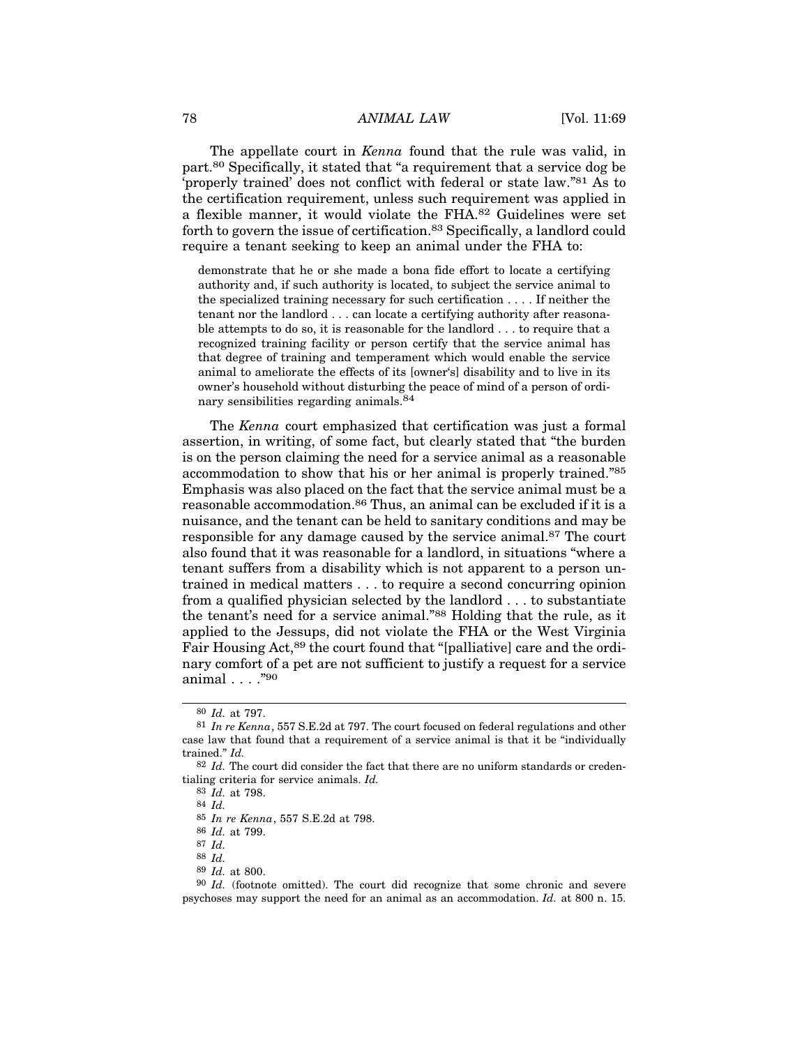The appellate court in *Kenna* found that the rule was valid, in part.80 Specifically, it stated that "a requirement that a service dog be 'properly trained' does not conflict with federal or state law."81 As to the certification requirement, unless such requirement was applied in a flexible manner, it would violate the FHA.82 Guidelines were set forth to govern the issue of certification.<sup>83</sup> Specifically, a landlord could require a tenant seeking to keep an animal under the FHA to:

demonstrate that he or she made a bona fide effort to locate a certifying authority and, if such authority is located, to subject the service animal to the specialized training necessary for such certification . . . . If neither the tenant nor the landlord . . . can locate a certifying authority after reasonable attempts to do so, it is reasonable for the landlord . . . to require that a recognized training facility or person certify that the service animal has that degree of training and temperament which would enable the service animal to ameliorate the effects of its [owner's] disability and to live in its owner's household without disturbing the peace of mind of a person of ordinary sensibilities regarding animals.<sup>84</sup>

The *Kenna* court emphasized that certification was just a formal assertion, in writing, of some fact, but clearly stated that "the burden is on the person claiming the need for a service animal as a reasonable accommodation to show that his or her animal is properly trained."85 Emphasis was also placed on the fact that the service animal must be a reasonable accommodation.<sup>86</sup> Thus, an animal can be excluded if it is a nuisance, and the tenant can be held to sanitary conditions and may be responsible for any damage caused by the service animal.<sup>87</sup> The court also found that it was reasonable for a landlord, in situations "where a tenant suffers from a disability which is not apparent to a person untrained in medical matters . . . to require a second concurring opinion from a qualified physician selected by the landlord . . . to substantiate the tenant's need for a service animal."88 Holding that the rule, as it applied to the Jessups, did not violate the FHA or the West Virginia Fair Housing Act,<sup>89</sup> the court found that "[palliative] care and the ordinary comfort of a pet are not sufficient to justify a request for a service animal . . . ."90

84 *Id.*

89 *Id.* at 800.

<sup>80</sup> *Id.* at 797.

<sup>81</sup> *In re Kenna*, 557 S.E.2d at 797. The court focused on federal regulations and other case law that found that a requirement of a service animal is that it be "individually trained." *Id.*

<sup>82</sup> *Id.* The court did consider the fact that there are no uniform standards or credentialing criteria for service animals. *Id.*

<sup>83</sup> *Id.* at 798.

<sup>85</sup> *In re Kenna*, 557 S.E.2d at 798.

<sup>86</sup> *Id.* at 799.

<sup>87</sup> *Id.*

<sup>88</sup> *Id.*

<sup>90</sup> *Id.* (footnote omitted). The court did recognize that some chronic and severe psychoses may support the need for an animal as an accommodation. *Id.* at 800 n. 15.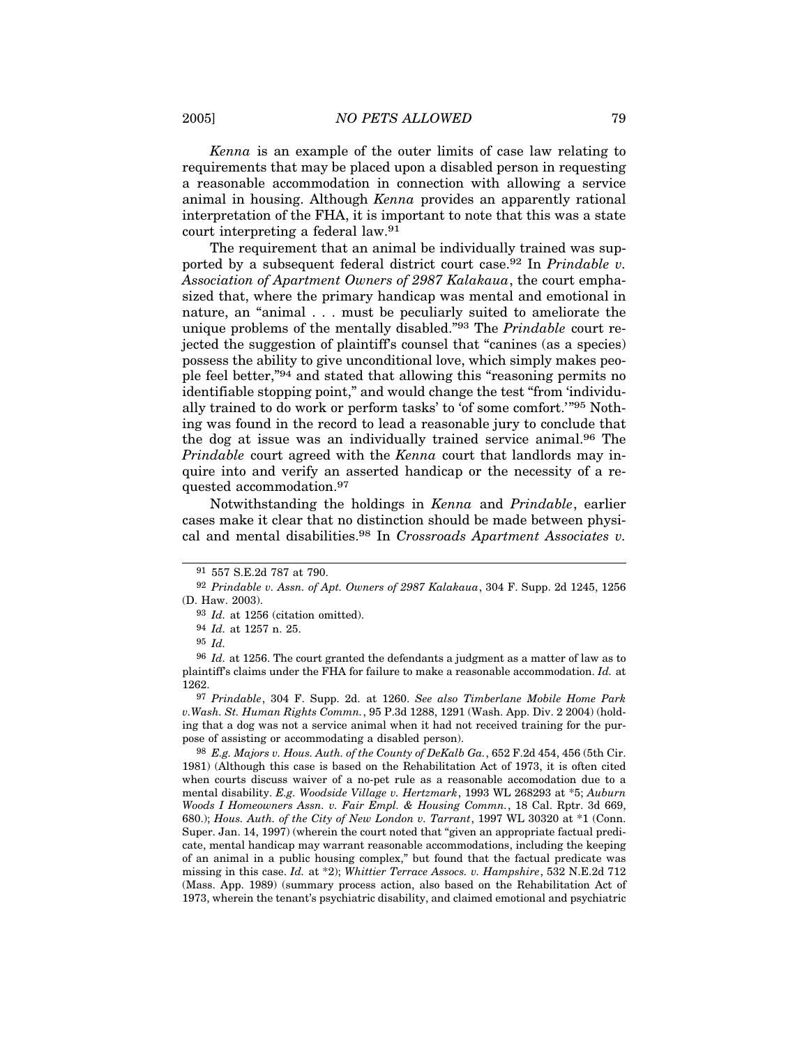*Kenna* is an example of the outer limits of case law relating to requirements that may be placed upon a disabled person in requesting a reasonable accommodation in connection with allowing a service animal in housing. Although *Kenna* provides an apparently rational interpretation of the FHA, it is important to note that this was a state court interpreting a federal law.91

The requirement that an animal be individually trained was supported by a subsequent federal district court case.92 In *Prindable v. Association of Apartment Owners of 2987 Kalakaua*, the court emphasized that, where the primary handicap was mental and emotional in nature, an "animal . . . must be peculiarly suited to ameliorate the unique problems of the mentally disabled."93 The *Prindable* court rejected the suggestion of plaintiff's counsel that "canines (as a species) possess the ability to give unconditional love, which simply makes people feel better,"94 and stated that allowing this "reasoning permits no identifiable stopping point," and would change the test "from 'individually trained to do work or perform tasks' to 'of some comfort.'"95 Nothing was found in the record to lead a reasonable jury to conclude that the dog at issue was an individually trained service animal.96 The *Prindable* court agreed with the *Kenna* court that landlords may inquire into and verify an asserted handicap or the necessity of a requested accommodation.97

Notwithstanding the holdings in *Kenna* and *Prindable*, earlier cases make it clear that no distinction should be made between physical and mental disabilities.98 In *Crossroads Apartment Associates v.*

98 *E.g. Majors v. Hous. Auth. of the County of DeKalb Ga.*, 652 F.2d 454, 456 (5th Cir. 1981) (Although this case is based on the Rehabilitation Act of 1973, it is often cited when courts discuss waiver of a no-pet rule as a reasonable accomodation due to a mental disability. *E.g. Woodside Village v. Hertzmark*, 1993 WL 268293 at \*5; *Auburn Woods I Homeowners Assn. v. Fair Empl. & Housing Commn.*, 18 Cal. Rptr. 3d 669, 680.); *Hous. Auth. of the City of New London v. Tarrant*, 1997 WL 30320 at \*1 (Conn. Super. Jan. 14, 1997) (wherein the court noted that "given an appropriate factual predicate, mental handicap may warrant reasonable accommodations, including the keeping of an animal in a public housing complex," but found that the factual predicate was missing in this case. *Id.* at \*2); *Whittier Terrace Assocs. v. Hampshire*, 532 N.E.2d 712 (Mass. App. 1989) (summary process action, also based on the Rehabilitation Act of 1973, wherein the tenant's psychiatric disability, and claimed emotional and psychiatric

<sup>91</sup> 557 S.E.2d 787 at 790.

<sup>92</sup> *Prindable v. Assn. of Apt. Owners of 2987 Kalakaua*, 304 F. Supp. 2d 1245, 1256 (D. Haw. 2003).

<sup>93</sup> *Id.* at 1256 (citation omitted).

<sup>94</sup> *Id.* at 1257 n. 25.

<sup>95</sup> *Id.*

<sup>96</sup> *Id.* at 1256. The court granted the defendants a judgment as a matter of law as to plaintiff's claims under the FHA for failure to make a reasonable accommodation. *Id.* at 1262.

<sup>97</sup> *Prindable*, 304 F. Supp. 2d. at 1260. *See also Timberlane Mobile Home Park v.Wash. St. Human Rights Commn.*, 95 P.3d 1288, 1291 (Wash. App. Div. 2 2004) (holding that a dog was not a service animal when it had not received training for the purpose of assisting or accommodating a disabled person).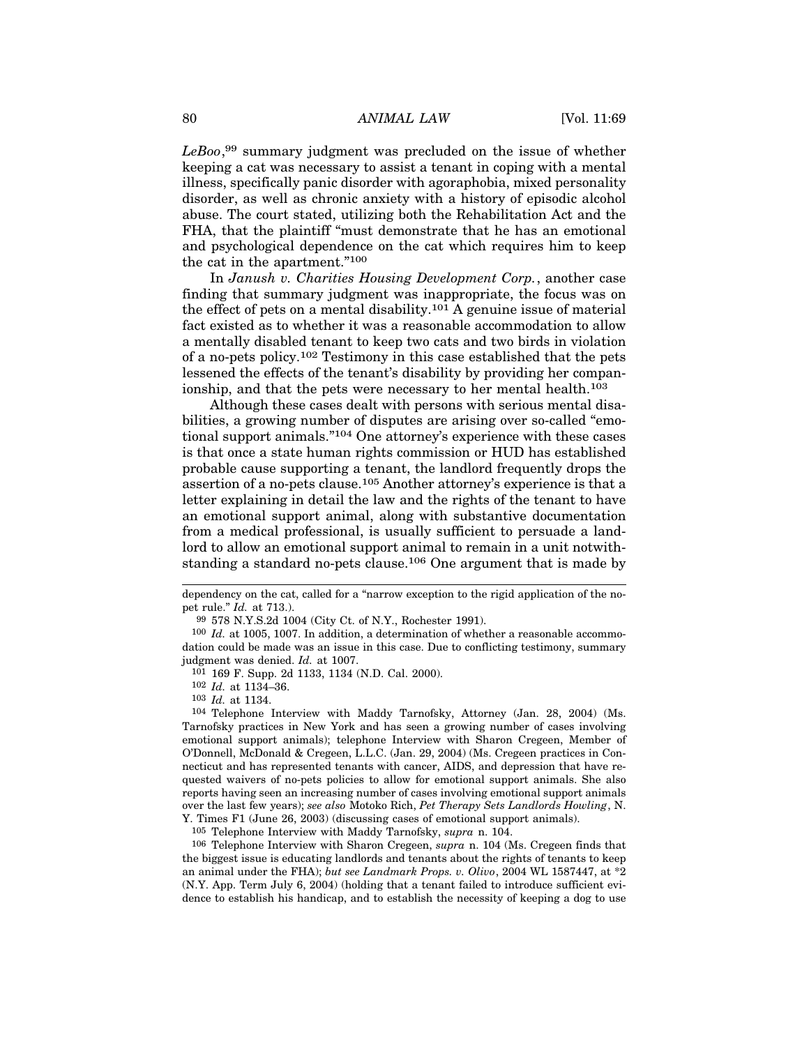*LeBoo*, 99 summary judgment was precluded on the issue of whether keeping a cat was necessary to assist a tenant in coping with a mental illness, specifically panic disorder with agoraphobia, mixed personality disorder, as well as chronic anxiety with a history of episodic alcohol abuse. The court stated, utilizing both the Rehabilitation Act and the FHA, that the plaintiff "must demonstrate that he has an emotional and psychological dependence on the cat which requires him to keep the cat in the apartment."100

In *Janush v. Charities Housing Development Corp.*, another case finding that summary judgment was inappropriate, the focus was on the effect of pets on a mental disability.<sup>101</sup> A genuine issue of material fact existed as to whether it was a reasonable accommodation to allow a mentally disabled tenant to keep two cats and two birds in violation of a no-pets policy.102 Testimony in this case established that the pets lessened the effects of the tenant's disability by providing her companionship, and that the pets were necessary to her mental health.<sup>103</sup>

Although these cases dealt with persons with serious mental disabilities, a growing number of disputes are arising over so-called "emotional support animals."104 One attorney's experience with these cases is that once a state human rights commission or HUD has established probable cause supporting a tenant, the landlord frequently drops the assertion of a no-pets clause.105 Another attorney's experience is that a letter explaining in detail the law and the rights of the tenant to have an emotional support animal, along with substantive documentation from a medical professional, is usually sufficient to persuade a landlord to allow an emotional support animal to remain in a unit notwithstanding a standard no-pets clause.106 One argument that is made by

106 Telephone Interview with Sharon Cregeen, *supra* n. 104 (Ms. Cregeen finds that the biggest issue is educating landlords and tenants about the rights of tenants to keep an animal under the FHA); *but see Landmark Props. v. Olivo*, 2004 WL 1587447, at \*2 (N.Y. App. Term July 6, 2004) (holding that a tenant failed to introduce sufficient evidence to establish his handicap, and to establish the necessity of keeping a dog to use

dependency on the cat, called for a "narrow exception to the rigid application of the nopet rule." *Id.* at 713.).

<sup>99</sup> 578 N.Y.S.2d 1004 (City Ct. of N.Y., Rochester 1991).

<sup>100</sup> *Id.* at 1005, 1007. In addition, a determination of whether a reasonable accommodation could be made was an issue in this case. Due to conflicting testimony, summary judgment was denied. *Id.* at 1007.

<sup>101</sup> 169 F. Supp. 2d 1133, 1134 (N.D. Cal. 2000).

<sup>102</sup> *Id.* at 1134–36.

<sup>103</sup> *Id.* at 1134.

<sup>104</sup> Telephone Interview with Maddy Tarnofsky, Attorney (Jan. 28, 2004) (Ms. Tarnofsky practices in New York and has seen a growing number of cases involving emotional support animals); telephone Interview with Sharon Cregeen, Member of O'Donnell, McDonald & Cregeen, L.L.C. (Jan. 29, 2004) (Ms. Cregeen practices in Connecticut and has represented tenants with cancer, AIDS, and depression that have requested waivers of no-pets policies to allow for emotional support animals. She also reports having seen an increasing number of cases involving emotional support animals over the last few years); *see also* Motoko Rich, *Pet Therapy Sets Landlords Howling*, N. Y. Times F1 (June 26, 2003) (discussing cases of emotional support animals).

<sup>105</sup> Telephone Interview with Maddy Tarnofsky, *supra* n. 104.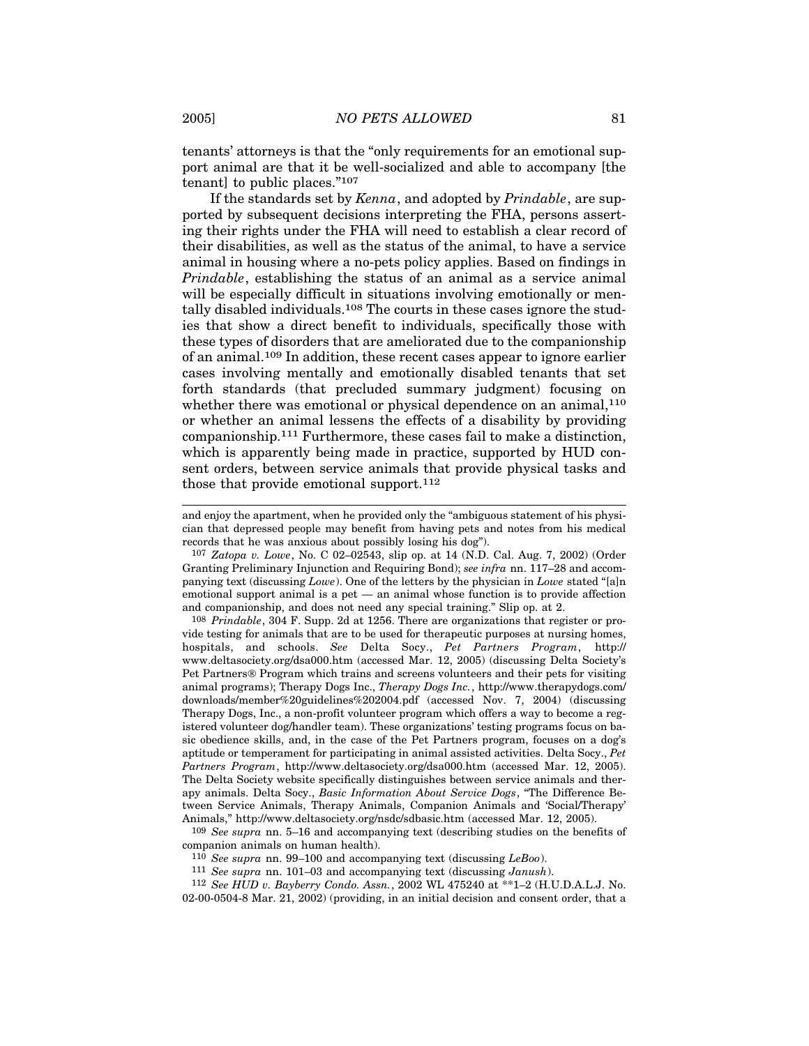tenants' attorneys is that the "only requirements for an emotional support animal are that it be well-socialized and able to accompany [the tenant] to public places."107

If the standards set by *Kenna*, and adopted by *Prindable*, are supported by subsequent decisions interpreting the FHA, persons asserting their rights under the FHA will need to establish a clear record of their disabilities, as well as the status of the animal, to have a service animal in housing where a no-pets policy applies. Based on findings in *Prindable*, establishing the status of an animal as a service animal will be especially difficult in situations involving emotionally or mentally disabled individuals.108 The courts in these cases ignore the studies that show a direct benefit to individuals, specifically those with these types of disorders that are ameliorated due to the companionship of an animal.109 In addition, these recent cases appear to ignore earlier cases involving mentally and emotionally disabled tenants that set forth standards (that precluded summary judgment) focusing on whether there was emotional or physical dependence on an animal,<sup>110</sup> or whether an animal lessens the effects of a disability by providing companionship.111 Furthermore, these cases fail to make a distinction, which is apparently being made in practice, supported by HUD consent orders, between service animals that provide physical tasks and those that provide emotional support.<sup>112</sup>

108 *Prindable*, 304 F. Supp. 2d at 1256. There are organizations that register or provide testing for animals that are to be used for therapeutic purposes at nursing homes, hospitals, and schools. *See* Delta Socy., *Pet Partners Program*, http:// www.deltasociety.org/dsa000.htm (accessed Mar. 12, 2005) (discussing Delta Society's Pet Partners ® Program which trains and screens volunteers and their pets for visiting animal programs); Therapy Dogs Inc., *Therapy Dogs Inc.*, http://www.therapydogs.com/ downloads/member%20guidelines%202004.pdf (accessed Nov. 7, 2004) (discussing Therapy Dogs, Inc., a non-profit volunteer program which offers a way to become a registered volunteer dog/handler team). These organizations' testing programs focus on basic obedience skills, and, in the case of the Pet Partners program, focuses on a dog's aptitude or temperament for participating in animal assisted activities. Delta Socy., *Pet Partners Program*, http://www.deltasociety.org/dsa000.htm (accessed Mar. 12, 2005). The Delta Society website specifically distinguishes between service animals and therapy animals. Delta Socy., *Basic Information About Service Dogs*, "The Difference Between Service Animals, Therapy Animals, Companion Animals and 'Social/Therapy' Animals," http://www.deltasociety.org/nsdc/sdbasic.htm (accessed Mar. 12, 2005).

109 *See supra* nn. 5–16 and accompanying text (describing studies on the benefits of companion animals on human health).

110 *See supra* nn. 99–100 and accompanying text (discussing *LeBoo*).

111 *See supra* nn. 101–03 and accompanying text (discussing *Janush*).

112 *See HUD v. Bayberry Condo. Assn.*, 2002 WL 475240 at \*\*1–2 (H.U.D.A.L.J. No. 02-00-0504-8 Mar. 21, 2002) (providing, in an initial decision and consent order, that a

and enjoy the apartment, when he provided only the "ambiguous statement of his physician that depressed people may benefit from having pets and notes from his medical records that he was anxious about possibly losing his dog").

<sup>107</sup> *Zatopa v. Lowe*, No. C 02–02543, slip op. at 14 (N.D. Cal. Aug. 7, 2002) (Order Granting Preliminary Injunction and Requiring Bond); *see infra* nn. 117–28 and accompanying text (discussing *Lowe*). One of the letters by the physician in *Lowe* stated "[a]n emotional support animal is a pet — an animal whose function is to provide affection and companionship, and does not need any special training." Slip op. at 2.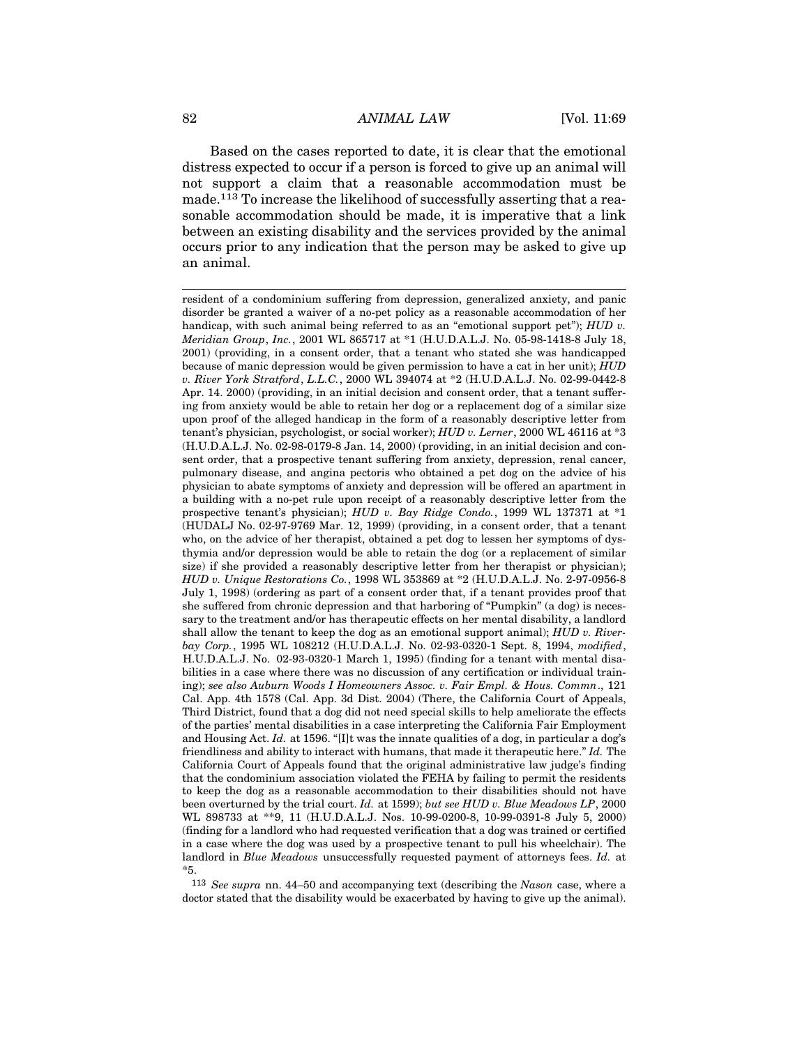Based on the cases reported to date, it is clear that the emotional distress expected to occur if a person is forced to give up an animal will not support a claim that a reasonable accommodation must be made.113 To increase the likelihood of successfully asserting that a reasonable accommodation should be made, it is imperative that a link between an existing disability and the services provided by the animal occurs prior to any indication that the person may be asked to give up an animal.

113 *See supra* nn. 44–50 and accompanying text (describing the *Nason* case, where a doctor stated that the disability would be exacerbated by having to give up the animal).

resident of a condominium suffering from depression, generalized anxiety, and panic disorder be granted a waiver of a no-pet policy as a reasonable accommodation of her handicap, with such animal being referred to as an "emotional support pet"); *HUD v. Meridian Group*, *Inc.*, 2001 WL 865717 at \*1 (H.U.D.A.L.J. No. 05-98-1418-8 July 18, 2001) (providing, in a consent order, that a tenant who stated she was handicapped because of manic depression would be given permission to have a cat in her unit); *HUD v. River York Stratford*, *L.L.C.*, 2000 WL 394074 at \*2 (H.U.D.A.L.J. No. 02-99-0442-8 Apr. 14. 2000) (providing, in an initial decision and consent order, that a tenant suffering from anxiety would be able to retain her dog or a replacement dog of a similar size upon proof of the alleged handicap in the form of a reasonably descriptive letter from tenant's physician, psychologist, or social worker); *HUD v. Lerner*, 2000 WL 46116 at \*3 (H.U.D.A.L.J. No. 02-98-0179-8 Jan. 14, 2000) (providing, in an initial decision and consent order, that a prospective tenant suffering from anxiety, depression, renal cancer, pulmonary disease, and angina pectoris who obtained a pet dog on the advice of his physician to abate symptoms of anxiety and depression will be offered an apartment in a building with a no-pet rule upon receipt of a reasonably descriptive letter from the prospective tenant's physician); *HUD v. Bay Ridge Condo.*, 1999 WL 137371 at \*1 (HUDALJ No. 02-97-9769 Mar. 12, 1999) (providing, in a consent order, that a tenant who, on the advice of her therapist, obtained a pet dog to lessen her symptoms of dysthymia and/or depression would be able to retain the dog (or a replacement of similar size) if she provided a reasonably descriptive letter from her therapist or physician); *HUD v. Unique Restorations Co.*, 1998 WL 353869 at \*2 (H.U.D.A.L.J. No. 2-97-0956-8 July 1, 1998) (ordering as part of a consent order that, if a tenant provides proof that she suffered from chronic depression and that harboring of "Pumpkin" (a dog) is necessary to the treatment and/or has therapeutic effects on her mental disability, a landlord shall allow the tenant to keep the dog as an emotional support animal); *HUD v. Riverbay Corp.*, 1995 WL 108212 (H.U.D.A.L.J. No. 02-93-0320-1 Sept. 8, 1994, *modified*, H.U.D.A.L.J. No. 02-93-0320-1 March 1, 1995) (finding for a tenant with mental disabilities in a case where there was no discussion of any certification or individual training); *see also Auburn Woods I Homeowners Assoc. v. Fair Empl. & Hous. Commn*., 121 Cal. App. 4th 1578 (Cal. App. 3d Dist. 2004) (There, the California Court of Appeals, Third District, found that a dog did not need special skills to help ameliorate the effects of the parties' mental disabilities in a case interpreting the California Fair Employment and Housing Act. *Id.* at 1596. "[I]t was the innate qualities of a dog, in particular a dog's friendliness and ability to interact with humans, that made it therapeutic here." *Id.* The California Court of Appeals found that the original administrative law judge's finding that the condominium association violated the FEHA by failing to permit the residents to keep the dog as a reasonable accommodation to their disabilities should not have been overturned by the trial court. *Id.* at 1599); *but see HUD v. Blue Meadows LP*, 2000 WL 898733 at \*\*9, 11 (H.U.D.A.L.J. Nos. 10-99-0200-8, 10-99-0391-8 July 5, 2000) (finding for a landlord who had requested verification that a dog was trained or certified in a case where the dog was used by a prospective tenant to pull his wheelchair). The landlord in *Blue Meadows* unsuccessfully requested payment of attorneys fees. *Id.* at \*5.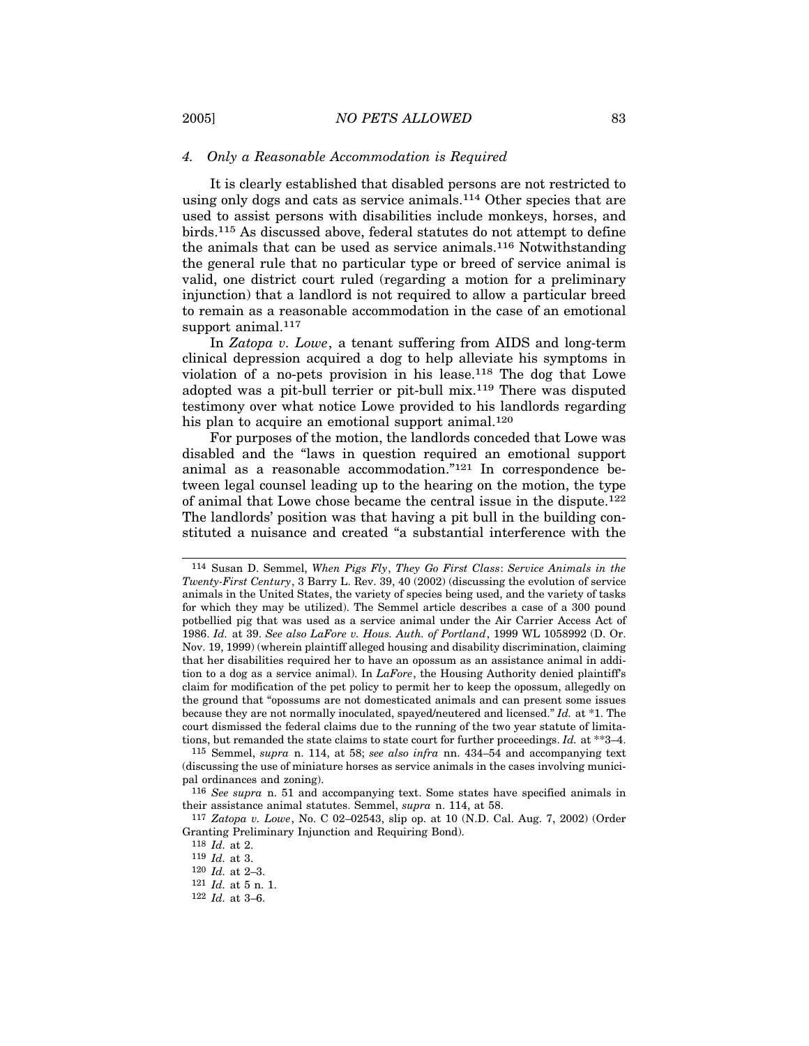#### *4. Only a Reasonable Accommodation is Required*

It is clearly established that disabled persons are not restricted to using only dogs and cats as service animals.114 Other species that are used to assist persons with disabilities include monkeys, horses, and birds.115 As discussed above, federal statutes do not attempt to define the animals that can be used as service animals.116 Notwithstanding the general rule that no particular type or breed of service animal is valid, one district court ruled (regarding a motion for a preliminary injunction) that a landlord is not required to allow a particular breed to remain as a reasonable accommodation in the case of an emotional support animal.<sup>117</sup>

In *Zatopa v. Lowe*, a tenant suffering from AIDS and long-term clinical depression acquired a dog to help alleviate his symptoms in violation of a no-pets provision in his lease. $118$  The dog that Lowe adopted was a pit-bull terrier or pit-bull mix.119 There was disputed testimony over what notice Lowe provided to his landlords regarding his plan to acquire an emotional support animal.<sup>120</sup>

For purposes of the motion, the landlords conceded that Lowe was disabled and the "laws in question required an emotional support animal as a reasonable accommodation."121 In correspondence between legal counsel leading up to the hearing on the motion, the type of animal that Lowe chose became the central issue in the dispute.122 The landlords' position was that having a pit bull in the building constituted a nuisance and created "a substantial interference with the

<sup>114</sup> Susan D. Semmel, *When Pigs Fly*, *They Go First Class*: *Service Animals in the Twenty-First Century*, 3 Barry L. Rev. 39, 40 (2002) (discussing the evolution of service animals in the United States, the variety of species being used, and the variety of tasks for which they may be utilized). The Semmel article describes a case of a 300 pound potbellied pig that was used as a service animal under the Air Carrier Access Act of 1986. *Id.* at 39. *See also LaFore v. Hous. Auth. of Portland*, 1999 WL 1058992 (D. Or. Nov. 19, 1999) (wherein plaintiff alleged housing and disability discrimination, claiming that her disabilities required her to have an opossum as an assistance animal in addition to a dog as a service animal). In *LaFore*, the Housing Authority denied plaintiff's claim for modification of the pet policy to permit her to keep the opossum, allegedly on the ground that "opossums are not domesticated animals and can present some issues because they are not normally inoculated, spayed/neutered and licensed." *Id.* at \*1. The court dismissed the federal claims due to the running of the two year statute of limitations, but remanded the state claims to state court for further proceedings. *Id.* at \*\*3–4.

<sup>115</sup> Semmel, *supra* n. 114, at 58; *see also infra* nn. 434–54 and accompanying text (discussing the use of miniature horses as service animals in the cases involving municipal ordinances and zoning).

<sup>116</sup> *See supra* n. 51 and accompanying text. Some states have specified animals in their assistance animal statutes. Semmel, *supra* n. 114, at 58.

<sup>117</sup> *Zatopa v. Lowe*, No. C 02–02543, slip op. at 10 (N.D. Cal. Aug. 7, 2002) (Order Granting Preliminary Injunction and Requiring Bond).

<sup>118</sup> *Id.* at 2.

<sup>119</sup> *Id.* at 3.

<sup>120</sup> *Id.* at 2–3.

<sup>121</sup> *Id.* at 5 n. 1.

<sup>122</sup> *Id.* at 3–6.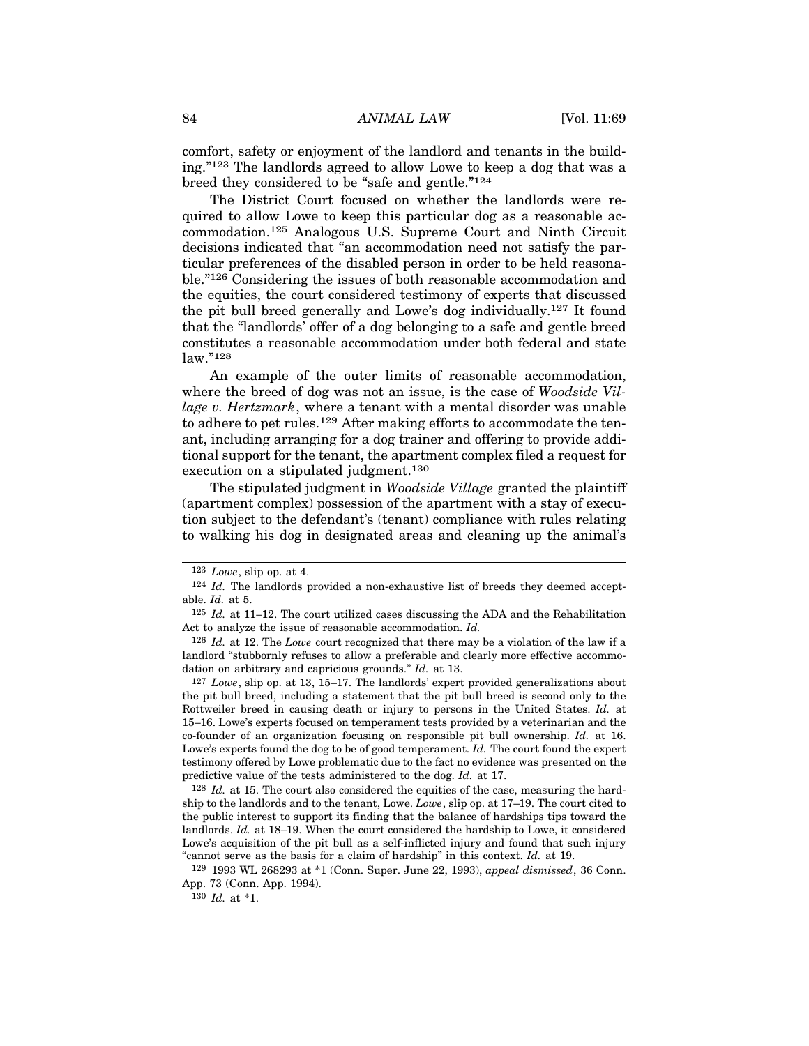comfort, safety or enjoyment of the landlord and tenants in the building."123 The landlords agreed to allow Lowe to keep a dog that was a breed they considered to be "safe and gentle."124

The District Court focused on whether the landlords were required to allow Lowe to keep this particular dog as a reasonable accommodation.125 Analogous U.S. Supreme Court and Ninth Circuit decisions indicated that "an accommodation need not satisfy the particular preferences of the disabled person in order to be held reasonable."126 Considering the issues of both reasonable accommodation and the equities, the court considered testimony of experts that discussed the pit bull breed generally and Lowe's dog individually.127 It found that the "landlords' offer of a dog belonging to a safe and gentle breed constitutes a reasonable accommodation under both federal and state law."128

An example of the outer limits of reasonable accommodation, where the breed of dog was not an issue, is the case of *Woodside Village v. Hertzmark*, where a tenant with a mental disorder was unable to adhere to pet rules.129 After making efforts to accommodate the tenant, including arranging for a dog trainer and offering to provide additional support for the tenant, the apartment complex filed a request for execution on a stipulated judgment.<sup>130</sup>

The stipulated judgment in *Woodside Village* granted the plaintiff (apartment complex) possession of the apartment with a stay of execution subject to the defendant's (tenant) compliance with rules relating to walking his dog in designated areas and cleaning up the animal's

127 *Lowe*, slip op. at 13, 15–17. The landlords' expert provided generalizations about the pit bull breed, including a statement that the pit bull breed is second only to the Rottweiler breed in causing death or injury to persons in the United States. *Id.* at 15–16. Lowe's experts focused on temperament tests provided by a veterinarian and the co-founder of an organization focusing on responsible pit bull ownership. *Id.* at 16. Lowe's experts found the dog to be of good temperament. *Id.* The court found the expert testimony offered by Lowe problematic due to the fact no evidence was presented on the predictive value of the tests administered to the dog. *Id.* at 17.

128 *Id.* at 15. The court also considered the equities of the case, measuring the hardship to the landlords and to the tenant, Lowe. *Lowe*, slip op. at 17–19. The court cited to the public interest to support its finding that the balance of hardships tips toward the landlords. *Id.* at 18–19. When the court considered the hardship to Lowe, it considered Lowe's acquisition of the pit bull as a self-inflicted injury and found that such injury "cannot serve as the basis for a claim of hardship" in this context. *Id.* at 19.

129 1993 WL 268293 at \*1 (Conn. Super. June 22, 1993), *appeal dismissed*, 36 Conn. App. 73 (Conn. App. 1994).

130 *Id.* at \*1.

<sup>123</sup> *Lowe*, slip op. at 4.

<sup>124</sup> *Id.* The landlords provided a non-exhaustive list of breeds they deemed acceptable. *Id.* at 5.

<sup>125</sup> *Id.* at 11–12. The court utilized cases discussing the ADA and the Rehabilitation Act to analyze the issue of reasonable accommodation. *Id.*

<sup>126</sup> *Id.* at 12. The *Lowe* court recognized that there may be a violation of the law if a landlord "stubbornly refuses to allow a preferable and clearly more effective accommodation on arbitrary and capricious grounds." *Id.* at 13.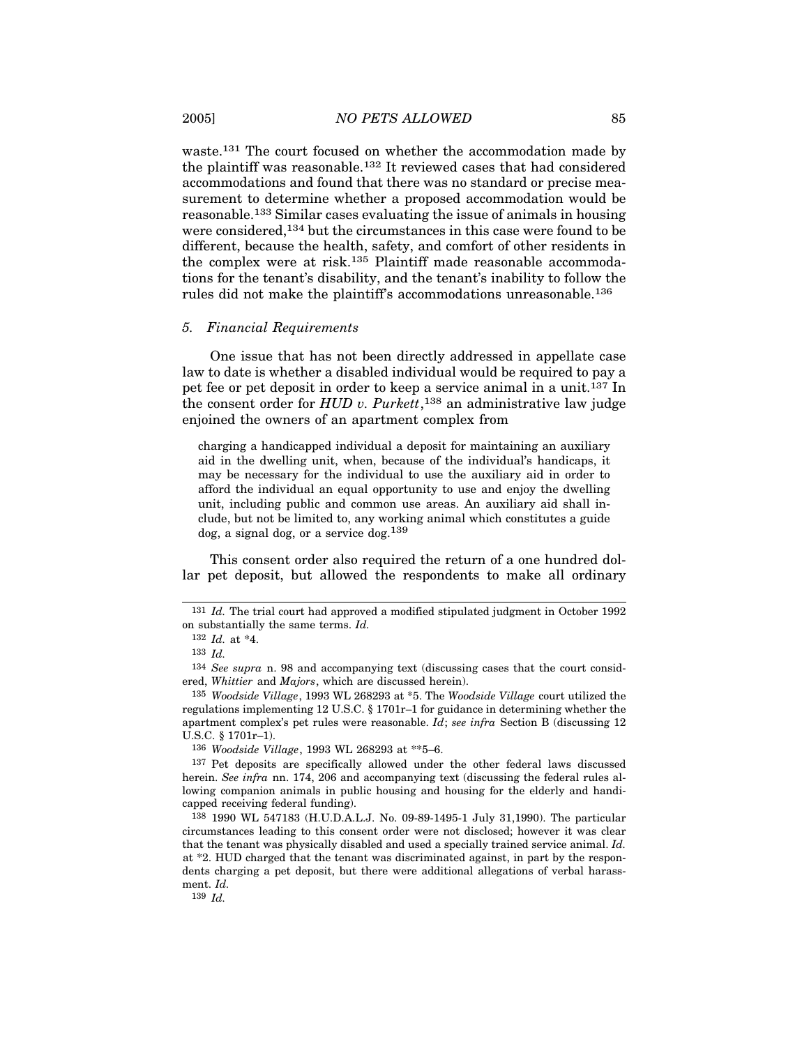waste.131 The court focused on whether the accommodation made by the plaintiff was reasonable.132 It reviewed cases that had considered accommodations and found that there was no standard or precise measurement to determine whether a proposed accommodation would be reasonable.133 Similar cases evaluating the issue of animals in housing were considered,134 but the circumstances in this case were found to be different, because the health, safety, and comfort of other residents in the complex were at risk.135 Plaintiff made reasonable accommodations for the tenant's disability, and the tenant's inability to follow the rules did not make the plaintiff's accommodations unreasonable.136

#### *5. Financial Requirements*

One issue that has not been directly addressed in appellate case law to date is whether a disabled individual would be required to pay a pet fee or pet deposit in order to keep a service animal in a unit.137 In the consent order for *HUD v. Purkett*, 138 an administrative law judge enjoined the owners of an apartment complex from

charging a handicapped individual a deposit for maintaining an auxiliary aid in the dwelling unit, when, because of the individual's handicaps, it may be necessary for the individual to use the auxiliary aid in order to afford the individual an equal opportunity to use and enjoy the dwelling unit, including public and common use areas. An auxiliary aid shall include, but not be limited to, any working animal which constitutes a guide  $\log$ , a signal dog, or a service  $\log^{139}$ 

This consent order also required the return of a one hundred dollar pet deposit, but allowed the respondents to make all ordinary

136 *Woodside Village*, 1993 WL 268293 at \*\*5–6.

139 *Id.*

<sup>131</sup> *Id.* The trial court had approved a modified stipulated judgment in October 1992 on substantially the same terms. *Id.*

<sup>132</sup> *Id.* at \*4.

<sup>133</sup> *Id.*

<sup>134</sup> *See supra* n. 98 and accompanying text (discussing cases that the court considered, *Whittier* and *Majors*, which are discussed herein).

<sup>135</sup> *Woodside Village*, 1993 WL 268293 at \*5. The *Woodside Village* court utilized the regulations implementing 12 U.S.C. § 1701r–1 for guidance in determining whether the apartment complex's pet rules were reasonable. *Id*; *see infra* Section B (discussing 12 U.S.C. § 1701r–1).

<sup>137</sup> Pet deposits are specifically allowed under the other federal laws discussed herein. *See infra* nn. 174, 206 and accompanying text (discussing the federal rules allowing companion animals in public housing and housing for the elderly and handicapped receiving federal funding).

<sup>138</sup> 1990 WL 547183 (H.U.D.A.L.J. No. 09-89-1495-1 July 31,1990). The particular circumstances leading to this consent order were not disclosed; however it was clear that the tenant was physically disabled and used a specially trained service animal. *Id.* at \*2. HUD charged that the tenant was discriminated against, in part by the respondents charging a pet deposit, but there were additional allegations of verbal harassment. *Id.*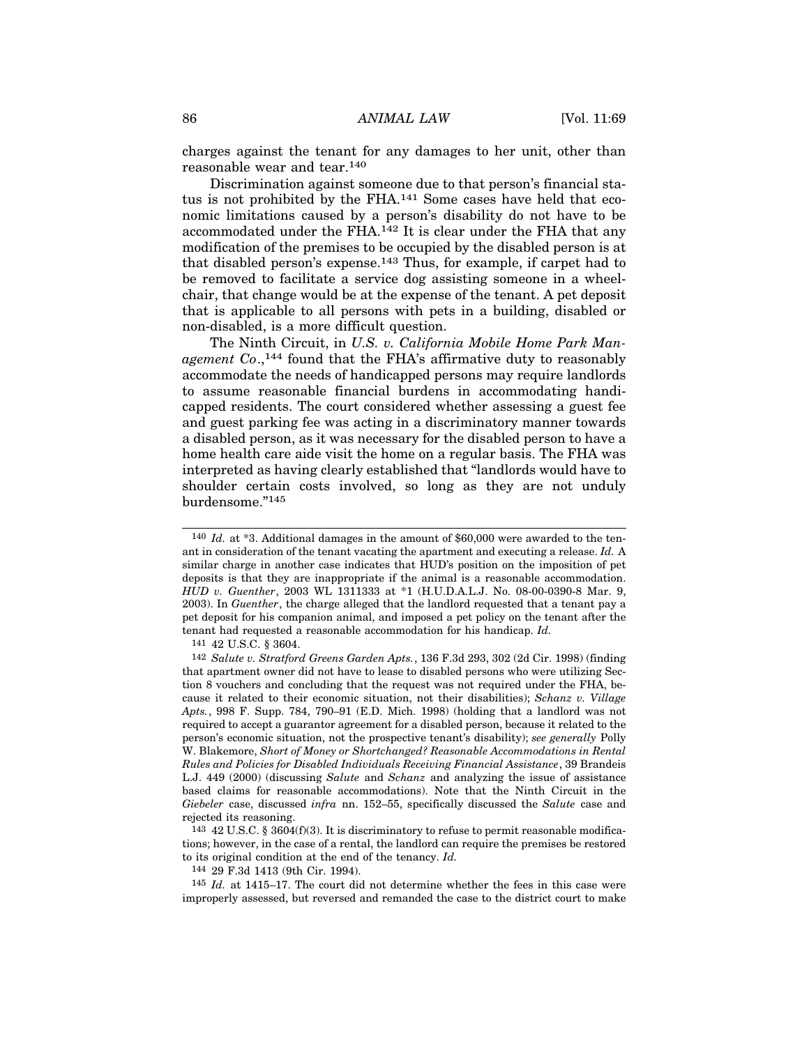charges against the tenant for any damages to her unit, other than reasonable wear and tear.140

Discrimination against someone due to that person's financial status is not prohibited by the FHA.<sup>141</sup> Some cases have held that economic limitations caused by a person's disability do not have to be accommodated under the FHA.142 It is clear under the FHA that any modification of the premises to be occupied by the disabled person is at that disabled person's expense.143 Thus, for example, if carpet had to be removed to facilitate a service dog assisting someone in a wheelchair, that change would be at the expense of the tenant. A pet deposit that is applicable to all persons with pets in a building, disabled or non-disabled, is a more difficult question.

The Ninth Circuit, in *U.S. v. California Mobile Home Park Man*agement Co.,<sup>144</sup> found that the FHA's affirmative duty to reasonably accommodate the needs of handicapped persons may require landlords to assume reasonable financial burdens in accommodating handicapped residents. The court considered whether assessing a guest fee and guest parking fee was acting in a discriminatory manner towards a disabled person, as it was necessary for the disabled person to have a home health care aide visit the home on a regular basis. The FHA was interpreted as having clearly established that "landlords would have to shoulder certain costs involved, so long as they are not unduly burdensome."145

141 42 U.S.C. § 3604.

143 42 U.S.C. § 3604(f)(3). It is discriminatory to refuse to permit reasonable modifications; however, in the case of a rental, the landlord can require the premises be restored to its original condition at the end of the tenancy. *Id.*

144 29 F.3d 1413 (9th Cir. 1994).

145 *Id.* at 1415–17. The court did not determine whether the fees in this case were improperly assessed, but reversed and remanded the case to the district court to make

<sup>140</sup> *Id.* at \*3. Additional damages in the amount of \$60,000 were awarded to the tenant in consideration of the tenant vacating the apartment and executing a release. *Id.* A similar charge in another case indicates that HUD's position on the imposition of pet deposits is that they are inappropriate if the animal is a reasonable accommodation. *HUD v. Guenther*, 2003 WL 1311333 at \*1 (H.U.D.A.L.J. No. 08-00-0390-8 Mar. 9, 2003). In *Guenther*, the charge alleged that the landlord requested that a tenant pay a pet deposit for his companion animal, and imposed a pet policy on the tenant after the tenant had requested a reasonable accommodation for his handicap. *Id.*

<sup>142</sup> *Salute v. Stratford Greens Garden Apts.*, 136 F.3d 293, 302 (2d Cir. 1998) (finding that apartment owner did not have to lease to disabled persons who were utilizing Section 8 vouchers and concluding that the request was not required under the FHA, because it related to their economic situation, not their disabilities); *Schanz v. Village Apts.*, 998 F. Supp. 784, 790–91 (E.D. Mich. 1998) (holding that a landlord was not required to accept a guarantor agreement for a disabled person, because it related to the person's economic situation, not the prospective tenant's disability); *see generally* Polly W. Blakemore, *Short of Money or Shortchanged? Reasonable Accommodations in Rental Rules and Policies for Disabled Individuals Receiving Financial Assistance*, 39 Brandeis L.J. 449 (2000) (discussing *Salute* and *Schanz* and analyzing the issue of assistance based claims for reasonable accommodations). Note that the Ninth Circuit in the *Giebeler* case, discussed *infra* nn. 152–55, specifically discussed the *Salute* case and rejected its reasoning.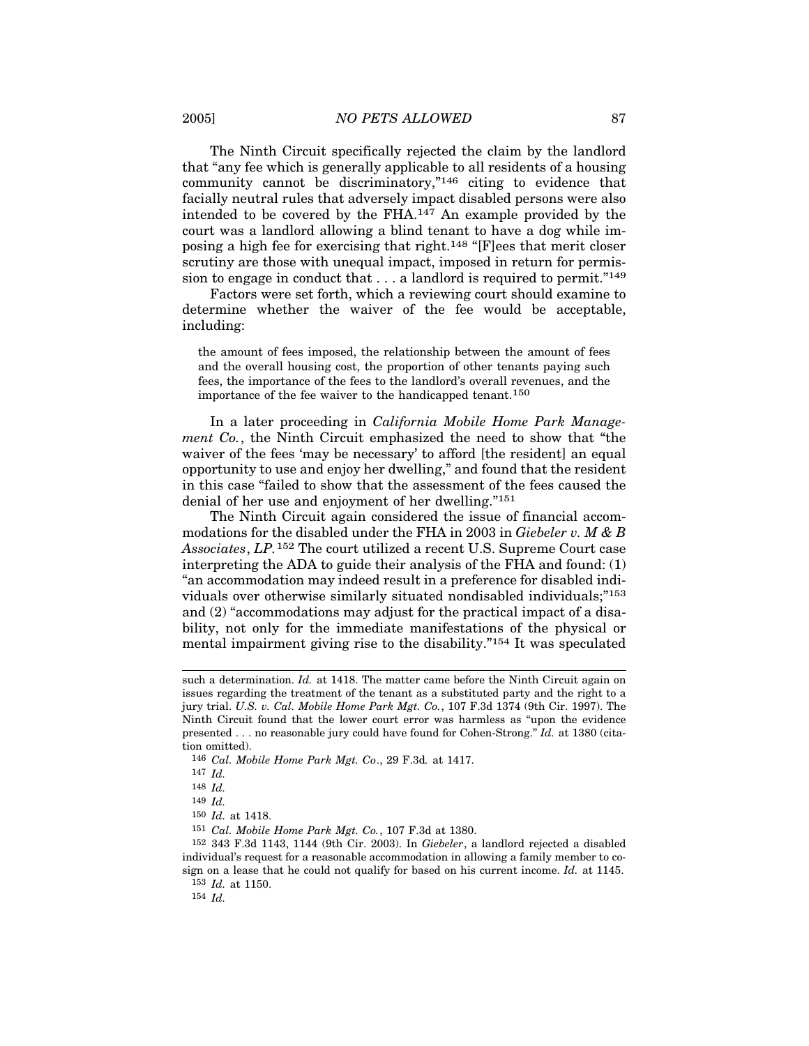The Ninth Circuit specifically rejected the claim by the landlord that "any fee which is generally applicable to all residents of a housing community cannot be discriminatory,"146 citing to evidence that facially neutral rules that adversely impact disabled persons were also intended to be covered by the  $FHA$ .<sup>147</sup> An example provided by the court was a landlord allowing a blind tenant to have a dog while imposing a high fee for exercising that right.148 "[F]ees that merit closer scrutiny are those with unequal impact, imposed in return for permission to engage in conduct that  $\dots$  a landlord is required to permit."<sup>149</sup>

Factors were set forth, which a reviewing court should examine to determine whether the waiver of the fee would be acceptable, including:

the amount of fees imposed, the relationship between the amount of fees and the overall housing cost, the proportion of other tenants paying such fees, the importance of the fees to the landlord's overall revenues, and the importance of the fee waiver to the handicapped tenant.150

In a later proceeding in *California Mobile Home Park Management Co.*, the Ninth Circuit emphasized the need to show that "the waiver of the fees 'may be necessary' to afford [the resident] an equal opportunity to use and enjoy her dwelling," and found that the resident in this case "failed to show that the assessment of the fees caused the denial of her use and enjoyment of her dwelling."151

The Ninth Circuit again considered the issue of financial accommodations for the disabled under the FHA in 2003 in *Giebeler v. M & B Associates*, *LP.*152 The court utilized a recent U.S. Supreme Court case interpreting the ADA to guide their analysis of the FHA and found: (1) "an accommodation may indeed result in a preference for disabled individuals over otherwise similarly situated nondisabled individuals;"153 and (2) "accommodations may adjust for the practical impact of a disability, not only for the immediate manifestations of the physical or mental impairment giving rise to the disability."154 It was speculated

146 *Cal. Mobile Home Park Mgt. Co*., 29 F.3d*.* at 1417.

152 343 F.3d 1143, 1144 (9th Cir. 2003). In *Giebeler*, a landlord rejected a disabled individual's request for a reasonable accommodation in allowing a family member to cosign on a lease that he could not qualify for based on his current income. *Id.* at 1145. 153 *Id.* at 1150.

154 *Id.*

such a determination. *Id.* at 1418. The matter came before the Ninth Circuit again on issues regarding the treatment of the tenant as a substituted party and the right to a jury trial. *U.S. v. Cal. Mobile Home Park Mgt. Co.*, 107 F.3d 1374 (9th Cir. 1997). The Ninth Circuit found that the lower court error was harmless as "upon the evidence presented . . . no reasonable jury could have found for Cohen-Strong." *Id.* at 1380 (citation omitted).

<sup>147</sup> *Id.*

<sup>148</sup> *Id.*

<sup>149</sup> *Id.*

<sup>150</sup> *Id.* at 1418.

<sup>151</sup> *Cal. Mobile Home Park Mgt. Co.*, 107 F.3d at 1380.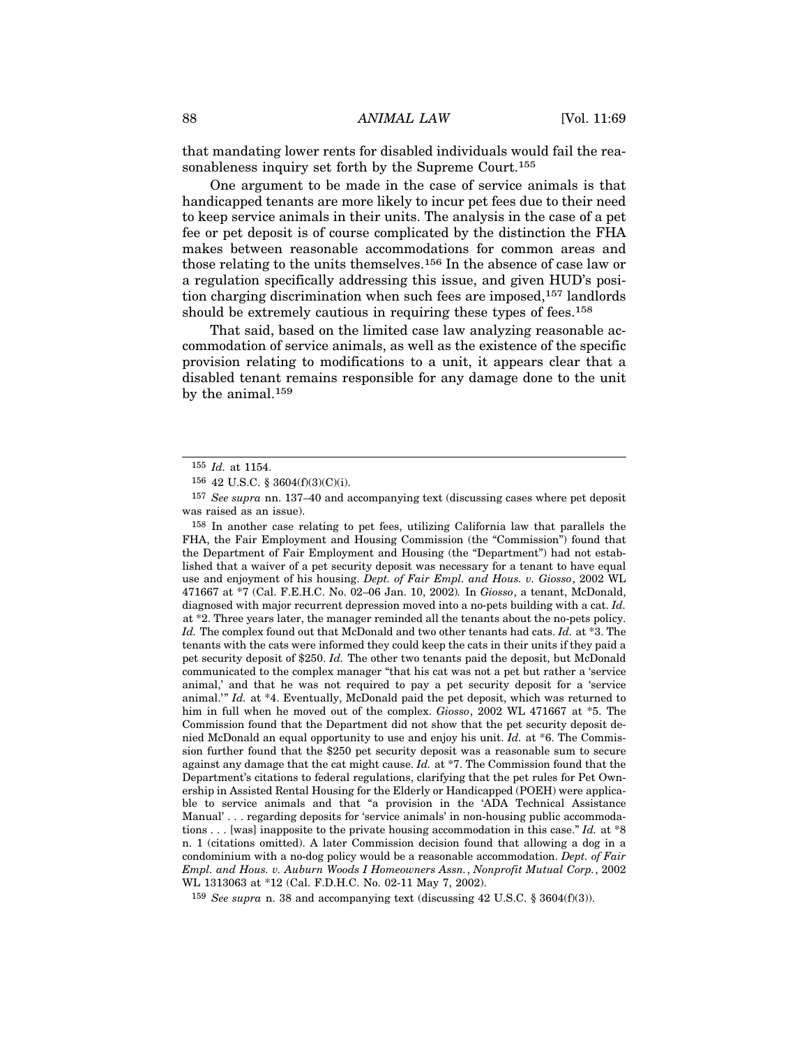that mandating lower rents for disabled individuals would fail the reasonableness inquiry set forth by the Supreme Court.<sup>155</sup>

One argument to be made in the case of service animals is that handicapped tenants are more likely to incur pet fees due to their need to keep service animals in their units. The analysis in the case of a pet fee or pet deposit is of course complicated by the distinction the FHA makes between reasonable accommodations for common areas and those relating to the units themselves.156 In the absence of case law or a regulation specifically addressing this issue, and given HUD's position charging discrimination when such fees are imposed,157 landlords should be extremely cautious in requiring these types of fees.<sup>158</sup>

That said, based on the limited case law analyzing reasonable accommodation of service animals, as well as the existence of the specific provision relating to modifications to a unit, it appears clear that a disabled tenant remains responsible for any damage done to the unit by the animal.159

158 In another case relating to pet fees, utilizing California law that parallels the FHA, the Fair Employment and Housing Commission (the "Commission") found that the Department of Fair Employment and Housing (the "Department") had not established that a waiver of a pet security deposit was necessary for a tenant to have equal use and enjoyment of his housing. *Dept. of Fair Empl. and Hous. v. Giosso*, 2002 WL 471667 at \*7 (Cal. F.E.H.C. No. 02–06 Jan. 10, 2002)*.* In *Giosso*, a tenant, McDonald, diagnosed with major recurrent depression moved into a no-pets building with a cat. *Id.* at \*2. Three years later, the manager reminded all the tenants about the no-pets policy. *Id.* The complex found out that McDonald and two other tenants had cats. *Id.* at \*3. The tenants with the cats were informed they could keep the cats in their units if they paid a pet security deposit of \$250. *Id.* The other two tenants paid the deposit, but McDonald communicated to the complex manager "that his cat was not a pet but rather a 'service animal,' and that he was not required to pay a pet security deposit for a 'service animal.'" *Id.* at \*4. Eventually, McDonald paid the pet deposit, which was returned to him in full when he moved out of the complex. *Giosso*, 2002 WL 471667 at \*5. The Commission found that the Department did not show that the pet security deposit denied McDonald an equal opportunity to use and enjoy his unit. *Id.* at \*6. The Commission further found that the \$250 pet security deposit was a reasonable sum to secure against any damage that the cat might cause. *Id.* at \*7. The Commission found that the Department's citations to federal regulations, clarifying that the pet rules for Pet Ownership in Assisted Rental Housing for the Elderly or Handicapped (POEH) were applicable to service animals and that "a provision in the 'ADA Technical Assistance Manual' . . . regarding deposits for 'service animals' in non-housing public accommodations . . . [was] inapposite to the private housing accommodation in this case." *Id.* at \*8 n. 1 (citations omitted). A later Commission decision found that allowing a dog in a condominium with a no-dog policy would be a reasonable accommodation. *Dept. of Fair Empl. and Hous. v. Auburn Woods I Homeowners Assn.*, *Nonprofit Mutual Corp.*, 2002 WL 1313063 at \*12 (Cal. F.D.H.C. No. 02-11 May 7, 2002).

159 *See supra* n. 38 and accompanying text (discussing 42 U.S.C. § 3604(f)(3)).

<sup>155</sup> *Id.* at 1154.

<sup>156</sup> 42 U.S.C. § 3604(f)(3)(C)(i).

<sup>157</sup> *See supra* nn. 137–40 and accompanying text (discussing cases where pet deposit was raised as an issue).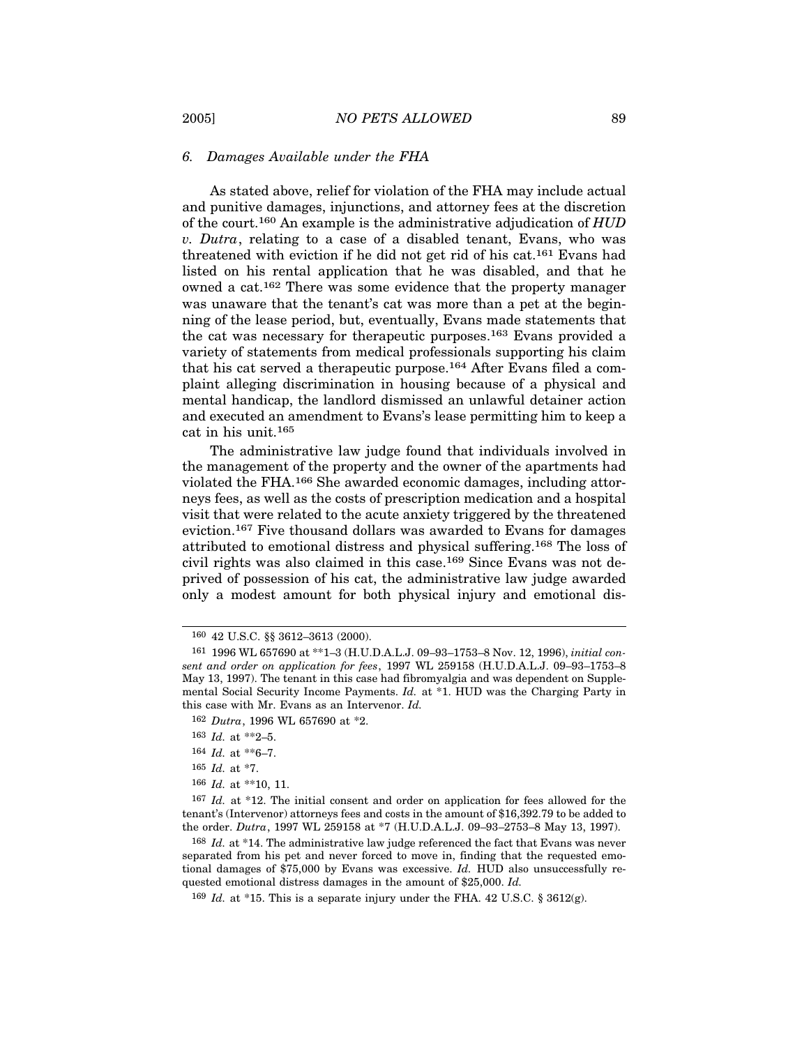## *6. Damages Available under the FHA*

As stated above, relief for violation of the FHA may include actual and punitive damages, injunctions, and attorney fees at the discretion of the court.160 An example is the administrative adjudication of *HUD v. Dutra*, relating to a case of a disabled tenant, Evans, who was threatened with eviction if he did not get rid of his cat.161 Evans had listed on his rental application that he was disabled, and that he owned a cat.162 There was some evidence that the property manager was unaware that the tenant's cat was more than a pet at the beginning of the lease period, but, eventually, Evans made statements that the cat was necessary for therapeutic purposes.163 Evans provided a variety of statements from medical professionals supporting his claim that his cat served a therapeutic purpose.164 After Evans filed a complaint alleging discrimination in housing because of a physical and mental handicap, the landlord dismissed an unlawful detainer action and executed an amendment to Evans's lease permitting him to keep a cat in his unit.165

The administrative law judge found that individuals involved in the management of the property and the owner of the apartments had violated the FHA.166 She awarded economic damages, including attorneys fees, as well as the costs of prescription medication and a hospital visit that were related to the acute anxiety triggered by the threatened eviction.167 Five thousand dollars was awarded to Evans for damages attributed to emotional distress and physical suffering.168 The loss of civil rights was also claimed in this case.169 Since Evans was not deprived of possession of his cat, the administrative law judge awarded only a modest amount for both physical injury and emotional dis-

165 *Id.* at \*7.

<sup>160</sup> 42 U.S.C. §§ 3612–3613 (2000).

<sup>161</sup> 1996 WL 657690 at \*\*1–3 (H.U.D.A.L.J. 09–93–1753–8 Nov. 12, 1996), *initial consent and order on application for fees*, 1997 WL 259158 (H.U.D.A.L.J. 09–93–1753–8 May 13, 1997). The tenant in this case had fibromyalgia and was dependent on Supplemental Social Security Income Payments. *Id.* at \*1. HUD was the Charging Party in this case with Mr. Evans as an Intervenor. *Id.*

<sup>162</sup> *Dutra*, 1996 WL 657690 at \*2.

<sup>163</sup> *Id.* at \*\*2–5.

<sup>164</sup> *Id.* at \*\*6–7.

<sup>166</sup> *Id.* at \*\*10, 11.

<sup>167</sup> *Id.* at \*12. The initial consent and order on application for fees allowed for the tenant's (Intervenor) attorneys fees and costs in the amount of \$16,392.79 to be added to the order. *Dutra*, 1997 WL 259158 at \*7 (H.U.D.A.L.J. 09–93–2753–8 May 13, 1997).

<sup>&</sup>lt;sup>168</sup> *Id.* at \*14. The administrative law judge referenced the fact that Evans was never separated from his pet and never forced to move in, finding that the requested emotional damages of \$75,000 by Evans was excessive. *Id.* HUD also unsuccessfully requested emotional distress damages in the amount of \$25,000. *Id.*

<sup>169</sup> *Id.* at \*15. This is a separate injury under the FHA. 42 U.S.C. § 3612(g).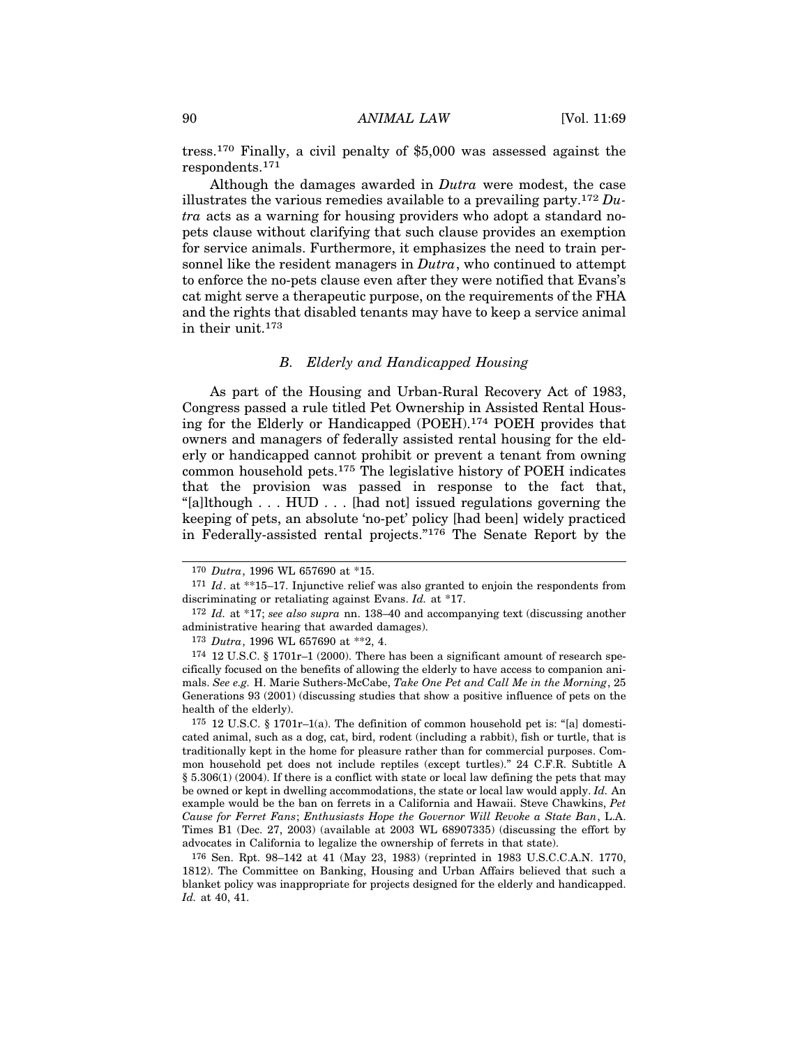tress.170 Finally, a civil penalty of \$5,000 was assessed against the respondents.171

Although the damages awarded in *Dutra* were modest, the case illustrates the various remedies available to a prevailing party.172 *Dutra* acts as a warning for housing providers who adopt a standard nopets clause without clarifying that such clause provides an exemption for service animals. Furthermore, it emphasizes the need to train personnel like the resident managers in *Dutra*, who continued to attempt to enforce the no-pets clause even after they were notified that Evans's cat might serve a therapeutic purpose, on the requirements of the FHA and the rights that disabled tenants may have to keep a service animal in their unit.173

## *B. Elderly and Handicapped Housing*

As part of the Housing and Urban-Rural Recovery Act of 1983, Congress passed a rule titled Pet Ownership in Assisted Rental Housing for the Elderly or Handicapped (POEH).174 POEH provides that owners and managers of federally assisted rental housing for the elderly or handicapped cannot prohibit or prevent a tenant from owning common household pets.175 The legislative history of POEH indicates that the provision was passed in response to the fact that, "[a]lthough . . . HUD . . . [had not] issued regulations governing the keeping of pets, an absolute 'no-pet' policy [had been] widely practiced in Federally-assisted rental projects."176 The Senate Report by the

<sup>170</sup> *Dutra*, 1996 WL 657690 at \*15.

<sup>171</sup> *Id*. at \*\*15–17. Injunctive relief was also granted to enjoin the respondents from discriminating or retaliating against Evans. *Id.* at \*17.

<sup>172</sup> *Id.* at \*17; *see also supra* nn. 138–40 and accompanying text (discussing another administrative hearing that awarded damages).

<sup>173</sup> *Dutra*, 1996 WL 657690 at \*\*2, 4.

 $174$  12 U.S.C. § 1701 $r-1$  (2000). There has been a significant amount of research specifically focused on the benefits of allowing the elderly to have access to companion animals. *See e.g.* H. Marie Suthers-McCabe, *Take One Pet and Call Me in the Morning*, 25 Generations 93 (2001) (discussing studies that show a positive influence of pets on the health of the elderly).

 $175$  12 U.S.C. § 1701r–1(a). The definition of common household pet is: "[a] domesticated animal, such as a dog, cat, bird, rodent (including a rabbit), fish or turtle, that is traditionally kept in the home for pleasure rather than for commercial purposes. Common household pet does not include reptiles (except turtles)." 24 C.F.R. Subtitle A § 5.306(1) (2004). If there is a conflict with state or local law defining the pets that may be owned or kept in dwelling accommodations, the state or local law would apply. *Id.* An example would be the ban on ferrets in a California and Hawaii. Steve Chawkins, *Pet Cause for Ferret Fans*; *Enthusiasts Hope the Governor Will Revoke a State Ban*, L.A. Times B1 (Dec. 27, 2003) (available at 2003 WL 68907335) (discussing the effort by advocates in California to legalize the ownership of ferrets in that state).

<sup>176</sup> Sen. Rpt. 98–142 at 41 (May 23, 1983) (reprinted in 1983 U.S.C.C.A.N. 1770, 1812). The Committee on Banking, Housing and Urban Affairs believed that such a blanket policy was inappropriate for projects designed for the elderly and handicapped. *Id.* at 40, 41.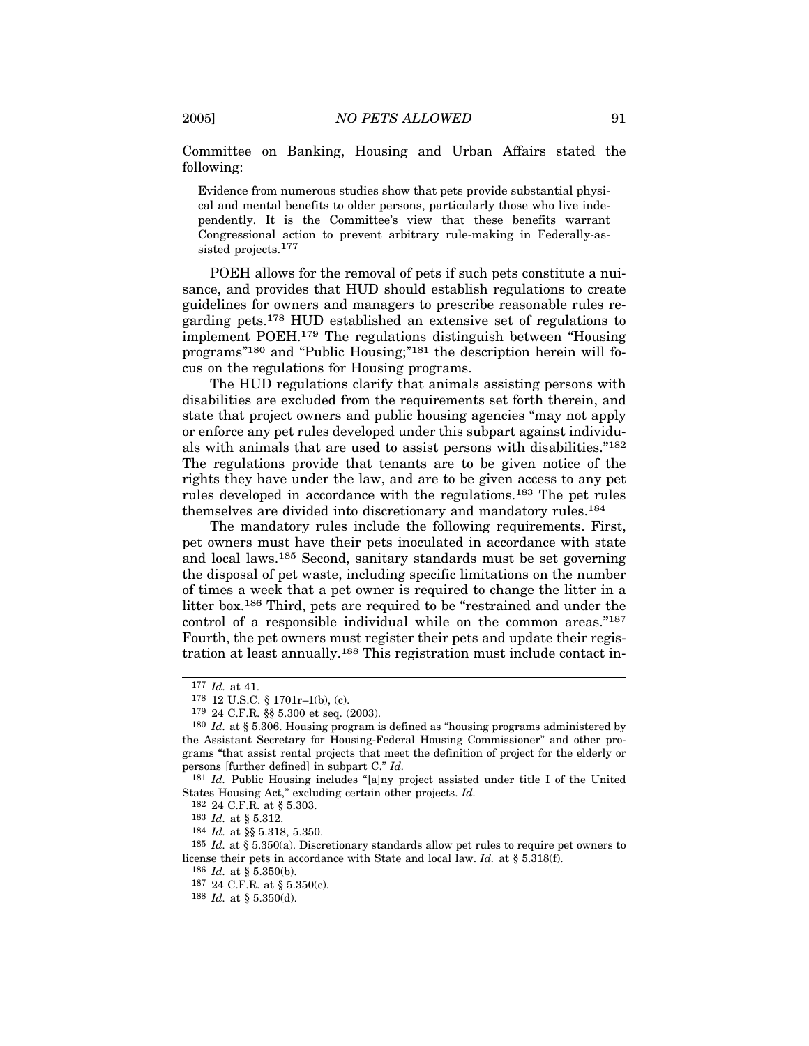Committee on Banking, Housing and Urban Affairs stated the following:

Evidence from numerous studies show that pets provide substantial physical and mental benefits to older persons, particularly those who live independently. It is the Committee's view that these benefits warrant Congressional action to prevent arbitrary rule-making in Federally-assisted projects.<sup>177</sup>

POEH allows for the removal of pets if such pets constitute a nuisance, and provides that HUD should establish regulations to create guidelines for owners and managers to prescribe reasonable rules regarding pets.178 HUD established an extensive set of regulations to implement POEH.179 The regulations distinguish between "Housing programs"180 and "Public Housing;"181 the description herein will focus on the regulations for Housing programs.

The HUD regulations clarify that animals assisting persons with disabilities are excluded from the requirements set forth therein, and state that project owners and public housing agencies "may not apply or enforce any pet rules developed under this subpart against individuals with animals that are used to assist persons with disabilities."182 The regulations provide that tenants are to be given notice of the rights they have under the law, and are to be given access to any pet rules developed in accordance with the regulations.183 The pet rules themselves are divided into discretionary and mandatory rules.184

The mandatory rules include the following requirements. First, pet owners must have their pets inoculated in accordance with state and local laws.185 Second, sanitary standards must be set governing the disposal of pet waste, including specific limitations on the number of times a week that a pet owner is required to change the litter in a litter box.186 Third, pets are required to be "restrained and under the control of a responsible individual while on the common areas."187 Fourth, the pet owners must register their pets and update their registration at least annually.188 This registration must include contact in-

<sup>177</sup> *Id.* at 41.

<sup>178</sup> 12 U.S.C. § 1701r–1(b), (c).

<sup>179</sup> 24 C.F.R. §§ 5.300 et seq. (2003).

<sup>180</sup> *Id.* at § 5.306. Housing program is defined as "housing programs administered by the Assistant Secretary for Housing-Federal Housing Commissioner" and other programs "that assist rental projects that meet the definition of project for the elderly or persons [further defined] in subpart C." *Id.*

<sup>181</sup> *Id.* Public Housing includes "[a]ny project assisted under title I of the United States Housing Act," excluding certain other projects. *Id.*

<sup>182</sup> 24 C.F.R. at § 5.303.

<sup>183</sup> *Id.* at § 5.312.

<sup>184</sup> *Id.* at §§ 5.318, 5.350.

<sup>185</sup> *Id.* at § 5.350(a). Discretionary standards allow pet rules to require pet owners to license their pets in accordance with State and local law. *Id.* at § 5.318(f).

<sup>186</sup> *Id.* at § 5.350(b).

<sup>187</sup> 24 C.F.R. at § 5.350(c).

<sup>188</sup> *Id.* at § 5.350(d).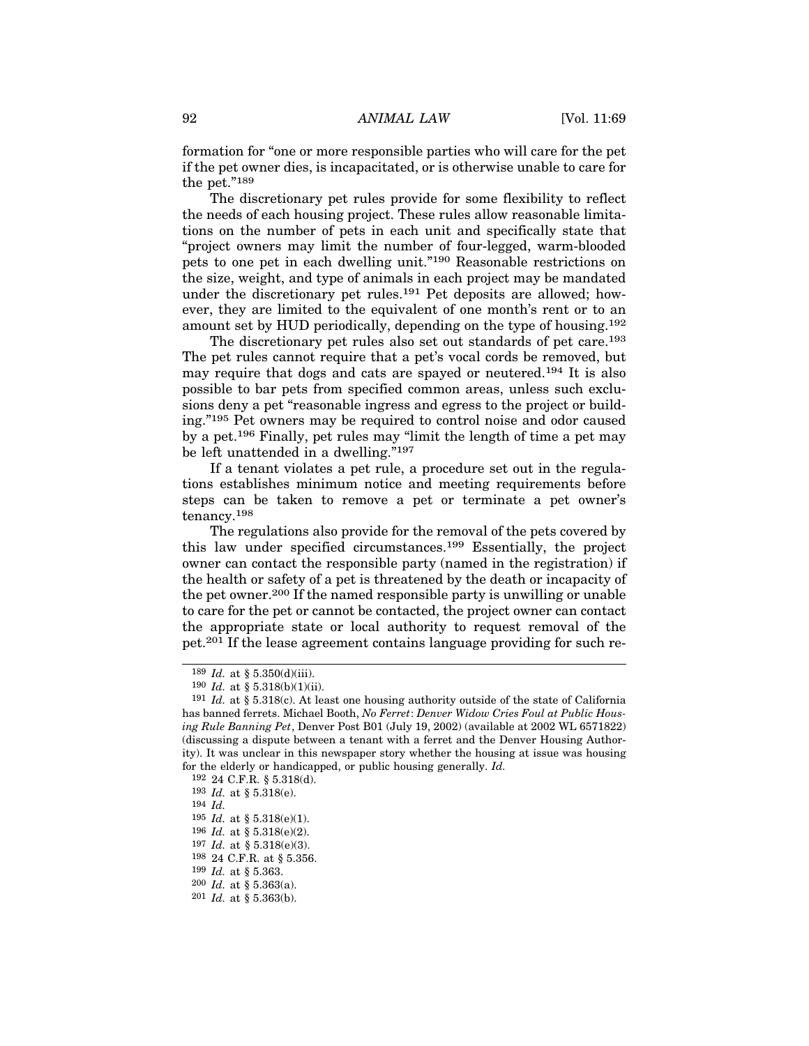formation for "one or more responsible parties who will care for the pet if the pet owner dies, is incapacitated, or is otherwise unable to care for the pet."189

The discretionary pet rules provide for some flexibility to reflect the needs of each housing project. These rules allow reasonable limitations on the number of pets in each unit and specifically state that "project owners may limit the number of four-legged, warm-blooded pets to one pet in each dwelling unit."190 Reasonable restrictions on the size, weight, and type of animals in each project may be mandated under the discretionary pet rules.191 Pet deposits are allowed; however, they are limited to the equivalent of one month's rent or to an amount set by HUD periodically, depending on the type of housing.192

The discretionary pet rules also set out standards of pet care.<sup>193</sup> The pet rules cannot require that a pet's vocal cords be removed, but may require that dogs and cats are spayed or neutered.194 It is also possible to bar pets from specified common areas, unless such exclusions deny a pet "reasonable ingress and egress to the project or building."195 Pet owners may be required to control noise and odor caused by a pet.196 Finally, pet rules may "limit the length of time a pet may be left unattended in a dwelling."197

If a tenant violates a pet rule, a procedure set out in the regulations establishes minimum notice and meeting requirements before steps can be taken to remove a pet or terminate a pet owner's tenancy.198

The regulations also provide for the removal of the pets covered by this law under specified circumstances.199 Essentially, the project owner can contact the responsible party (named in the registration) if the health or safety of a pet is threatened by the death or incapacity of the pet owner.200 If the named responsible party is unwilling or unable to care for the pet or cannot be contacted, the project owner can contact the appropriate state or local authority to request removal of the pet.201 If the lease agreement contains language providing for such re-

<sup>189</sup> *Id.* at § 5.350(d)(iii).

 $190$  *Id.* at § 5.318(b)(1)(ii).

<sup>191</sup> *Id.* at § 5.318(c). At least one housing authority outside of the state of California has banned ferrets. Michael Booth, *No Ferret*: *Denver Widow Cries Foul at Public Housing Rule Banning Pet*, Denver Post B01 (July 19, 2002) (available at 2002 WL 6571822) (discussing a dispute between a tenant with a ferret and the Denver Housing Authority). It was unclear in this newspaper story whether the housing at issue was housing for the elderly or handicapped, or public housing generally. *Id.*

<sup>192</sup> 24 C.F.R. § 5.318(d).

<sup>193</sup> *Id.* at § 5.318(e).

<sup>194</sup> *Id.*

<sup>195</sup> *Id.* at § 5.318(e)(1).

<sup>196</sup> *Id.* at § 5.318(e)(2).

<sup>197</sup> *Id.* at § 5.318(e)(3).

<sup>198</sup> 24 C.F.R. at § 5.356.

<sup>199</sup> *Id.* at § 5.363.

<sup>200</sup> *Id.* at § 5.363(a).

<sup>201</sup> *Id.* at § 5.363(b).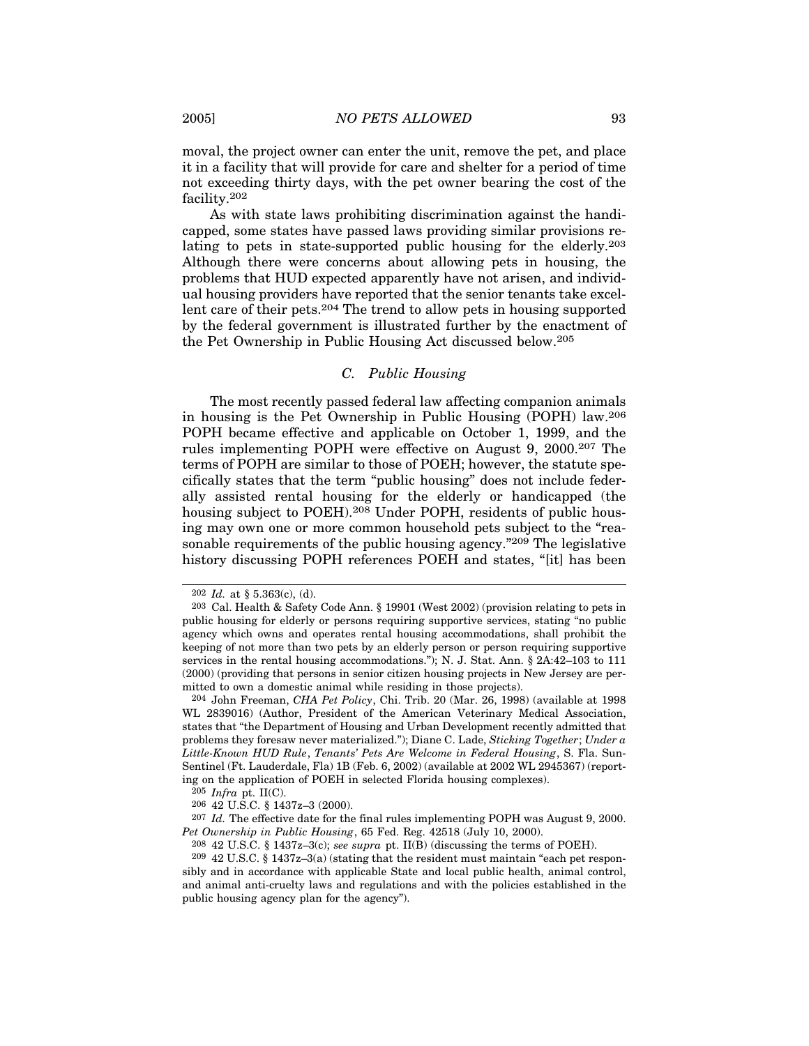moval, the project owner can enter the unit, remove the pet, and place it in a facility that will provide for care and shelter for a period of time not exceeding thirty days, with the pet owner bearing the cost of the facility.202

As with state laws prohibiting discrimination against the handicapped, some states have passed laws providing similar provisions relating to pets in state-supported public housing for the elderly.203 Although there were concerns about allowing pets in housing, the problems that HUD expected apparently have not arisen, and individual housing providers have reported that the senior tenants take excellent care of their pets.204 The trend to allow pets in housing supported by the federal government is illustrated further by the enactment of the Pet Ownership in Public Housing Act discussed below.205

## *C. Public Housing*

The most recently passed federal law affecting companion animals in housing is the Pet Ownership in Public Housing (POPH) law.206 POPH became effective and applicable on October 1, 1999, and the rules implementing POPH were effective on August 9, 2000.207 The terms of POPH are similar to those of POEH; however, the statute specifically states that the term "public housing" does not include federally assisted rental housing for the elderly or handicapped (the housing subject to POEH).<sup>208</sup> Under POPH, residents of public housing may own one or more common household pets subject to the "reasonable requirements of the public housing agency."209 The legislative history discussing POPH references POEH and states, "[it] has been

205 *Infra* pt. II(C).

<sup>202</sup> *Id.* at § 5.363(c), (d).

<sup>203</sup> Cal. Health & Safety Code Ann. § 19901 (West 2002) (provision relating to pets in public housing for elderly or persons requiring supportive services, stating "no public agency which owns and operates rental housing accommodations, shall prohibit the keeping of not more than two pets by an elderly person or person requiring supportive services in the rental housing accommodations."); N. J. Stat. Ann. § 2A:42–103 to 111 (2000) (providing that persons in senior citizen housing projects in New Jersey are permitted to own a domestic animal while residing in those projects).

<sup>204</sup> John Freeman, *CHA Pet Policy*, Chi. Trib. 20 (Mar. 26, 1998) (available at 1998 WL 2839016) (Author, President of the American Veterinary Medical Association, states that "the Department of Housing and Urban Development recently admitted that problems they foresaw never materialized."); Diane C. Lade, *Sticking Together*; *Under a Little-Known HUD Rule*, *Tenants' Pets Are Welcome in Federal Housing*, S. Fla. Sun-Sentinel (Ft. Lauderdale, Fla) 1B (Feb. 6, 2002) (available at 2002 WL 2945367) (reporting on the application of POEH in selected Florida housing complexes).

<sup>206</sup> 42 U.S.C. § 1437z–3 (2000).

<sup>207</sup> *Id.* The effective date for the final rules implementing POPH was August 9, 2000. *Pet Ownership in Public Housing*, 65 Fed. Reg. 42518 (July 10, 2000).

<sup>208</sup> 42 U.S.C. § 1437z–3(c); *see supra* pt. II(B) (discussing the terms of POEH).

<sup>209</sup> 42 U.S.C. § 1437z–3(a) (stating that the resident must maintain "each pet responsibly and in accordance with applicable State and local public health, animal control, and animal anti-cruelty laws and regulations and with the policies established in the public housing agency plan for the agency").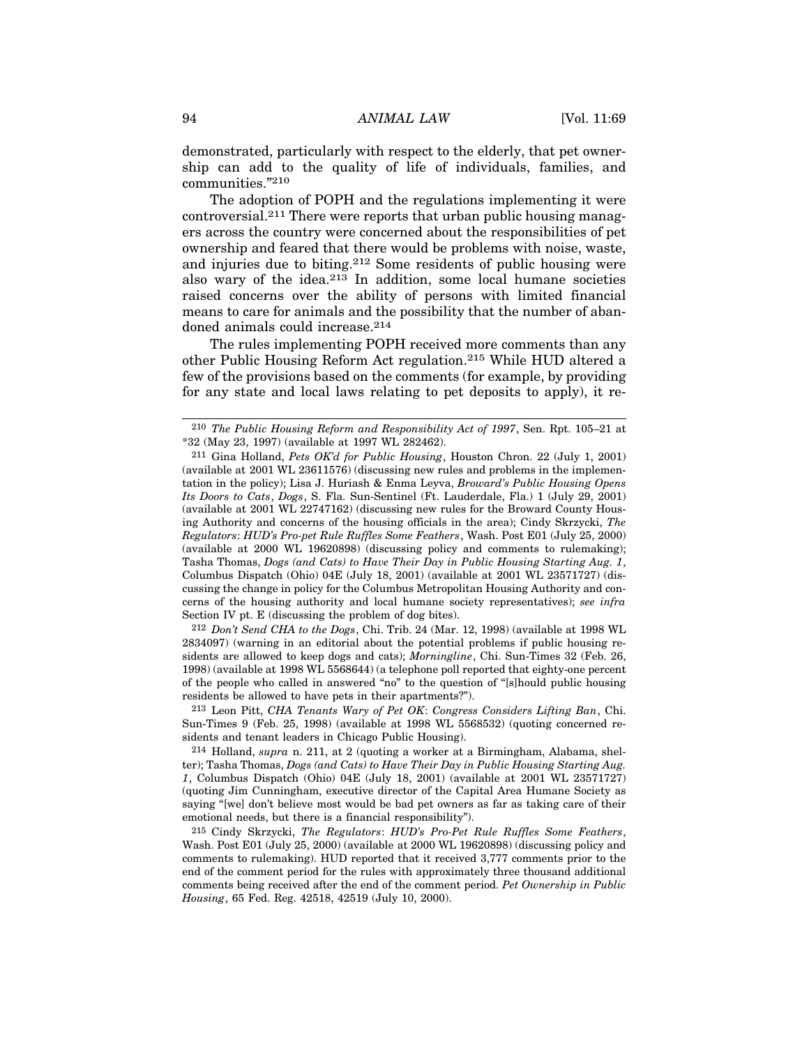demonstrated, particularly with respect to the elderly, that pet ownership can add to the quality of life of individuals, families, and communities."210

The adoption of POPH and the regulations implementing it were controversial.211 There were reports that urban public housing managers across the country were concerned about the responsibilities of pet ownership and feared that there would be problems with noise, waste, and injuries due to biting.212 Some residents of public housing were also wary of the idea.213 In addition, some local humane societies raised concerns over the ability of persons with limited financial means to care for animals and the possibility that the number of abandoned animals could increase.214

The rules implementing POPH received more comments than any other Public Housing Reform Act regulation.215 While HUD altered a few of the provisions based on the comments (for example, by providing for any state and local laws relating to pet deposits to apply), it re-

212 *Don't Send CHA to the Dogs*, Chi. Trib. 24 (Mar. 12, 1998) (available at 1998 WL 2834097) (warning in an editorial about the potential problems if public housing residents are allowed to keep dogs and cats); *Morningline*, Chi. Sun-Times 32 (Feb. 26, 1998) (available at 1998 WL 5568644) (a telephone poll reported that eighty-one percent of the people who called in answered "no" to the question of "[s]hould public housing residents be allowed to have pets in their apartments?").

213 Leon Pitt, *CHA Tenants Wary of Pet OK*: *Congress Considers Lifting Ban*, Chi. Sun-Times 9 (Feb. 25, 1998) (available at 1998 WL 5568532) (quoting concerned residents and tenant leaders in Chicago Public Housing).

214 Holland, *supra* n. 211, at 2 (quoting a worker at a Birmingham, Alabama, shelter); Tasha Thomas, *Dogs (and Cats) to Have Their Day in Public Housing Starting Aug. 1*, Columbus Dispatch (Ohio) 04E (July 18, 2001) (available at 2001 WL 23571727) (quoting Jim Cunningham, executive director of the Capital Area Humane Society as saying "[we] don't believe most would be bad pet owners as far as taking care of their emotional needs, but there is a financial responsibility").

215 Cindy Skrzycki, *The Regulators*: *HUD's Pro-Pet Rule Ruffles Some Feathers*, Wash. Post E01 (July 25, 2000) (available at 2000 WL 19620898) (discussing policy and comments to rulemaking). HUD reported that it received 3,777 comments prior to the end of the comment period for the rules with approximately three thousand additional comments being received after the end of the comment period. *Pet Ownership in Public Housing*, 65 Fed. Reg. 42518, 42519 (July 10, 2000).

<sup>210</sup> *The Public Housing Reform and Responsibility Act of 1997*, Sen. Rpt. 105–21 at \*32 (May 23, 1997) (available at 1997 WL 282462).

<sup>211</sup> Gina Holland, *Pets OK'd for Public Housing*, Houston Chron. 22 (July 1, 2001) (available at 2001 WL 23611576) (discussing new rules and problems in the implementation in the policy); Lisa J. Huriash & Enma Leyva, *Broward's Public Housing Opens Its Doors to Cats*, *Dogs*, S. Fla. Sun-Sentinel (Ft. Lauderdale, Fla.) 1 (July 29, 2001) (available at 2001 WL 22747162) (discussing new rules for the Broward County Housing Authority and concerns of the housing officials in the area); Cindy Skrzycki, *The Regulators*: *HUD's Pro-pet Rule Ruffles Some Feathers*, Wash. Post E01 (July 25, 2000) (available at 2000 WL 19620898) (discussing policy and comments to rulemaking); Tasha Thomas, *Dogs (and Cats) to Have Their Day in Public Housing Starting Aug. 1*, Columbus Dispatch (Ohio) 04E (July 18, 2001) (available at 2001 WL 23571727) (discussing the change in policy for the Columbus Metropolitan Housing Authority and concerns of the housing authority and local humane society representatives); *see infra* Section IV pt. E (discussing the problem of dog bites).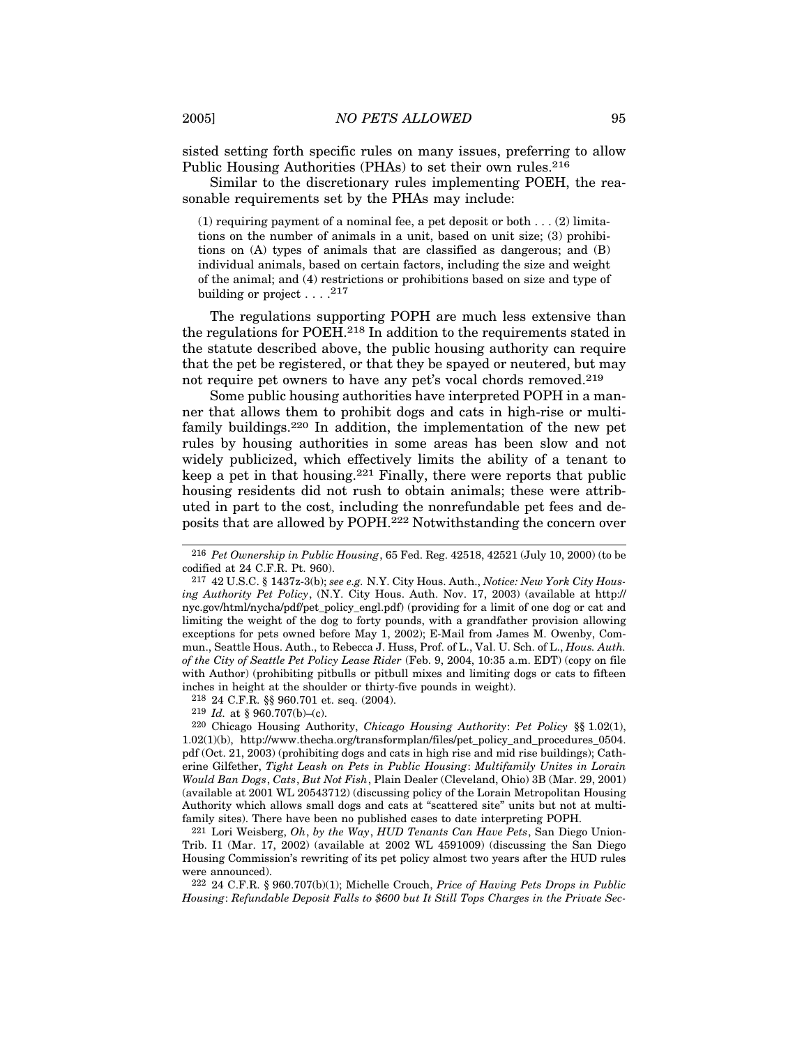sisted setting forth specific rules on many issues, preferring to allow Public Housing Authorities (PHAs) to set their own rules.<sup>216</sup>

Similar to the discretionary rules implementing POEH, the reasonable requirements set by the PHAs may include:

 $(1)$  requiring payment of a nominal fee, a pet deposit or both . . .  $(2)$  limitations on the number of animals in a unit, based on unit size; (3) prohibitions on (A) types of animals that are classified as dangerous; and (B) individual animals, based on certain factors, including the size and weight of the animal; and (4) restrictions or prohibitions based on size and type of building or project  $\ldots$  .<sup>217</sup>

The regulations supporting POPH are much less extensive than the regulations for POEH.218 In addition to the requirements stated in the statute described above, the public housing authority can require that the pet be registered, or that they be spayed or neutered, but may not require pet owners to have any pet's vocal chords removed.<sup>219</sup>

Some public housing authorities have interpreted POPH in a manner that allows them to prohibit dogs and cats in high-rise or multifamily buildings.220 In addition, the implementation of the new pet rules by housing authorities in some areas has been slow and not widely publicized, which effectively limits the ability of a tenant to keep a pet in that housing.221 Finally, there were reports that public housing residents did not rush to obtain animals; these were attributed in part to the cost, including the nonrefundable pet fees and deposits that are allowed by POPH.222 Notwithstanding the concern over

218 24 C.F.R. §§ 960.701 et. seq. (2004).

219 *Id.* at § 960.707(b)–(c).

220 Chicago Housing Authority, *Chicago Housing Authority*: *Pet Policy* §§ 1.02(1), 1.02(1)(b), http://www.thecha.org/transformplan/files/pet\_policy\_and\_procedures\_0504. pdf (Oct. 21, 2003) (prohibiting dogs and cats in high rise and mid rise buildings); Catherine Gilfether, *Tight Leash on Pets in Public Housing*: *Multifamily Unites in Lorain Would Ban Dogs*, *Cats*, *But Not Fish*, Plain Dealer (Cleveland, Ohio) 3B (Mar. 29, 2001) (available at 2001 WL 20543712) (discussing policy of the Lorain Metropolitan Housing Authority which allows small dogs and cats at "scattered site" units but not at multifamily sites). There have been no published cases to date interpreting POPH.

221 Lori Weisberg, *Oh*, *by the Way*, *HUD Tenants Can Have Pets*, San Diego Union-Trib. I1 (Mar. 17, 2002) (available at 2002 WL 4591009) (discussing the San Diego Housing Commission's rewriting of its pet policy almost two years after the HUD rules were announced).

222 24 C.F.R. § 960.707(b)(1); Michelle Crouch, *Price of Having Pets Drops in Public Housing*: *Refundable Deposit Falls to \$600 but It Still Tops Charges in the Private Sec-*

<sup>216</sup> *Pet Ownership in Public Housing*, 65 Fed. Reg. 42518, 42521 (July 10, 2000) (to be codified at 24 C.F.R. Pt. 960).

<sup>217</sup> 42 U.S.C. § 1437z-3(b); *see e.g.* N.Y. City Hous. Auth., *Notice: New York City Housing Authority Pet Policy*, (N.Y. City Hous. Auth. Nov. 17, 2003) (available at http:// nyc.gov/html/nycha/pdf/pet\_policy\_engl.pdf) (providing for a limit of one dog or cat and limiting the weight of the dog to forty pounds, with a grandfather provision allowing exceptions for pets owned before May 1, 2002); E-Mail from James M. Owenby, Commun., Seattle Hous. Auth., to Rebecca J. Huss, Prof. of L., Val. U. Sch. of L., *Hous. Auth. of the City of Seattle Pet Policy Lease Rider* (Feb. 9, 2004, 10:35 a.m. EDT) (copy on file with Author) (prohibiting pitbulls or pitbull mixes and limiting dogs or cats to fifteen inches in height at the shoulder or thirty-five pounds in weight).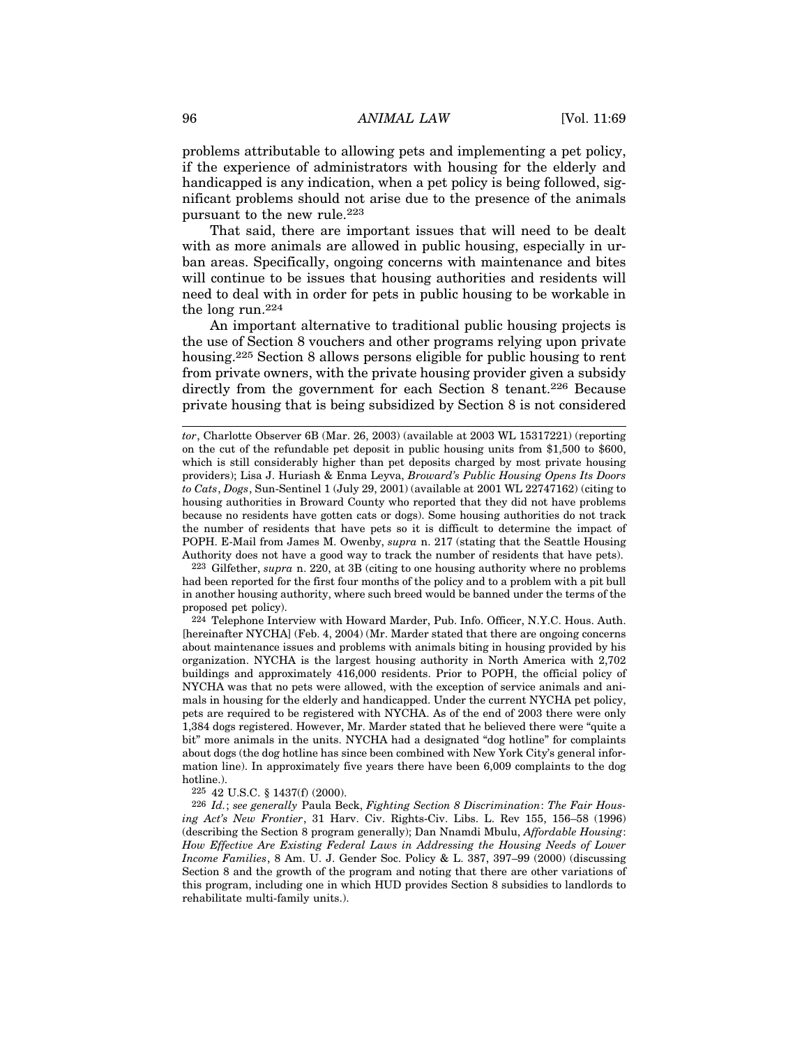problems attributable to allowing pets and implementing a pet policy, if the experience of administrators with housing for the elderly and handicapped is any indication, when a pet policy is being followed, significant problems should not arise due to the presence of the animals pursuant to the new rule.<sup>223</sup>

That said, there are important issues that will need to be dealt with as more animals are allowed in public housing, especially in urban areas. Specifically, ongoing concerns with maintenance and bites will continue to be issues that housing authorities and residents will need to deal with in order for pets in public housing to be workable in the long run.224

An important alternative to traditional public housing projects is the use of Section 8 vouchers and other programs relying upon private housing.225 Section 8 allows persons eligible for public housing to rent from private owners, with the private housing provider given a subsidy directly from the government for each Section 8 tenant.<sup>226</sup> Because private housing that is being subsidized by Section 8 is not considered

223 Gilfether, *supra* n. 220, at 3B (citing to one housing authority where no problems had been reported for the first four months of the policy and to a problem with a pit bull in another housing authority, where such breed would be banned under the terms of the proposed pet policy).

224 Telephone Interview with Howard Marder, Pub. Info. Officer, N.Y.C. Hous. Auth. [hereinafter NYCHA] (Feb. 4, 2004) (Mr. Marder stated that there are ongoing concerns about maintenance issues and problems with animals biting in housing provided by his organization. NYCHA is the largest housing authority in North America with 2,702 buildings and approximately 416,000 residents. Prior to POPH, the official policy of NYCHA was that no pets were allowed, with the exception of service animals and animals in housing for the elderly and handicapped. Under the current NYCHA pet policy, pets are required to be registered with NYCHA. As of the end of 2003 there were only 1,384 dogs registered. However, Mr. Marder stated that he believed there were "quite a bit" more animals in the units. NYCHA had a designated "dog hotline" for complaints about dogs (the dog hotline has since been combined with New York City's general information line). In approximately five years there have been 6,009 complaints to the dog hotline.).

225 42 U.S.C. § 1437(f) (2000).

226 *Id.*; *see generally* Paula Beck, *Fighting Section 8 Discrimination*: *The Fair Housing Act's New Frontier*, 31 Harv. Civ. Rights-Civ. Libs. L. Rev 155, 156–58 (1996) (describing the Section 8 program generally); Dan Nnamdi Mbulu, *Affordable Housing*: *How Effective Are Existing Federal Laws in Addressing the Housing Needs of Lower Income Families*, 8 Am. U. J. Gender Soc. Policy & L. 387, 397–99 (2000) (discussing Section 8 and the growth of the program and noting that there are other variations of this program, including one in which HUD provides Section 8 subsidies to landlords to rehabilitate multi-family units.).

*tor*, Charlotte Observer 6B (Mar. 26, 2003) (available at 2003 WL 15317221) (reporting on the cut of the refundable pet deposit in public housing units from \$1,500 to \$600, which is still considerably higher than pet deposits charged by most private housing providers); Lisa J. Huriash & Enma Leyva, *Broward's Public Housing Opens Its Doors to Cats*, *Dogs*, Sun-Sentinel 1 (July 29, 2001) (available at 2001 WL 22747162) (citing to housing authorities in Broward County who reported that they did not have problems because no residents have gotten cats or dogs). Some housing authorities do not track the number of residents that have pets so it is difficult to determine the impact of POPH. E-Mail from James M. Owenby, *supra* n. 217 (stating that the Seattle Housing Authority does not have a good way to track the number of residents that have pets).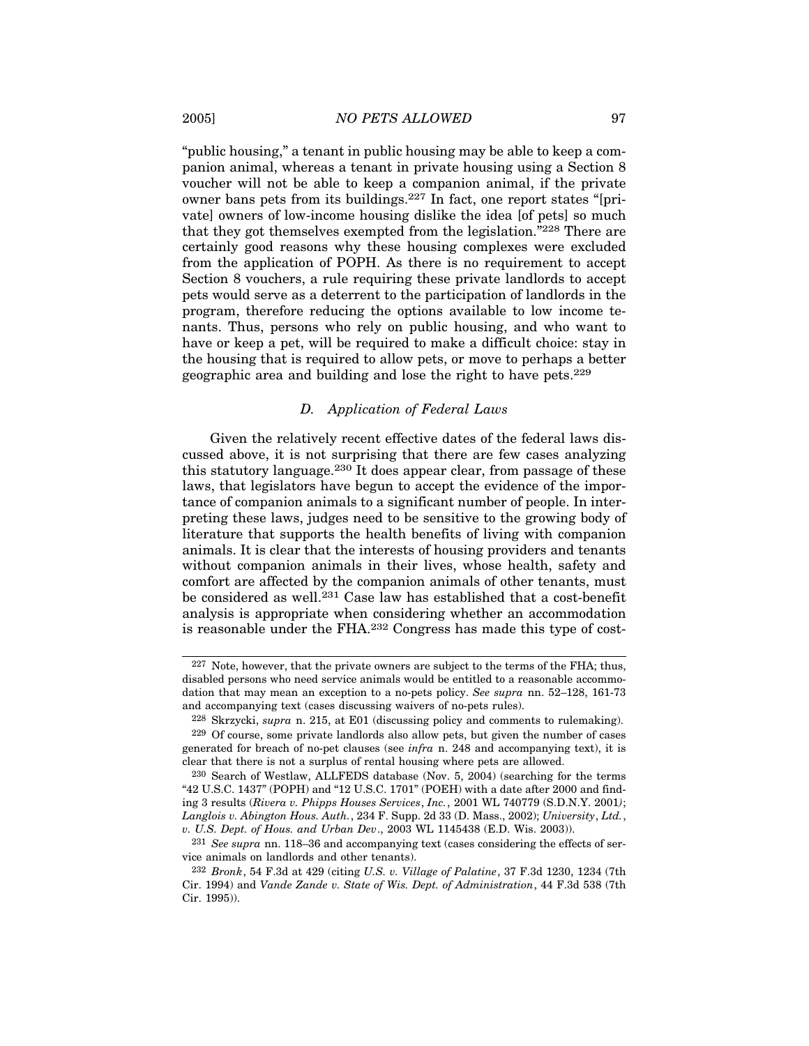"public housing," a tenant in public housing may be able to keep a companion animal, whereas a tenant in private housing using a Section 8 voucher will not be able to keep a companion animal, if the private owner bans pets from its buildings.227 In fact, one report states "[private] owners of low-income housing dislike the idea [of pets] so much that they got themselves exempted from the legislation."228 There are certainly good reasons why these housing complexes were excluded from the application of POPH. As there is no requirement to accept Section 8 vouchers, a rule requiring these private landlords to accept pets would serve as a deterrent to the participation of landlords in the program, therefore reducing the options available to low income tenants. Thus, persons who rely on public housing, and who want to have or keep a pet, will be required to make a difficult choice: stay in the housing that is required to allow pets, or move to perhaps a better geographic area and building and lose the right to have pets.229

## *D. Application of Federal Laws*

Given the relatively recent effective dates of the federal laws discussed above, it is not surprising that there are few cases analyzing this statutory language.230 It does appear clear, from passage of these laws, that legislators have begun to accept the evidence of the importance of companion animals to a significant number of people. In interpreting these laws, judges need to be sensitive to the growing body of literature that supports the health benefits of living with companion animals. It is clear that the interests of housing providers and tenants without companion animals in their lives, whose health, safety and comfort are affected by the companion animals of other tenants, must be considered as well.231 Case law has established that a cost-benefit analysis is appropriate when considering whether an accommodation is reasonable under the FHA.232 Congress has made this type of cost-

<sup>227</sup> Note, however, that the private owners are subject to the terms of the FHA; thus, disabled persons who need service animals would be entitled to a reasonable accommodation that may mean an exception to a no-pets policy. *See supra* nn. 52–128, 161-73 and accompanying text (cases discussing waivers of no-pets rules).

<sup>228</sup> Skrzycki, *supra* n. 215, at E01 (discussing policy and comments to rulemaking).

<sup>229</sup> Of course, some private landlords also allow pets, but given the number of cases generated for breach of no-pet clauses (see *infra* n. 248 and accompanying text), it is clear that there is not a surplus of rental housing where pets are allowed.

<sup>230</sup> Search of Westlaw, ALLFEDS database (Nov. 5, 2004) (searching for the terms "42 U.S.C. 1437" (POPH) and "12 U.S.C. 1701" (POEH) with a date after 2000 and finding 3 results (*Rivera v. Phipps Houses Services*, *Inc.*, 2001 WL 740779 (S.D.N.Y. 2001*)*; *Langlois v. Abington Hous. Auth.*, 234 F. Supp. 2d 33 (D. Mass., 2002); *University*, *Ltd.*, *v. U.S. Dept. of Hous. and Urban Dev*., 2003 WL 1145438 (E.D. Wis. 2003)).

<sup>231</sup> *See supra* nn. 118–36 and accompanying text (cases considering the effects of service animals on landlords and other tenants).

<sup>232</sup> *Bronk*, 54 F.3d at 429 (citing *U.S. v. Village of Palatine*, 37 F.3d 1230, 1234 (7th Cir. 1994) and *Vande Zande v. State of Wis. Dept. of Administration*, 44 F.3d 538 (7th Cir. 1995)).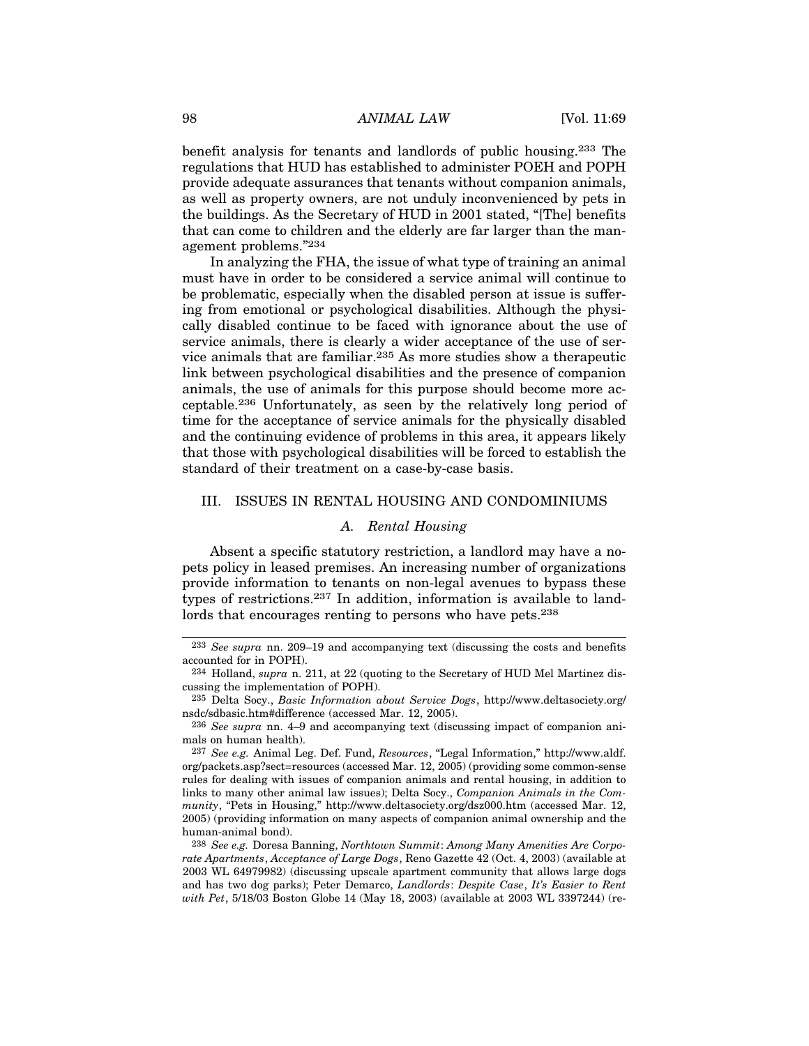benefit analysis for tenants and landlords of public housing.233 The regulations that HUD has established to administer POEH and POPH provide adequate assurances that tenants without companion animals, as well as property owners, are not unduly inconvenienced by pets in the buildings. As the Secretary of HUD in 2001 stated, "[The] benefits that can come to children and the elderly are far larger than the management problems."234

In analyzing the FHA, the issue of what type of training an animal must have in order to be considered a service animal will continue to be problematic, especially when the disabled person at issue is suffering from emotional or psychological disabilities. Although the physically disabled continue to be faced with ignorance about the use of service animals, there is clearly a wider acceptance of the use of service animals that are familiar.<sup>235</sup> As more studies show a therapeutic link between psychological disabilities and the presence of companion animals, the use of animals for this purpose should become more acceptable.236 Unfortunately, as seen by the relatively long period of time for the acceptance of service animals for the physically disabled and the continuing evidence of problems in this area, it appears likely that those with psychological disabilities will be forced to establish the standard of their treatment on a case-by-case basis.

#### III. ISSUES IN RENTAL HOUSING AND CONDOMINIUMS

#### *A. Rental Housing*

Absent a specific statutory restriction, a landlord may have a nopets policy in leased premises. An increasing number of organizations provide information to tenants on non-legal avenues to bypass these types of restrictions.237 In addition, information is available to landlords that encourages renting to persons who have pets.<sup>238</sup>

<sup>233</sup> *See supra* nn. 209–19 and accompanying text (discussing the costs and benefits accounted for in POPH).

<sup>234</sup> Holland, *supra* n. 211, at 22 (quoting to the Secretary of HUD Mel Martinez discussing the implementation of POPH).

<sup>235</sup> Delta Socy., *Basic Information about Service Dogs*, http://www.deltasociety.org/ nsdc/sdbasic.htm#difference (accessed Mar. 12, 2005).

<sup>236</sup> *See supra* nn. 4–9 and accompanying text (discussing impact of companion animals on human health).

<sup>237</sup> *See e.g.* Animal Leg. Def. Fund, *Resources*, "Legal Information," http://www.aldf. org/packets.asp?sect=resources (accessed Mar. 12, 2005) (providing some common-sense rules for dealing with issues of companion animals and rental housing, in addition to links to many other animal law issues); Delta Socy., *Companion Animals in the Community*, "Pets in Housing," http://www.deltasociety.org/dsz000.htm (accessed Mar. 12, 2005) (providing information on many aspects of companion animal ownership and the human-animal bond).

<sup>238</sup> *See e.g.* Doresa Banning, *Northtown Summit*: *Among Many Amenities Are Corporate Apartments*, *Acceptance of Large Dogs*, Reno Gazette 42 (Oct. 4, 2003) (available at 2003 WL 64979982) (discussing upscale apartment community that allows large dogs and has two dog parks); Peter Demarco, *Landlords*: *Despite Case*, *It's Easier to Rent with Pet*, 5/18/03 Boston Globe 14 (May 18, 2003) (available at 2003 WL 3397244) (re-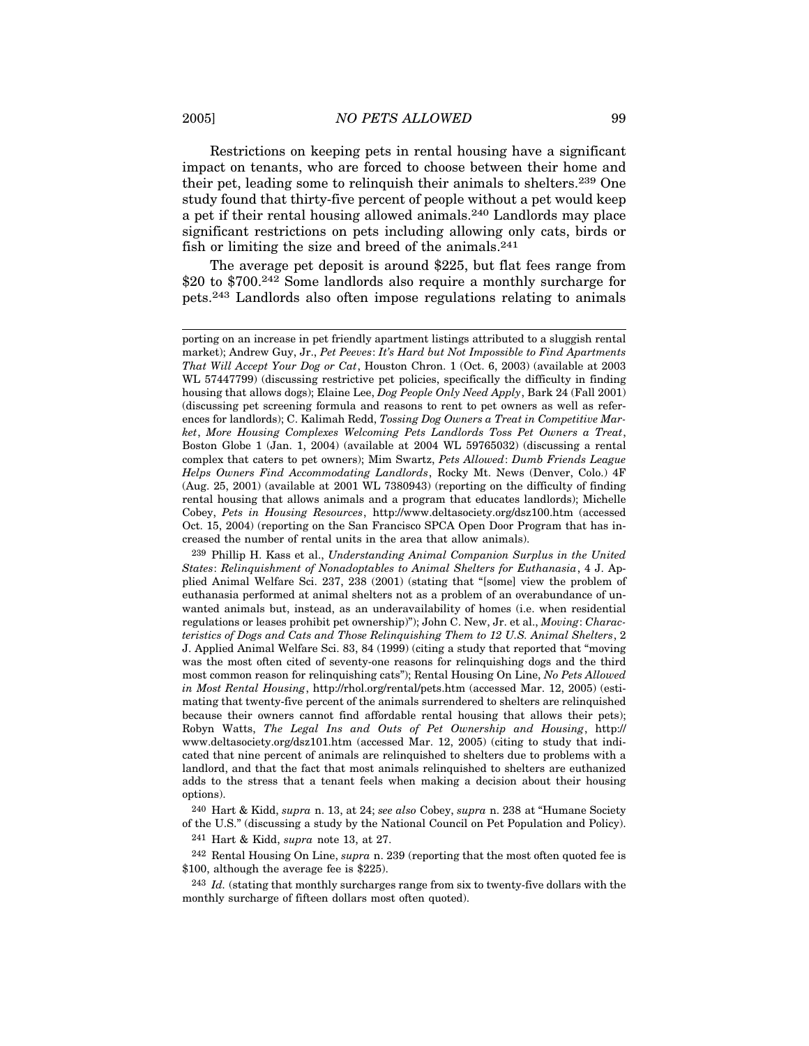Restrictions on keeping pets in rental housing have a significant impact on tenants, who are forced to choose between their home and their pet, leading some to relinquish their animals to shelters.239 One study found that thirty-five percent of people without a pet would keep a pet if their rental housing allowed animals.240 Landlords may place significant restrictions on pets including allowing only cats, birds or fish or limiting the size and breed of the animals.<sup>241</sup>

The average pet deposit is around \$225, but flat fees range from \$20 to \$700.<sup>242</sup> Some landlords also require a monthly surcharge for pets.243 Landlords also often impose regulations relating to animals

240 Hart & Kidd, *supra* n. 13, at 24; *see also* Cobey, *supra* n. 238 at "Humane Society of the U.S." (discussing a study by the National Council on Pet Population and Policy).

241 Hart & Kidd, *supra* note 13, at 27.

242 Rental Housing On Line, *supra* n. 239 (reporting that the most often quoted fee is \$100, although the average fee is \$225).

243 *Id.* (stating that monthly surcharges range from six to twenty-five dollars with the monthly surcharge of fifteen dollars most often quoted).

porting on an increase in pet friendly apartment listings attributed to a sluggish rental market); Andrew Guy, Jr., *Pet Peeves*: *It's Hard but Not Impossible to Find Apartments That Will Accept Your Dog or Cat*, Houston Chron. 1 (Oct. 6, 2003) (available at 2003 WL 57447799) (discussing restrictive pet policies, specifically the difficulty in finding housing that allows dogs); Elaine Lee, *Dog People Only Need Apply*, Bark 24 (Fall 2001) (discussing pet screening formula and reasons to rent to pet owners as well as references for landlords); C. Kalimah Redd, *Tossing Dog Owners a Treat in Competitive Market*, *More Housing Complexes Welcoming Pets Landlords Toss Pet Owners a Treat*, Boston Globe 1 (Jan. 1, 2004) (available at 2004 WL 59765032) (discussing a rental complex that caters to pet owners); Mim Swartz, *Pets Allowed*: *Dumb Friends League Helps Owners Find Accommodating Landlords*, Rocky Mt. News (Denver, Colo.) 4F (Aug. 25, 2001) (available at 2001 WL 7380943) (reporting on the difficulty of finding rental housing that allows animals and a program that educates landlords); Michelle Cobey, *Pets in Housing Resources*, http://www.deltasociety.org/dsz100.htm (accessed Oct. 15, 2004) (reporting on the San Francisco SPCA Open Door Program that has increased the number of rental units in the area that allow animals).

<sup>239</sup> Phillip H. Kass et al., *Understanding Animal Companion Surplus in the United States*: *Relinquishment of Nonadoptables to Animal Shelters for Euthanasia*, 4 J. Applied Animal Welfare Sci. 237, 238 (2001) (stating that "[some] view the problem of euthanasia performed at animal shelters not as a problem of an overabundance of unwanted animals but, instead, as an underavailability of homes (i.e. when residential regulations or leases prohibit pet ownership)"); John C. New, Jr. et al., *Moving*: *Characteristics of Dogs and Cats and Those Relinquishing Them to 12 U.S. Animal Shelters*, 2 J. Applied Animal Welfare Sci. 83, 84 (1999) (citing a study that reported that "moving was the most often cited of seventy-one reasons for relinquishing dogs and the third most common reason for relinquishing cats"); Rental Housing On Line, *No Pets Allowed in Most Rental Housing*, http://rhol.org/rental/pets.htm (accessed Mar. 12, 2005) (estimating that twenty-five percent of the animals surrendered to shelters are relinquished because their owners cannot find affordable rental housing that allows their pets); Robyn Watts, *The Legal Ins and Outs of Pet Ownership and Housing*, http:// www.deltasociety.org/dsz101.htm (accessed Mar. 12, 2005) (citing to study that indicated that nine percent of animals are relinquished to shelters due to problems with a landlord, and that the fact that most animals relinquished to shelters are euthanized adds to the stress that a tenant feels when making a decision about their housing options).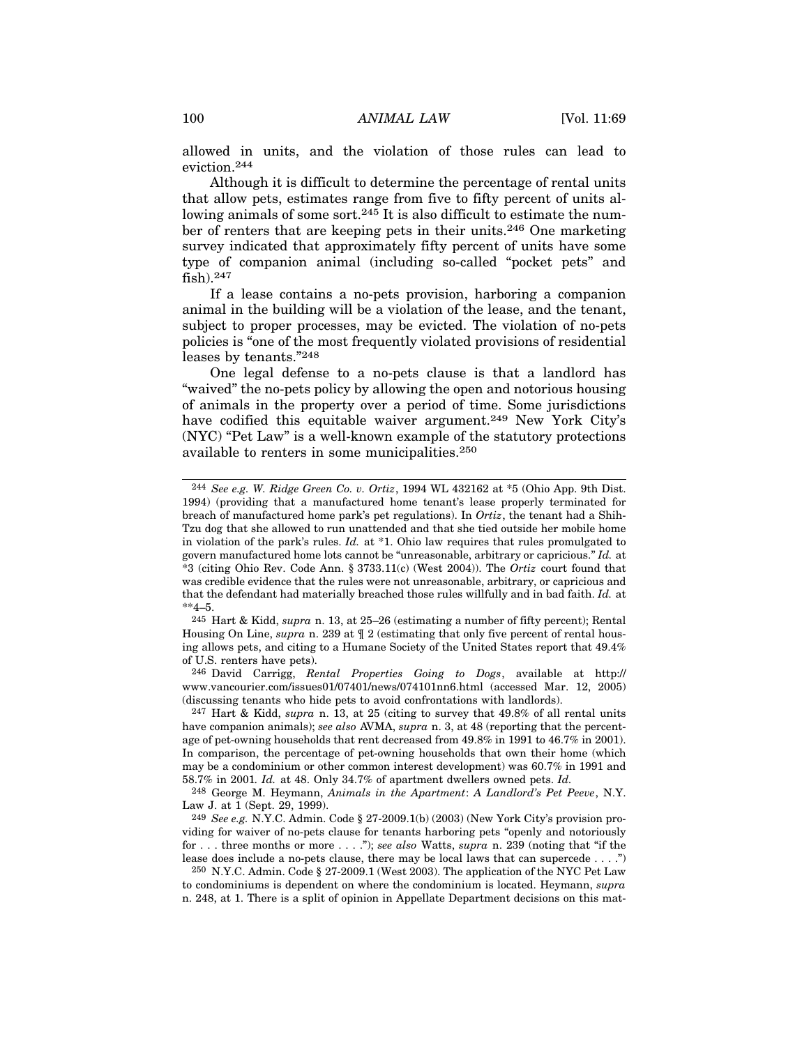allowed in units, and the violation of those rules can lead to eviction.244

Although it is difficult to determine the percentage of rental units that allow pets, estimates range from five to fifty percent of units allowing animals of some sort.<sup>245</sup> It is also difficult to estimate the number of renters that are keeping pets in their units.246 One marketing survey indicated that approximately fifty percent of units have some type of companion animal (including so-called "pocket pets" and fish).247

If a lease contains a no-pets provision, harboring a companion animal in the building will be a violation of the lease, and the tenant, subject to proper processes, may be evicted. The violation of no-pets policies is "one of the most frequently violated provisions of residential leases by tenants."248

One legal defense to a no-pets clause is that a landlord has "waived" the no-pets policy by allowing the open and notorious housing of animals in the property over a period of time. Some jurisdictions have codified this equitable waiver argument.<sup>249</sup> New York City's (NYC) "Pet Law" is a well-known example of the statutory protections available to renters in some municipalities.250

245 Hart & Kidd, *supra* n. 13, at 25–26 (estimating a number of fifty percent); Rental Housing On Line, *supra* n. 239 at ¶ 2 (estimating that only five percent of rental housing allows pets, and citing to a Humane Society of the United States report that 49.4% of U.S. renters have pets).

246 David Carrigg, *Rental Properties Going to Dogs*, available at http:// www.vancourier.com/issues01/07401/news/074101nn6.html (accessed Mar. 12, 2005) (discussing tenants who hide pets to avoid confrontations with landlords).

<sup>244</sup> *See e.g. W. Ridge Green Co. v. Ortiz*, 1994 WL 432162 at \*5 (Ohio App. 9th Dist. 1994) (providing that a manufactured home tenant's lease properly terminated for breach of manufactured home park's pet regulations). In *Ortiz*, the tenant had a Shih-Tzu dog that she allowed to run unattended and that she tied outside her mobile home in violation of the park's rules. *Id.* at \*1. Ohio law requires that rules promulgated to govern manufactured home lots cannot be "unreasonable, arbitrary or capricious." *Id.* at \*3 (citing Ohio Rev. Code Ann. § 3733.11(c) (West 2004)). The *Ortiz* court found that was credible evidence that the rules were not unreasonable, arbitrary, or capricious and that the defendant had materially breached those rules willfully and in bad faith. *Id.* at  $*4–5.$ 

<sup>247</sup> Hart & Kidd, *supra* n. 13, at 25 (citing to survey that 49.8% of all rental units have companion animals); *see also* AVMA, *supra* n. 3, at 48 (reporting that the percentage of pet-owning households that rent decreased from 49.8% in 1991 to 46.7% in 2001). In comparison, the percentage of pet-owning households that own their home (which may be a condominium or other common interest development) was 60.7% in 1991 and 58.7% in 2001*. Id.* at 48. Only 34.7% of apartment dwellers owned pets. *Id.*

<sup>248</sup> George M. Heymann, *Animals in the Apartment*: *A Landlord's Pet Peeve*, N.Y. Law J. at 1 (Sept. 29, 1999).

<sup>249</sup> *See e.g.* N.Y.C. Admin. Code § 27-2009.1(b) (2003) (New York City's provision providing for waiver of no-pets clause for tenants harboring pets "openly and notoriously for . . . three months or more . . . ."); *see also* Watts, *supra* n. 239 (noting that "if the lease does include a no-pets clause, there may be local laws that can supercede . . . .")

<sup>250</sup> N.Y.C. Admin. Code § 27-2009.1 (West 2003). The application of the NYC Pet Law to condominiums is dependent on where the condominium is located. Heymann, *supra* n. 248, at 1. There is a split of opinion in Appellate Department decisions on this mat-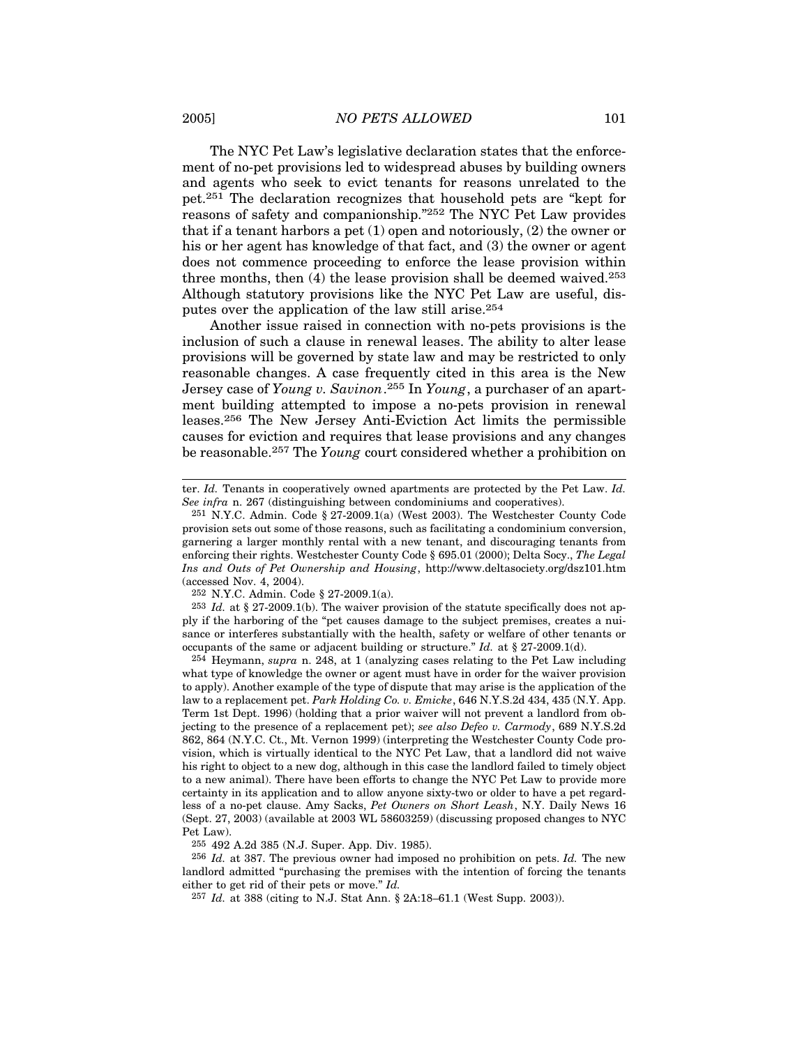The NYC Pet Law's legislative declaration states that the enforcement of no-pet provisions led to widespread abuses by building owners and agents who seek to evict tenants for reasons unrelated to the pet.251 The declaration recognizes that household pets are "kept for reasons of safety and companionship."252 The NYC Pet Law provides that if a tenant harbors a pet (1) open and notoriously, (2) the owner or his or her agent has knowledge of that fact, and (3) the owner or agent does not commence proceeding to enforce the lease provision within three months, then (4) the lease provision shall be deemed waived.253 Although statutory provisions like the NYC Pet Law are useful, disputes over the application of the law still arise.254

Another issue raised in connection with no-pets provisions is the inclusion of such a clause in renewal leases. The ability to alter lease provisions will be governed by state law and may be restricted to only reasonable changes. A case frequently cited in this area is the New Jersey case of *Young v. Savinon*. 255 In *Young*, a purchaser of an apartment building attempted to impose a no-pets provision in renewal leases.256 The New Jersey Anti-Eviction Act limits the permissible causes for eviction and requires that lease provisions and any changes be reasonable.257 The *Young* court considered whether a prohibition on

252 N.Y.C. Admin. Code § 27-2009.1(a).

253 *Id.* at § 27-2009.1(b). The waiver provision of the statute specifically does not apply if the harboring of the "pet causes damage to the subject premises, creates a nuisance or interferes substantially with the health, safety or welfare of other tenants or occupants of the same or adjacent building or structure." *Id.* at § 27-2009.1(d).

254 Heymann, *supra* n. 248, at 1 (analyzing cases relating to the Pet Law including what type of knowledge the owner or agent must have in order for the waiver provision to apply). Another example of the type of dispute that may arise is the application of the law to a replacement pet. *Park Holding Co. v. Emicke*, 646 N.Y.S.2d 434, 435 (N.Y. App. Term 1st Dept. 1996) (holding that a prior waiver will not prevent a landlord from objecting to the presence of a replacement pet); *see also Defeo v. Carmody*, 689 N.Y.S.2d 862, 864 (N.Y.C. Ct., Mt. Vernon 1999) (interpreting the Westchester County Code provision, which is virtually identical to the NYC Pet Law, that a landlord did not waive his right to object to a new dog, although in this case the landlord failed to timely object to a new animal). There have been efforts to change the NYC Pet Law to provide more certainty in its application and to allow anyone sixty-two or older to have a pet regardless of a no-pet clause. Amy Sacks, *Pet Owners on Short Leash*, N.Y. Daily News 16 (Sept. 27, 2003) (available at 2003 WL 58603259) (discussing proposed changes to NYC Pet Law).

255 492 A.2d 385 (N.J. Super. App. Div. 1985).

ter. *Id.* Tenants in cooperatively owned apartments are protected by the Pet Law. *Id. See infra* n. 267 (distinguishing between condominiums and cooperatives).

<sup>251</sup> N.Y.C. Admin. Code § 27-2009.1(a) (West 2003). The Westchester County Code provision sets out some of those reasons, such as facilitating a condominium conversion, garnering a larger monthly rental with a new tenant, and discouraging tenants from enforcing their rights. Westchester County Code § 695.01 (2000); Delta Socy., *The Legal Ins and Outs of Pet Ownership and Housing*, http://www.deltasociety.org/dsz101.htm (accessed Nov. 4, 2004).

<sup>256</sup> *Id.* at 387. The previous owner had imposed no prohibition on pets. *Id.* The new landlord admitted "purchasing the premises with the intention of forcing the tenants either to get rid of their pets or move." *Id.*

<sup>257</sup> *Id.* at 388 (citing to N.J. Stat Ann. § 2A:18–61.1 (West Supp. 2003)).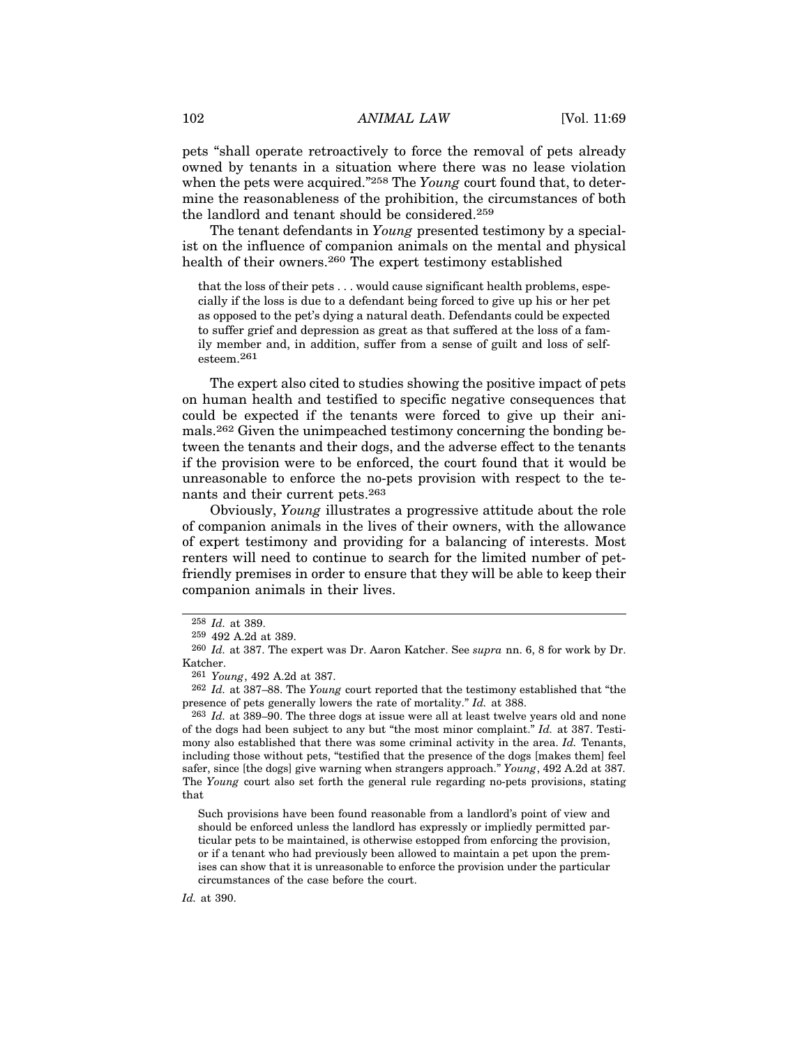pets "shall operate retroactively to force the removal of pets already owned by tenants in a situation where there was no lease violation when the pets were acquired."258 The *Young* court found that, to determine the reasonableness of the prohibition, the circumstances of both the landlord and tenant should be considered.259

The tenant defendants in *Young* presented testimony by a specialist on the influence of companion animals on the mental and physical health of their owners.260 The expert testimony established

that the loss of their pets . . . would cause significant health problems, especially if the loss is due to a defendant being forced to give up his or her pet as opposed to the pet's dying a natural death. Defendants could be expected to suffer grief and depression as great as that suffered at the loss of a family member and, in addition, suffer from a sense of guilt and loss of selfesteem.261

The expert also cited to studies showing the positive impact of pets on human health and testified to specific negative consequences that could be expected if the tenants were forced to give up their animals.262 Given the unimpeached testimony concerning the bonding between the tenants and their dogs, and the adverse effect to the tenants if the provision were to be enforced, the court found that it would be unreasonable to enforce the no-pets provision with respect to the tenants and their current pets.263

Obviously, *Young* illustrates a progressive attitude about the role of companion animals in the lives of their owners, with the allowance of expert testimony and providing for a balancing of interests. Most renters will need to continue to search for the limited number of petfriendly premises in order to ensure that they will be able to keep their companion animals in their lives.

263 *Id.* at 389–90. The three dogs at issue were all at least twelve years old and none of the dogs had been subject to any but "the most minor complaint." *Id.* at 387. Testimony also established that there was some criminal activity in the area. *Id.* Tenants, including those without pets, "testified that the presence of the dogs [makes them] feel safer, since [the dogs] give warning when strangers approach." *Young*, 492 A.2d at 387*.* The *Young* court also set forth the general rule regarding no-pets provisions, stating that

Such provisions have been found reasonable from a landlord's point of view and should be enforced unless the landlord has expressly or impliedly permitted particular pets to be maintained, is otherwise estopped from enforcing the provision, or if a tenant who had previously been allowed to maintain a pet upon the premises can show that it is unreasonable to enforce the provision under the particular circumstances of the case before the court.

*Id.* at 390.

<sup>258</sup> *Id.* at 389.

<sup>259</sup> 492 A.2d at 389.

<sup>260</sup> *Id.* at 387. The expert was Dr. Aaron Katcher. See *supra* nn. 6, 8 for work by Dr. Katcher.

<sup>261</sup> *Young*, 492 A.2d at 387.

<sup>262</sup> *Id.* at 387–88. The *Young* court reported that the testimony established that "the presence of pets generally lowers the rate of mortality." *Id.* at 388.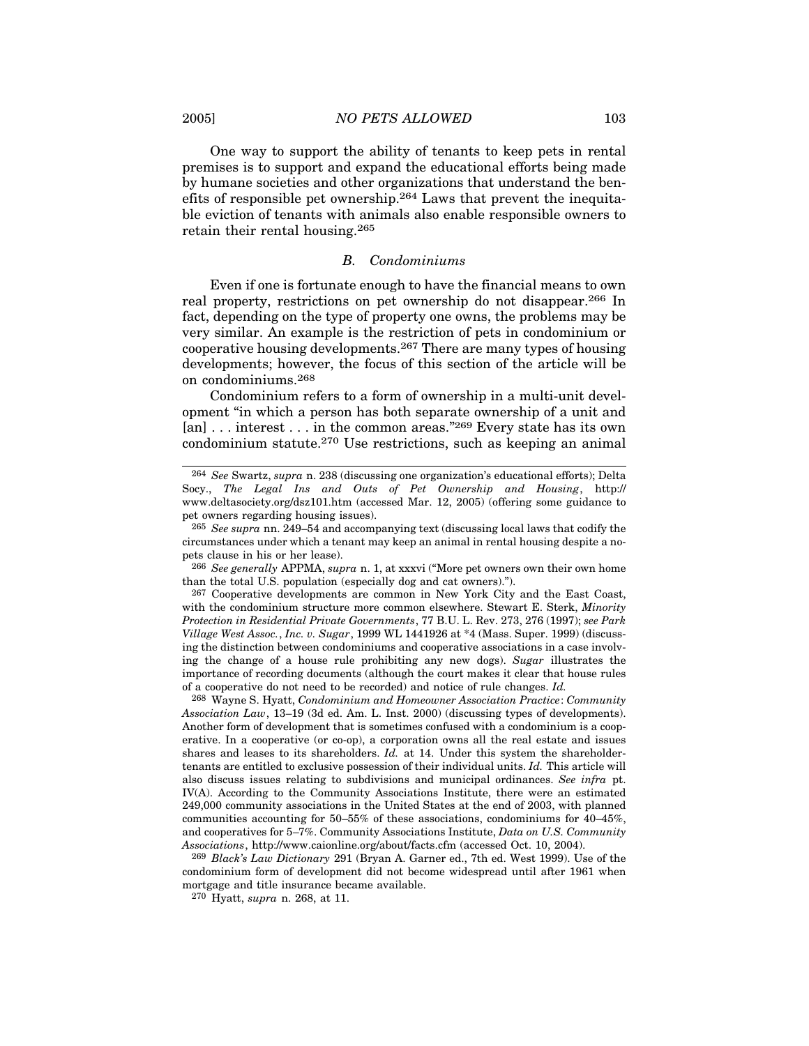One way to support the ability of tenants to keep pets in rental premises is to support and expand the educational efforts being made by humane societies and other organizations that understand the benefits of responsible pet ownership.264 Laws that prevent the inequitable eviction of tenants with animals also enable responsible owners to retain their rental housing.265

#### *B. Condominiums*

Even if one is fortunate enough to have the financial means to own real property, restrictions on pet ownership do not disappear.266 In fact, depending on the type of property one owns, the problems may be very similar. An example is the restriction of pets in condominium or cooperative housing developments.267 There are many types of housing developments; however, the focus of this section of the article will be on condominiums.268

Condominium refers to a form of ownership in a multi-unit development "in which a person has both separate ownership of a unit and [an] ... interest ... in the common areas."<sup>269</sup> Every state has its own condominium statute.270 Use restrictions, such as keeping an animal

268 Wayne S. Hyatt, *Condominium and Homeowner Association Practice*: *Community Association Law*, 13–19 (3d ed. Am. L. Inst. 2000) (discussing types of developments). Another form of development that is sometimes confused with a condominium is a cooperative. In a cooperative (or co-op), a corporation owns all the real estate and issues shares and leases to its shareholders. *Id.* at 14. Under this system the shareholdertenants are entitled to exclusive possession of their individual units. *Id.* This article will also discuss issues relating to subdivisions and municipal ordinances. *See infra* pt. IV(A). According to the Community Associations Institute, there were an estimated 249,000 community associations in the United States at the end of 2003, with planned communities accounting for 50–55% of these associations, condominiums for 40–45%, and cooperatives for 5–7%. Community Associations Institute, *Data on U.S. Community Associations*, http://www.caionline.org/about/facts.cfm (accessed Oct. 10, 2004).

269 *Black's Law Dictionary* 291 (Bryan A. Garner ed., 7th ed. West 1999). Use of the condominium form of development did not become widespread until after 1961 when mortgage and title insurance became available.

270 Hyatt, *supra* n. 268, at 11.

<sup>264</sup> *See* Swartz, *supra* n. 238 (discussing one organization's educational efforts); Delta Socy., *The Legal Ins and Outs of Pet Ownership and Housing*, http:// www.deltasociety.org/dsz101.htm (accessed Mar. 12, 2005) (offering some guidance to pet owners regarding housing issues).

<sup>265</sup> *See supra* nn. 249–54 and accompanying text (discussing local laws that codify the circumstances under which a tenant may keep an animal in rental housing despite a nopets clause in his or her lease).

<sup>266</sup> *See generally* APPMA, *supra* n. 1, at xxxvi ("More pet owners own their own home than the total U.S. population (especially dog and cat owners).").

<sup>267</sup> Cooperative developments are common in New York City and the East Coast, with the condominium structure more common elsewhere. Stewart E. Sterk, *Minority Protection in Residential Private Governments*, 77 B.U. L. Rev. 273, 276 (1997); *see Park Village West Assoc.*, *Inc. v. Sugar*, 1999 WL 1441926 at \*4 (Mass. Super. 1999) (discussing the distinction between condominiums and cooperative associations in a case involving the change of a house rule prohibiting any new dogs). *Sugar* illustrates the importance of recording documents (although the court makes it clear that house rules of a cooperative do not need to be recorded) and notice of rule changes. *Id.*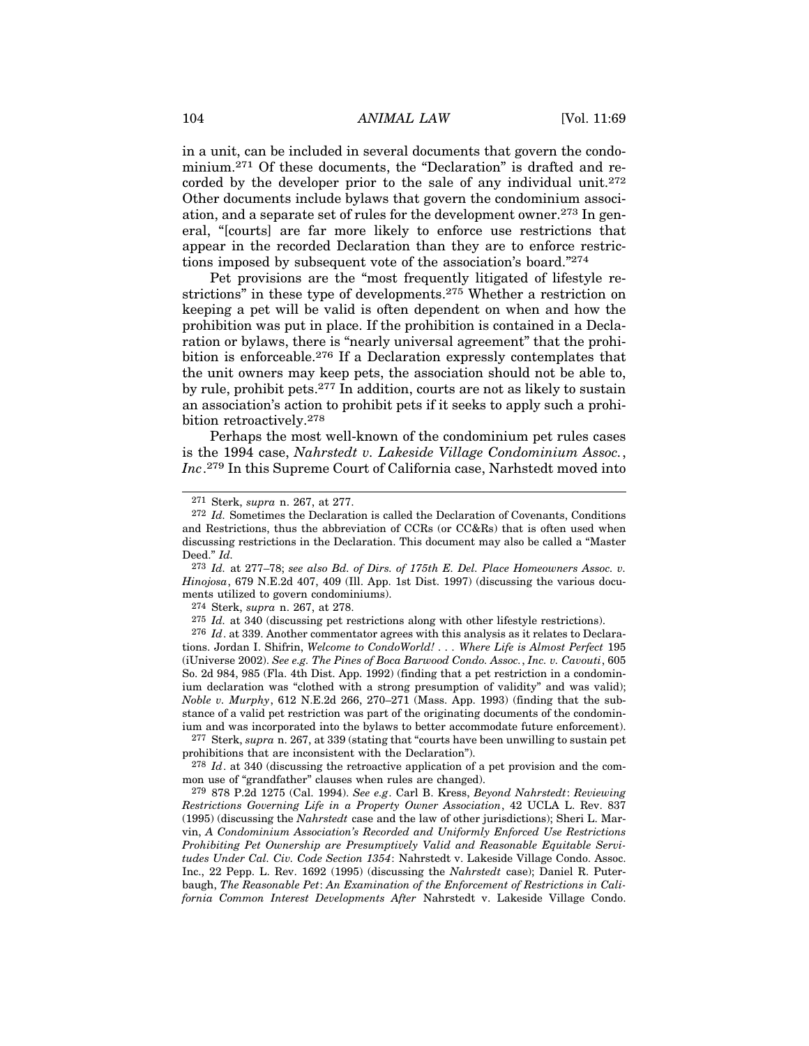in a unit, can be included in several documents that govern the condominium.271 Of these documents, the "Declaration" is drafted and recorded by the developer prior to the sale of any individual unit.272 Other documents include bylaws that govern the condominium association, and a separate set of rules for the development owner.<sup>273</sup> In general, "[courts] are far more likely to enforce use restrictions that appear in the recorded Declaration than they are to enforce restrictions imposed by subsequent vote of the association's board."274

Pet provisions are the "most frequently litigated of lifestyle restrictions" in these type of developments.275 Whether a restriction on keeping a pet will be valid is often dependent on when and how the prohibition was put in place. If the prohibition is contained in a Declaration or bylaws, there is "nearly universal agreement" that the prohibition is enforceable.276 If a Declaration expressly contemplates that the unit owners may keep pets, the association should not be able to, by rule, prohibit pets.277 In addition, courts are not as likely to sustain an association's action to prohibit pets if it seeks to apply such a prohibition retroactively.278

Perhaps the most well-known of the condominium pet rules cases is the 1994 case, *Nahrstedt v. Lakeside Village Condominium Assoc.*, *Inc*. 279 In this Supreme Court of California case, Narhstedt moved into

274 Sterk, *supra* n. 267, at 278.

275 *Id.* at 340 (discussing pet restrictions along with other lifestyle restrictions).

276 *Id*. at 339. Another commentator agrees with this analysis as it relates to Declarations. Jordan I. Shifrin, *Welcome to CondoWorld! . . . Where Life is Almost Perfect* 195 (iUniverse 2002). *See e.g. The Pines of Boca Barwood Condo. Assoc.*, *Inc. v. Cavouti*, 605 So. 2d 984, 985 (Fla. 4th Dist. App. 1992) (finding that a pet restriction in a condominium declaration was "clothed with a strong presumption of validity" and was valid); *Noble v. Murphy*, 612 N.E.2d 266, 270–271 (Mass. App. 1993) (finding that the substance of a valid pet restriction was part of the originating documents of the condominium and was incorporated into the bylaws to better accommodate future enforcement).

277 Sterk, *supra* n. 267, at 339 (stating that "courts have been unwilling to sustain pet prohibitions that are inconsistent with the Declaration").

278 *Id*. at 340 (discussing the retroactive application of a pet provision and the common use of "grandfather" clauses when rules are changed).

279 878 P.2d 1275 (Cal. 1994). *See e.g*. Carl B. Kress, *Beyond Nahrstedt*: *Reviewing Restrictions Governing Life in a Property Owner Association*, 42 UCLA L. Rev. 837 (1995) (discussing the *Nahrstedt* case and the law of other jurisdictions); Sheri L. Marvin, *A Condominium Association's Recorded and Uniformly Enforced Use Restrictions Prohibiting Pet Ownership are Presumptively Valid and Reasonable Equitable Servitudes Under Cal. Civ. Code Section 1354*: Nahrstedt v. Lakeside Village Condo. Assoc. Inc., 22 Pepp. L. Rev. 1692 (1995) (discussing the *Nahrstedt* case); Daniel R. Puterbaugh, *The Reasonable Pet*: *An Examination of the Enforcement of Restrictions in California Common Interest Developments After* Nahrstedt v. Lakeside Village Condo.

<sup>271</sup> Sterk, *supra* n. 267, at 277.

<sup>272</sup> *Id.* Sometimes the Declaration is called the Declaration of Covenants, Conditions and Restrictions, thus the abbreviation of CCRs (or CC&Rs) that is often used when discussing restrictions in the Declaration. This document may also be called a "Master Deed." *Id.*

<sup>273</sup> *Id.* at 277–78; *see also Bd. of Dirs. of 175th E. Del. Place Homeowners Assoc. v. Hinojosa*, 679 N.E.2d 407, 409 (Ill. App. 1st Dist. 1997) (discussing the various documents utilized to govern condominiums).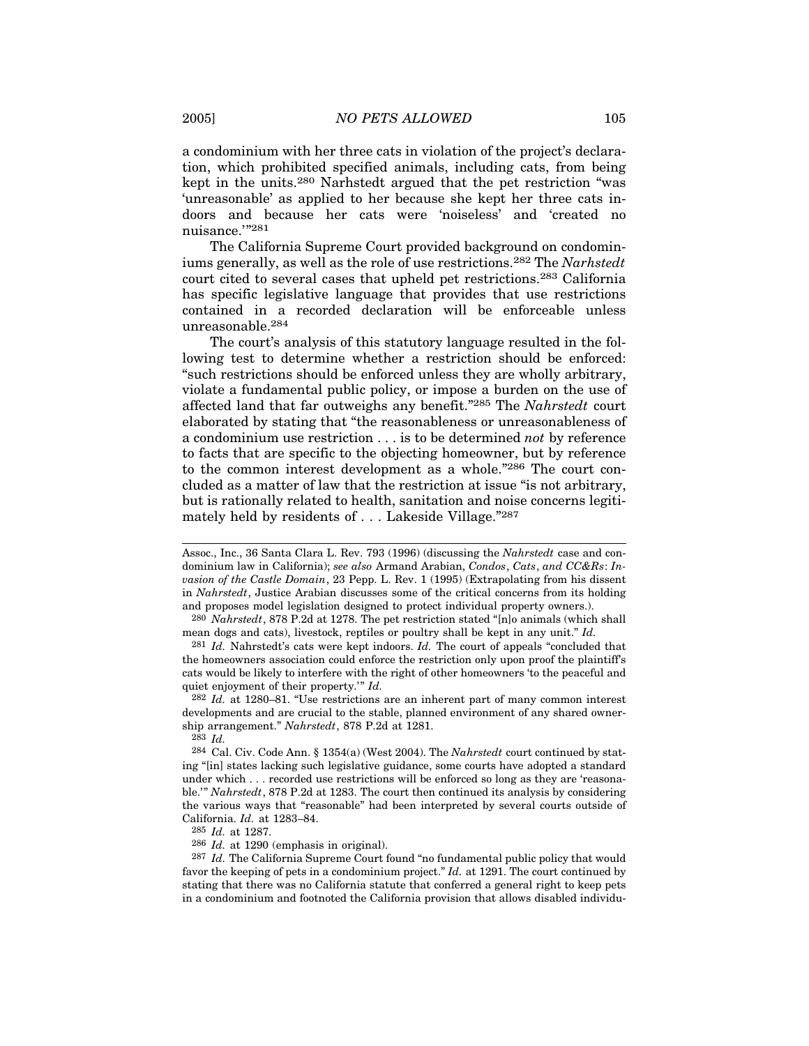a condominium with her three cats in violation of the project's declaration, which prohibited specified animals, including cats, from being kept in the units.280 Narhstedt argued that the pet restriction "was 'unreasonable' as applied to her because she kept her three cats indoors and because her cats were 'noiseless' and 'created no nuisance.'"281

The California Supreme Court provided background on condominiums generally, as well as the role of use restrictions.282 The *Narhstedt* court cited to several cases that upheld pet restrictions.283 California has specific legislative language that provides that use restrictions contained in a recorded declaration will be enforceable unless unreasonable.284

The court's analysis of this statutory language resulted in the following test to determine whether a restriction should be enforced: "such restrictions should be enforced unless they are wholly arbitrary, violate a fundamental public policy, or impose a burden on the use of affected land that far outweighs any benefit."285 The *Nahrstedt* court elaborated by stating that "the reasonableness or unreasonableness of a condominium use restriction . . . is to be determined *not* by reference to facts that are specific to the objecting homeowner, but by reference to the common interest development as a whole."286 The court concluded as a matter of law that the restriction at issue "is not arbitrary, but is rationally related to health, sanitation and noise concerns legitimately held by residents of . . . Lakeside Village."287

282 *Id.* at 1280–81. "Use restrictions are an inherent part of many common interest developments and are crucial to the stable, planned environment of any shared ownership arrangement." *Nahrstedt*, 878 P.2d at 1281.

285 *Id.* at 1287.

286 *Id.* at 1290 (emphasis in original).

287 *Id.* The California Supreme Court found "no fundamental public policy that would favor the keeping of pets in a condominium project." *Id.* at 1291. The court continued by stating that there was no California statute that conferred a general right to keep pets in a condominium and footnoted the California provision that allows disabled individu-

Assoc., Inc., 36 Santa Clara L. Rev. 793 (1996) (discussing the *Nahrstedt* case and condominium law in California); *see also* Armand Arabian, *Condos*, *Cats*, *and CC&Rs*: *Invasion of the Castle Domain*, 23 Pepp. L. Rev. 1 (1995) (Extrapolating from his dissent in *Nahrstedt*, Justice Arabian discusses some of the critical concerns from its holding and proposes model legislation designed to protect individual property owners.).

<sup>280</sup> *Nahrstedt*, 878 P.2d at 1278. The pet restriction stated "[n]o animals (which shall mean dogs and cats), livestock, reptiles or poultry shall be kept in any unit." *Id.*

<sup>281</sup> *Id.* Nahrstedt's cats were kept indoors. *Id.* The court of appeals "concluded that the homeowners association could enforce the restriction only upon proof the plaintiff's cats would be likely to interfere with the right of other homeowners 'to the peaceful and quiet enjoyment of their property.'" *Id.*

<sup>283</sup> *Id.*

<sup>284</sup> Cal. Civ. Code Ann. § 1354(a) (West 2004). The *Nahrstedt* court continued by stating "[in] states lacking such legislative guidance, some courts have adopted a standard under which . . . recorded use restrictions will be enforced so long as they are 'reasonable.'" *Nahrstedt*, 878 P.2d at 1283. The court then continued its analysis by considering the various ways that "reasonable" had been interpreted by several courts outside of California. *Id.* at 1283–84.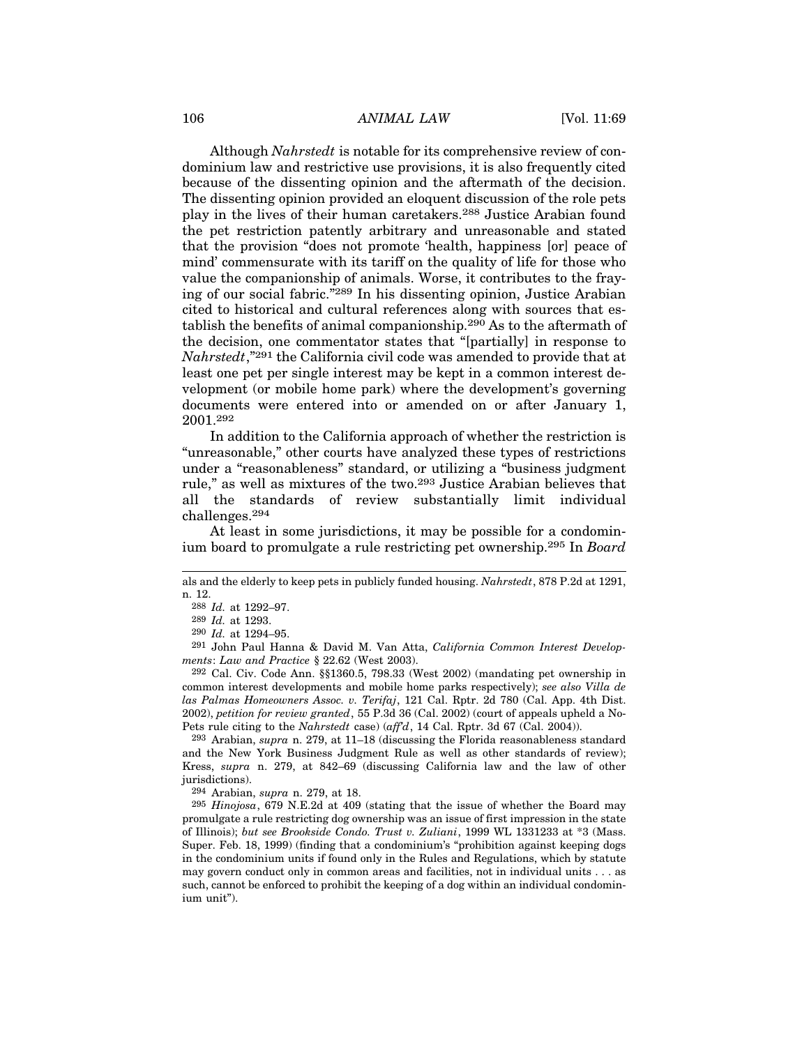## 106 *ANIMAL LAW* [Vol. 11:69]

Although *Nahrstedt* is notable for its comprehensive review of condominium law and restrictive use provisions, it is also frequently cited because of the dissenting opinion and the aftermath of the decision. The dissenting opinion provided an eloquent discussion of the role pets play in the lives of their human caretakers.288 Justice Arabian found the pet restriction patently arbitrary and unreasonable and stated that the provision "does not promote 'health, happiness [or] peace of mind' commensurate with its tariff on the quality of life for those who value the companionship of animals. Worse, it contributes to the fraying of our social fabric."289 In his dissenting opinion, Justice Arabian cited to historical and cultural references along with sources that establish the benefits of animal companionship.290 As to the aftermath of the decision, one commentator states that "[partially] in response to *Nahrstedt*,"291 the California civil code was amended to provide that at least one pet per single interest may be kept in a common interest development (or mobile home park) where the development's governing documents were entered into or amended on or after January 1, 2001.292

In addition to the California approach of whether the restriction is "unreasonable," other courts have analyzed these types of restrictions under a "reasonableness" standard, or utilizing a "business judgment rule," as well as mixtures of the two.293 Justice Arabian believes that all the standards of review substantially limit individual challenges.294

At least in some jurisdictions, it may be possible for a condominium board to promulgate a rule restricting pet ownership.295 In *Board*

291 John Paul Hanna & David M. Van Atta, *California Common Interest Developments*: *Law and Practice* § 22.62 (West 2003).

292 Cal. Civ. Code Ann. §§1360.5, 798.33 (West 2002) (mandating pet ownership in common interest developments and mobile home parks respectively); *see also Villa de las Palmas Homeowners Assoc. v. Terifaj*, 121 Cal. Rptr. 2d 780 (Cal. App. 4th Dist. 2002), *petition for review granted*, 55 P.3d 36 (Cal. 2002) (court of appeals upheld a No-Pets rule citing to the *Nahrstedt* case) (*aff'd*, 14 Cal. Rptr. 3d 67 (Cal. 2004)).

293 Arabian, *supra* n. 279, at 11–18 (discussing the Florida reasonableness standard and the New York Business Judgment Rule as well as other standards of review); Kress, *supra* n. 279, at 842–69 (discussing California law and the law of other jurisdictions).

294 Arabian, *supra* n. 279, at 18.

295 *Hinojosa*, 679 N.E.2d at 409 (stating that the issue of whether the Board may promulgate a rule restricting dog ownership was an issue of first impression in the state of Illinois); *but see Brookside Condo. Trust v. Zuliani*, 1999 WL 1331233 at \*3 (Mass. Super. Feb. 18, 1999) (finding that a condominium's "prohibition against keeping dogs in the condominium units if found only in the Rules and Regulations, which by statute may govern conduct only in common areas and facilities, not in individual units . . . as such, cannot be enforced to prohibit the keeping of a dog within an individual condominium unit").

als and the elderly to keep pets in publicly funded housing. *Nahrstedt*, 878 P.2d at 1291, n. 12.

<sup>288</sup> *Id.* at 1292–97.

<sup>289</sup> *Id.* at 1293.

<sup>290</sup> *Id.* at 1294–95.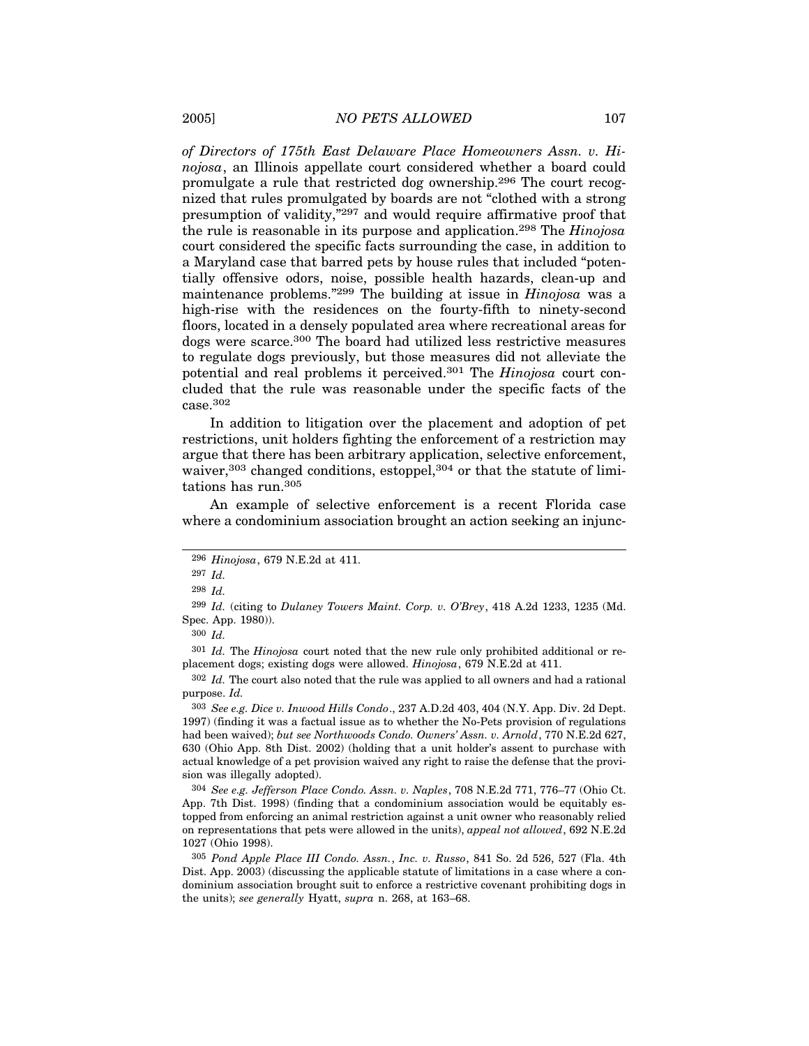*of Directors of 175th East Delaware Place Homeowners Assn. v. Hinojosa*, an Illinois appellate court considered whether a board could promulgate a rule that restricted dog ownership.296 The court recognized that rules promulgated by boards are not "clothed with a strong presumption of validity,"297 and would require affirmative proof that the rule is reasonable in its purpose and application.298 The *Hinojosa* court considered the specific facts surrounding the case, in addition to a Maryland case that barred pets by house rules that included "potentially offensive odors, noise, possible health hazards, clean-up and maintenance problems."299 The building at issue in *Hinojosa* was a high-rise with the residences on the fourty-fifth to ninety-second floors, located in a densely populated area where recreational areas for dogs were scarce.300 The board had utilized less restrictive measures to regulate dogs previously, but those measures did not alleviate the potential and real problems it perceived.301 The *Hinojosa* court concluded that the rule was reasonable under the specific facts of the case.302

In addition to litigation over the placement and adoption of pet restrictions, unit holders fighting the enforcement of a restriction may argue that there has been arbitrary application, selective enforcement, waiver,<sup>303</sup> changed conditions, estoppel,<sup>304</sup> or that the statute of limitations has run.305

An example of selective enforcement is a recent Florida case where a condominium association brought an action seeking an injunc-

302 *Id.* The court also noted that the rule was applied to all owners and had a rational purpose. *Id.*

303 *See e.g. Dice v. Inwood Hills Condo*., 237 A.D.2d 403, 404 (N.Y. App. Div. 2d Dept. 1997) (finding it was a factual issue as to whether the No-Pets provision of regulations had been waived); *but see Northwoods Condo. Owners' Assn. v. Arnold*, 770 N.E.2d 627, 630 (Ohio App. 8th Dist. 2002) (holding that a unit holder's assent to purchase with actual knowledge of a pet provision waived any right to raise the defense that the provision was illegally adopted).

304 *See e.g. Jefferson Place Condo. Assn. v. Naples*, 708 N.E.2d 771, 776–77 (Ohio Ct. App. 7th Dist. 1998) (finding that a condominium association would be equitably estopped from enforcing an animal restriction against a unit owner who reasonably relied on representations that pets were allowed in the units), *appeal not allowed*, 692 N.E.2d 1027 (Ohio 1998).

<sup>296</sup> *Hinojosa*, 679 N.E.2d at 411.

<sup>297</sup> *Id.*

<sup>298</sup> *Id.*

<sup>299</sup> *Id.* (citing to *Dulaney Towers Maint. Corp. v. O'Brey*, 418 A.2d 1233, 1235 (Md. Spec. App. 1980)).

<sup>300</sup> *Id.*

<sup>301</sup> *Id.* The *Hinojosa* court noted that the new rule only prohibited additional or replacement dogs; existing dogs were allowed. *Hinojosa*, 679 N.E.2d at 411.

<sup>305</sup> *Pond Apple Place III Condo. Assn.*, *Inc. v. Russo*, 841 So. 2d 526, 527 (Fla. 4th Dist. App. 2003) (discussing the applicable statute of limitations in a case where a condominium association brought suit to enforce a restrictive covenant prohibiting dogs in the units); *see generally* Hyatt, *supra* n. 268, at 163–68.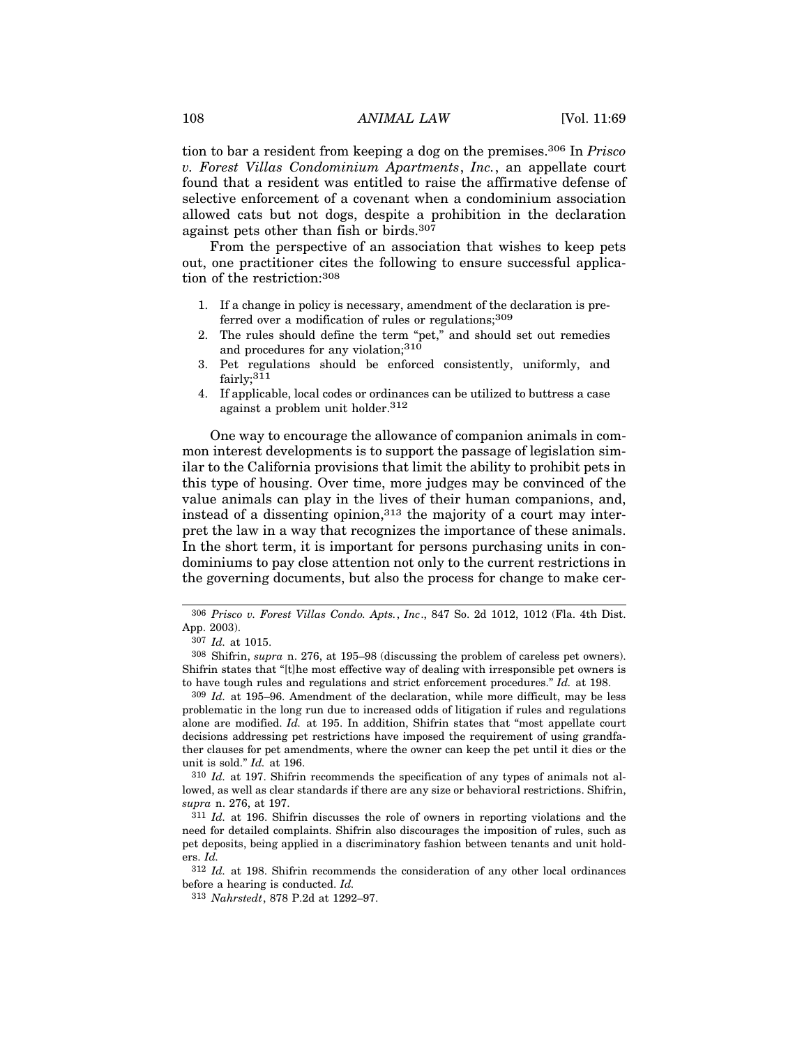tion to bar a resident from keeping a dog on the premises.306 In *Prisco v. Forest Villas Condominium Apartments*, *Inc.*, an appellate court found that a resident was entitled to raise the affirmative defense of selective enforcement of a covenant when a condominium association allowed cats but not dogs, despite a prohibition in the declaration against pets other than fish or birds.307

From the perspective of an association that wishes to keep pets out, one practitioner cites the following to ensure successful application of the restriction:308

- 1. If a change in policy is necessary, amendment of the declaration is preferred over a modification of rules or regulations;<sup>309</sup>
- 2. The rules should define the term "pet," and should set out remedies and procedures for any violation;310
- 3. Pet regulations should be enforced consistently, uniformly, and fairly;<sup>311</sup>
- 4. If applicable, local codes or ordinances can be utilized to buttress a case against a problem unit holder.312

One way to encourage the allowance of companion animals in common interest developments is to support the passage of legislation similar to the California provisions that limit the ability to prohibit pets in this type of housing. Over time, more judges may be convinced of the value animals can play in the lives of their human companions, and, instead of a dissenting opinion,313 the majority of a court may interpret the law in a way that recognizes the importance of these animals. In the short term, it is important for persons purchasing units in condominiums to pay close attention not only to the current restrictions in the governing documents, but also the process for change to make cer-

309 *Id.* at 195–96. Amendment of the declaration, while more difficult, may be less problematic in the long run due to increased odds of litigation if rules and regulations alone are modified. *Id.* at 195. In addition, Shifrin states that "most appellate court decisions addressing pet restrictions have imposed the requirement of using grandfather clauses for pet amendments, where the owner can keep the pet until it dies or the unit is sold." *Id.* at 196.

<sup>306</sup> *Prisco v. Forest Villas Condo. Apts.*, *Inc*., 847 So. 2d 1012, 1012 (Fla. 4th Dist. App. 2003).

<sup>307</sup> *Id.* at 1015.

<sup>308</sup> Shifrin, *supra* n. 276, at 195–98 (discussing the problem of careless pet owners). Shifrin states that "[t]he most effective way of dealing with irresponsible pet owners is to have tough rules and regulations and strict enforcement procedures." *Id.* at 198.

<sup>310</sup> *Id.* at 197. Shifrin recommends the specification of any types of animals not allowed, as well as clear standards if there are any size or behavioral restrictions. Shifrin, *supra* n. 276, at 197.

<sup>311</sup> *Id.* at 196. Shifrin discusses the role of owners in reporting violations and the need for detailed complaints. Shifrin also discourages the imposition of rules, such as pet deposits, being applied in a discriminatory fashion between tenants and unit holders. *Id.*

<sup>312</sup> *Id.* at 198. Shifrin recommends the consideration of any other local ordinances before a hearing is conducted. *Id.*

<sup>313</sup> *Nahrstedt*, 878 P.2d at 1292–97.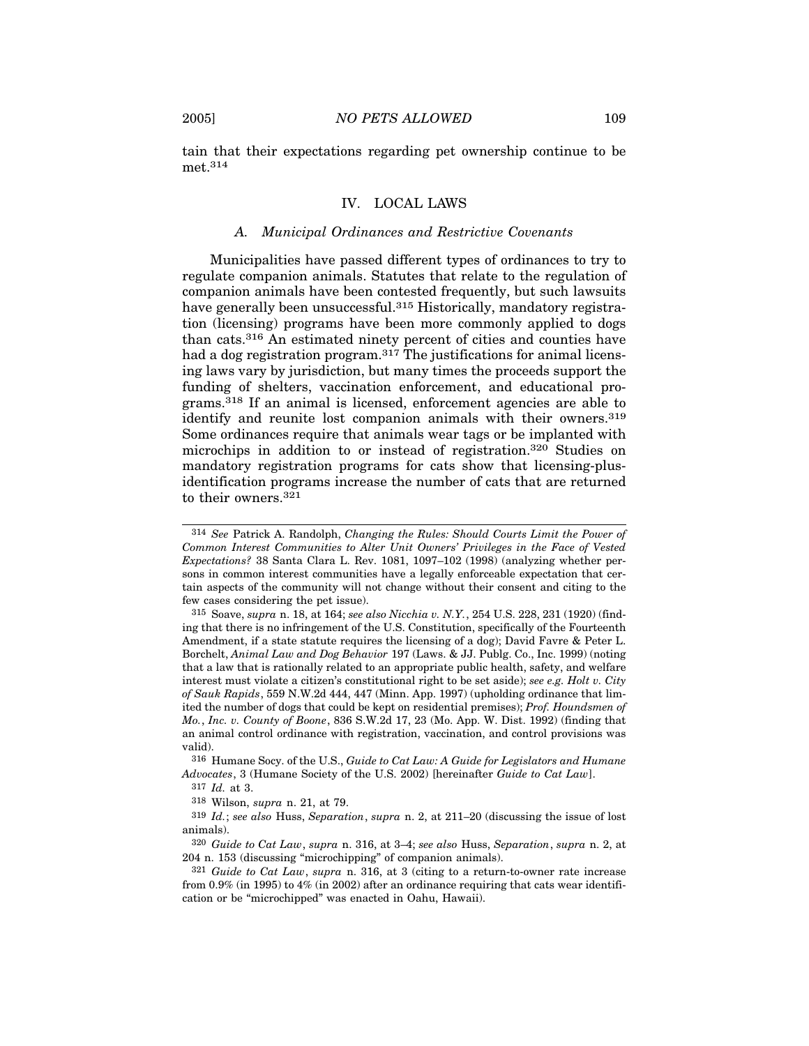tain that their expectations regarding pet ownership continue to be met.314

## IV. LOCAL LAWS

#### *A. Municipal Ordinances and Restrictive Covenants*

Municipalities have passed different types of ordinances to try to regulate companion animals. Statutes that relate to the regulation of companion animals have been contested frequently, but such lawsuits have generally been unsuccessful.<sup>315</sup> Historically, mandatory registration (licensing) programs have been more commonly applied to dogs than cats.316 An estimated ninety percent of cities and counties have had a dog registration program.<sup>317</sup> The justifications for animal licensing laws vary by jurisdiction, but many times the proceeds support the funding of shelters, vaccination enforcement, and educational programs.318 If an animal is licensed, enforcement agencies are able to identify and reunite lost companion animals with their owners.319 Some ordinances require that animals wear tags or be implanted with microchips in addition to or instead of registration.320 Studies on mandatory registration programs for cats show that licensing-plusidentification programs increase the number of cats that are returned to their owners.321

315 Soave, *supra* n. 18, at 164; *see also Nicchia v. N.Y.*, 254 U.S. 228, 231 (1920) (finding that there is no infringement of the U.S. Constitution, specifically of the Fourteenth Amendment, if a state statute requires the licensing of a dog); David Favre & Peter L. Borchelt, *Animal Law and Dog Behavior* 197 (Laws. & JJ. Publg. Co., Inc. 1999) (noting that a law that is rationally related to an appropriate public health, safety, and welfare interest must violate a citizen's constitutional right to be set aside); *see e.g. Holt v. City of Sauk Rapids*, 559 N.W.2d 444, 447 (Minn. App. 1997) (upholding ordinance that limited the number of dogs that could be kept on residential premises); *Prof. Houndsmen of Mo.*, *Inc. v. County of Boone*, 836 S.W.2d 17, 23 (Mo. App. W. Dist. 1992) (finding that an animal control ordinance with registration, vaccination, and control provisions was valid).

316 Humane Socy. of the U.S., *Guide to Cat Law: A Guide for Legislators and Humane Advocates*, 3 (Humane Society of the U.S. 2002) [hereinafter *Guide to Cat Law*].

317 *Id.* at 3.

319 *Id.*; *see also* Huss, *Separation*, *supra* n. 2, at 211–20 (discussing the issue of lost animals).

320 *Guide to Cat Law*, *supra* n. 316, at 3–4; *see also* Huss, *Separation*, *supra* n. 2, at 204 n. 153 (discussing "microchipping" of companion animals).

<sup>314</sup> *See* Patrick A. Randolph, *Changing the Rules: Should Courts Limit the Power of Common Interest Communities to Alter Unit Owners' Privileges in the Face of Vested Expectations?* 38 Santa Clara L. Rev. 1081, 1097–102 (1998) (analyzing whether persons in common interest communities have a legally enforceable expectation that certain aspects of the community will not change without their consent and citing to the few cases considering the pet issue).

<sup>318</sup> Wilson, *supra* n. 21, at 79.

<sup>321</sup> *Guide to Cat Law*, *supra* n. 316, at 3 (citing to a return-to-owner rate increase from 0.9% (in 1995) to 4% (in 2002) after an ordinance requiring that cats wear identification or be "microchipped" was enacted in Oahu, Hawaii).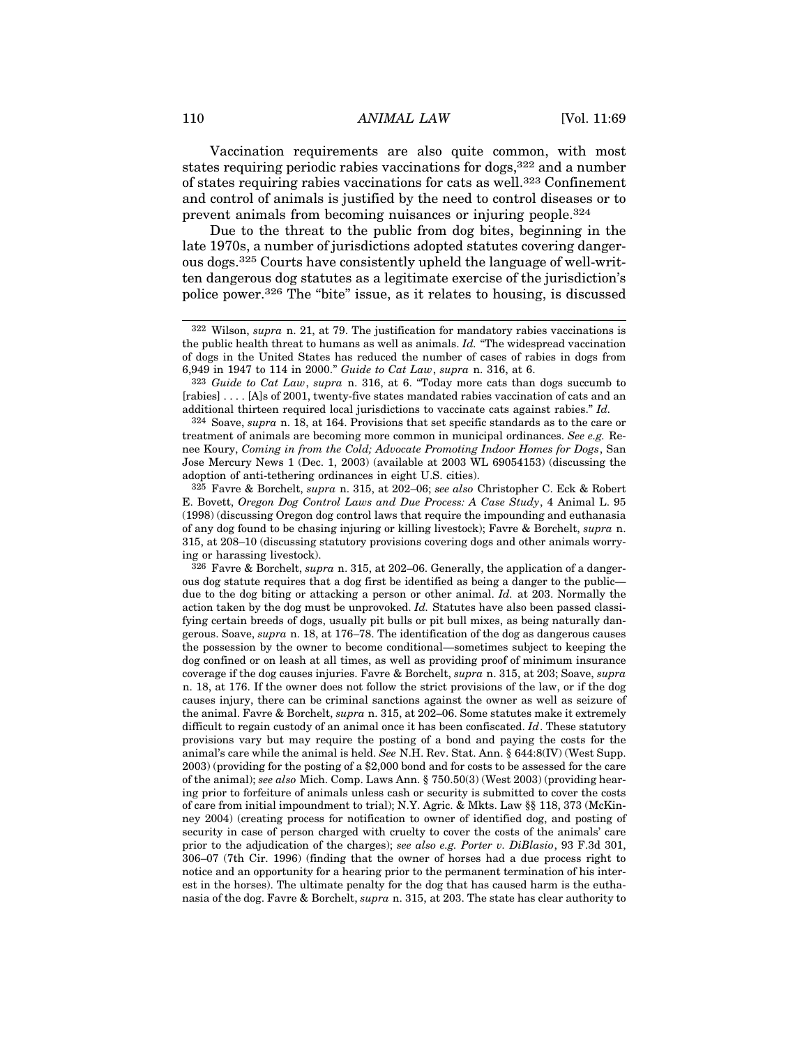Vaccination requirements are also quite common, with most states requiring periodic rabies vaccinations for dogs,<sup>322</sup> and a number of states requiring rabies vaccinations for cats as well.<sup>323</sup> Confinement and control of animals is justified by the need to control diseases or to prevent animals from becoming nuisances or injuring people.324

Due to the threat to the public from dog bites, beginning in the late 1970s, a number of jurisdictions adopted statutes covering dangerous dogs.325 Courts have consistently upheld the language of well-written dangerous dog statutes as a legitimate exercise of the jurisdiction's police power.326 The "bite" issue, as it relates to housing, is discussed

<sup>322</sup> Wilson, *supra* n. 21, at 79. The justification for mandatory rabies vaccinations is the public health threat to humans as well as animals. *Id.* "The widespread vaccination of dogs in the United States has reduced the number of cases of rabies in dogs from 6,949 in 1947 to 114 in 2000." *Guide to Cat Law*, *supra* n. 316, at 6.

<sup>323</sup> *Guide to Cat Law*, *supra* n. 316, at 6. "Today more cats than dogs succumb to [rabies] . . . . [A]s of 2001, twenty-five states mandated rabies vaccination of cats and an additional thirteen required local jurisdictions to vaccinate cats against rabies." *Id.*

<sup>324</sup> Soave, *supra* n. 18, at 164. Provisions that set specific standards as to the care or treatment of animals are becoming more common in municipal ordinances. *See e.g.* Renee Koury, *Coming in from the Cold; Advocate Promoting Indoor Homes for Dogs*, San Jose Mercury News 1 (Dec. 1, 2003) (available at 2003 WL 69054153) (discussing the adoption of anti-tethering ordinances in eight U.S. cities).

<sup>325</sup> Favre & Borchelt, *supra* n. 315, at 202–06; *see also* Christopher C. Eck & Robert E. Bovett, *Oregon Dog Control Laws and Due Process: A Case Study*, 4 Animal L. 95 (1998) (discussing Oregon dog control laws that require the impounding and euthanasia of any dog found to be chasing injuring or killing livestock); Favre & Borchelt, *supra* n. 315, at 208–10 (discussing statutory provisions covering dogs and other animals worrying or harassing livestock).

<sup>326</sup> Favre & Borchelt, *supra* n. 315, at 202–06. Generally, the application of a dangerous dog statute requires that a dog first be identified as being a danger to the public due to the dog biting or attacking a person or other animal. *Id.* at 203. Normally the action taken by the dog must be unprovoked. *Id.* Statutes have also been passed classifying certain breeds of dogs, usually pit bulls or pit bull mixes, as being naturally dangerous. Soave, *supra* n. 18, at 176–78. The identification of the dog as dangerous causes the possession by the owner to become conditional—sometimes subject to keeping the dog confined or on leash at all times, as well as providing proof of minimum insurance coverage if the dog causes injuries. Favre & Borchelt, *supra* n. 315, at 203; Soave, *supra* n. 18, at 176. If the owner does not follow the strict provisions of the law, or if the dog causes injury, there can be criminal sanctions against the owner as well as seizure of the animal. Favre & Borchelt, *supra* n. 315, at 202–06. Some statutes make it extremely difficult to regain custody of an animal once it has been confiscated. *Id*. These statutory provisions vary but may require the posting of a bond and paying the costs for the animal's care while the animal is held. *See* N.H. Rev. Stat. Ann. § 644:8(IV) (West Supp. 2003) (providing for the posting of a \$2,000 bond and for costs to be assessed for the care of the animal); *see also* Mich. Comp. Laws Ann. § 750.50(3) (West 2003) (providing hearing prior to forfeiture of animals unless cash or security is submitted to cover the costs of care from initial impoundment to trial); N.Y. Agric. & Mkts. Law §§ 118, 373 (McKinney 2004) (creating process for notification to owner of identified dog, and posting of security in case of person charged with cruelty to cover the costs of the animals' care prior to the adjudication of the charges); *see also e.g. Porter v. DiBlasio*, 93 F.3d 301, 306–07 (7th Cir. 1996) (finding that the owner of horses had a due process right to notice and an opportunity for a hearing prior to the permanent termination of his interest in the horses). The ultimate penalty for the dog that has caused harm is the euthanasia of the dog. Favre & Borchelt, *supra* n. 315, at 203. The state has clear authority to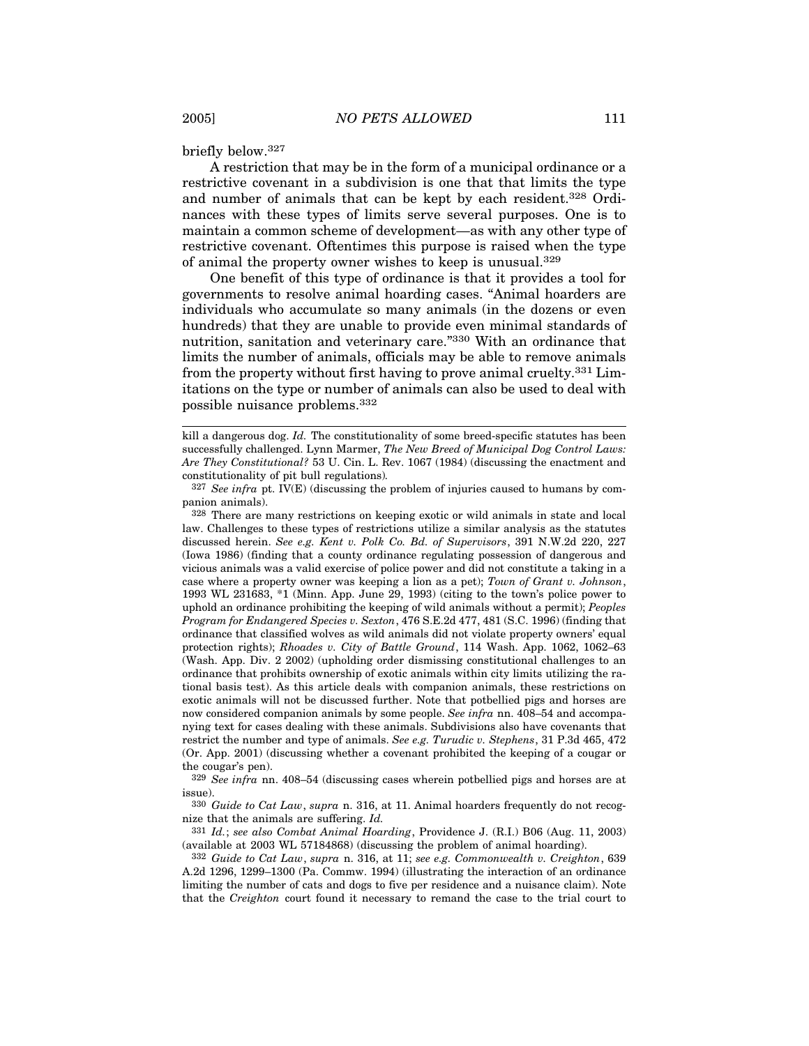briefly below.327

A restriction that may be in the form of a municipal ordinance or a restrictive covenant in a subdivision is one that that limits the type and number of animals that can be kept by each resident.328 Ordinances with these types of limits serve several purposes. One is to maintain a common scheme of development—as with any other type of restrictive covenant. Oftentimes this purpose is raised when the type of animal the property owner wishes to keep is unusual.329

One benefit of this type of ordinance is that it provides a tool for governments to resolve animal hoarding cases. "Animal hoarders are individuals who accumulate so many animals (in the dozens or even hundreds) that they are unable to provide even minimal standards of nutrition, sanitation and veterinary care."330 With an ordinance that limits the number of animals, officials may be able to remove animals from the property without first having to prove animal cruelty.331 Limitations on the type or number of animals can also be used to deal with possible nuisance problems.332

327 *See infra* pt. IV(E) (discussing the problem of injuries caused to humans by companion animals).

328 There are many restrictions on keeping exotic or wild animals in state and local law. Challenges to these types of restrictions utilize a similar analysis as the statutes discussed herein. *See e.g. Kent v. Polk Co. Bd. of Supervisors*, 391 N.W.2d 220, 227 (Iowa 1986) (finding that a county ordinance regulating possession of dangerous and vicious animals was a valid exercise of police power and did not constitute a taking in a case where a property owner was keeping a lion as a pet); *Town of Grant v. Johnson*, 1993 WL 231683, \*1 (Minn. App. June 29, 1993) (citing to the town's police power to uphold an ordinance prohibiting the keeping of wild animals without a permit); *Peoples Program for Endangered Species v. Sexton*, 476 S.E.2d 477, 481 (S.C. 1996) (finding that ordinance that classified wolves as wild animals did not violate property owners' equal protection rights); *Rhoades v. City of Battle Ground*, 114 Wash. App. 1062, 1062–63 (Wash. App. Div. 2 2002) (upholding order dismissing constitutional challenges to an ordinance that prohibits ownership of exotic animals within city limits utilizing the rational basis test). As this article deals with companion animals, these restrictions on exotic animals will not be discussed further. Note that potbellied pigs and horses are now considered companion animals by some people. *See infra* nn. 408–54 and accompanying text for cases dealing with these animals. Subdivisions also have covenants that restrict the number and type of animals. *See e.g. Turudic v. Stephens*, 31 P.3d 465, 472 (Or. App. 2001) (discussing whether a covenant prohibited the keeping of a cougar or the cougar's pen).

329 *See infra* nn. 408–54 (discussing cases wherein potbellied pigs and horses are at issue).

330 *Guide to Cat Law*, *supra* n. 316, at 11. Animal hoarders frequently do not recognize that the animals are suffering. *Id.*

331 *Id.*; *see also Combat Animal Hoarding*, Providence J. (R.I.) B06 (Aug. 11, 2003) (available at 2003 WL 57184868) (discussing the problem of animal hoarding).

332 *Guide to Cat Law*, *supra* n. 316, at 11; *see e.g. Commonwealth v. Creighton*, 639 A.2d 1296, 1299–1300 (Pa. Commw. 1994) (illustrating the interaction of an ordinance limiting the number of cats and dogs to five per residence and a nuisance claim). Note that the *Creighton* court found it necessary to remand the case to the trial court to

kill a dangerous dog. *Id.* The constitutionality of some breed-specific statutes has been successfully challenged. Lynn Marmer, *The New Breed of Municipal Dog Control Laws: Are They Constitutional?* 53 U. Cin. L. Rev. 1067 (1984) (discussing the enactment and constitutionality of pit bull regulations)*.*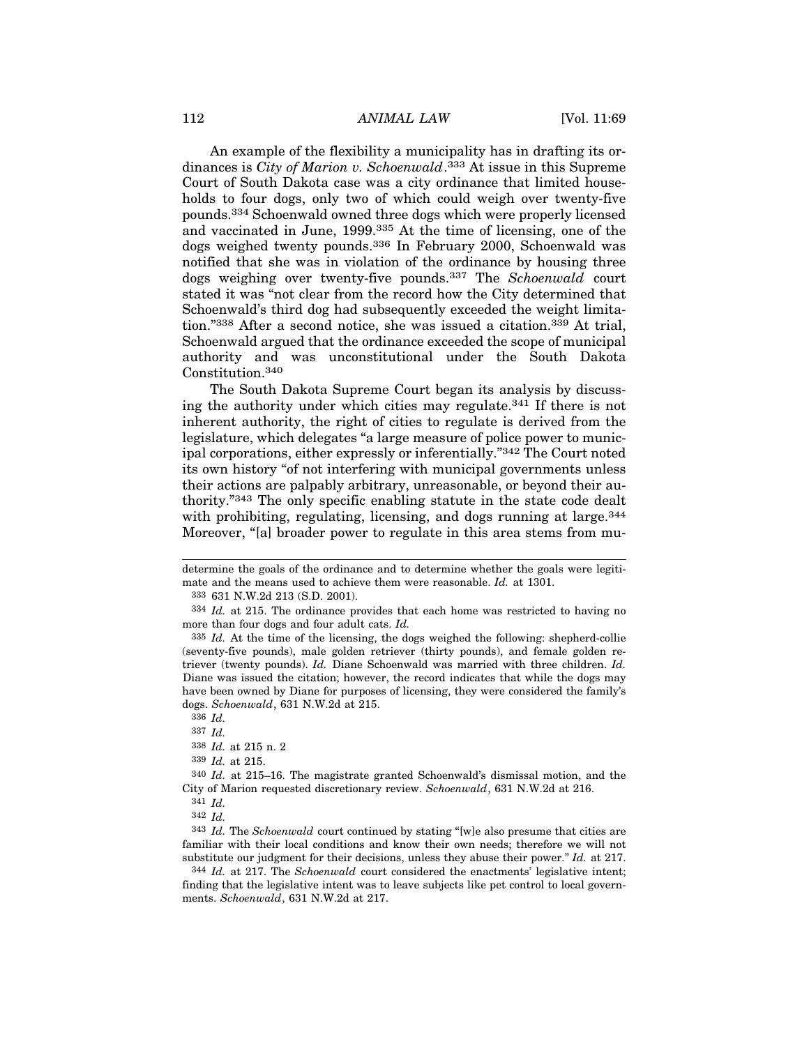## 112 *ANIMAL LAW* [Vol. 11:69]

An example of the flexibility a municipality has in drafting its ordinances is *City of Marion v. Schoenwald*. 333 At issue in this Supreme Court of South Dakota case was a city ordinance that limited households to four dogs, only two of which could weigh over twenty-five pounds.334 Schoenwald owned three dogs which were properly licensed and vaccinated in June, 1999.335 At the time of licensing, one of the dogs weighed twenty pounds.336 In February 2000, Schoenwald was notified that she was in violation of the ordinance by housing three dogs weighing over twenty-five pounds.337 The *Schoenwald* court stated it was "not clear from the record how the City determined that Schoenwald's third dog had subsequently exceeded the weight limitation."338 After a second notice, she was issued a citation.339 At trial, Schoenwald argued that the ordinance exceeded the scope of municipal authority and was unconstitutional under the South Dakota Constitution.340

The South Dakota Supreme Court began its analysis by discussing the authority under which cities may regulate.341 If there is not inherent authority, the right of cities to regulate is derived from the legislature, which delegates "a large measure of police power to municipal corporations, either expressly or inferentially."342 The Court noted its own history "of not interfering with municipal governments unless their actions are palpably arbitrary, unreasonable, or beyond their authority."343 The only specific enabling statute in the state code dealt with prohibiting, regulating, licensing, and dogs running at large.<sup>344</sup> Moreover, "[a] broader power to regulate in this area stems from mu-

determine the goals of the ordinance and to determine whether the goals were legitimate and the means used to achieve them were reasonable. *Id.* at 1301.

<sup>333</sup> 631 N.W.2d 213 (S.D. 2001).

<sup>334</sup> *Id.* at 215. The ordinance provides that each home was restricted to having no more than four dogs and four adult cats. *Id.*

<sup>335</sup> *Id.* At the time of the licensing, the dogs weighed the following: shepherd-collie (seventy-five pounds), male golden retriever (thirty pounds), and female golden retriever (twenty pounds). *Id.* Diane Schoenwald was married with three children. *Id.* Diane was issued the citation; however, the record indicates that while the dogs may have been owned by Diane for purposes of licensing, they were considered the family's dogs. *Schoenwald*, 631 N.W.2d at 215.

<sup>336</sup> *Id.*

<sup>337</sup> *Id.*

<sup>338</sup> *Id.* at 215 n. 2

<sup>339</sup> *Id.* at 215.

<sup>340</sup> *Id.* at 215–16. The magistrate granted Schoenwald's dismissal motion, and the City of Marion requested discretionary review. *Schoenwald*, 631 N.W.2d at 216.

<sup>341</sup> *Id.*

<sup>342</sup> *Id.*

<sup>343</sup> *Id.* The *Schoenwald* court continued by stating "[w]e also presume that cities are familiar with their local conditions and know their own needs; therefore we will not substitute our judgment for their decisions, unless they abuse their power." *Id.* at 217.

<sup>344</sup> *Id.* at 217. The *Schoenwald* court considered the enactments' legislative intent; finding that the legislative intent was to leave subjects like pet control to local governments. *Schoenwald*, 631 N.W.2d at 217.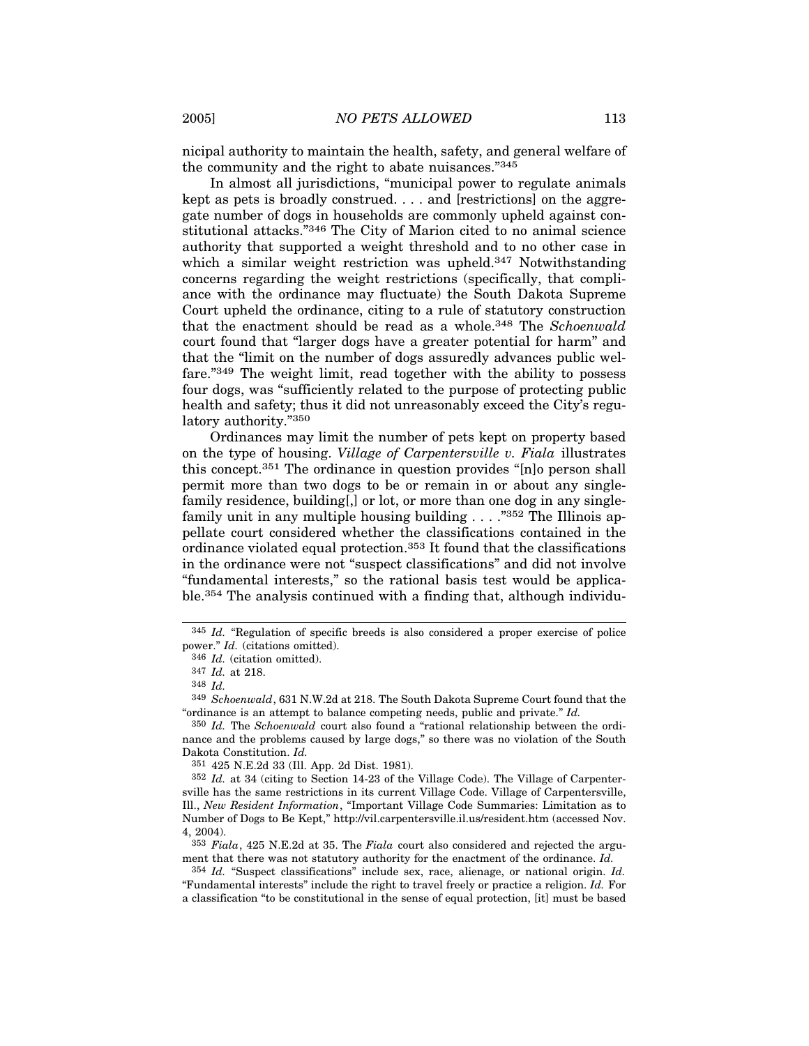nicipal authority to maintain the health, safety, and general welfare of the community and the right to abate nuisances."345

In almost all jurisdictions, "municipal power to regulate animals kept as pets is broadly construed. . . . and [restrictions] on the aggregate number of dogs in households are commonly upheld against constitutional attacks."346 The City of Marion cited to no animal science authority that supported a weight threshold and to no other case in which a similar weight restriction was upheld.<sup>347</sup> Notwithstanding concerns regarding the weight restrictions (specifically, that compliance with the ordinance may fluctuate) the South Dakota Supreme Court upheld the ordinance, citing to a rule of statutory construction that the enactment should be read as a whole.348 The *Schoenwald* court found that "larger dogs have a greater potential for harm" and that the "limit on the number of dogs assuredly advances public welfare."349 The weight limit, read together with the ability to possess four dogs, was "sufficiently related to the purpose of protecting public health and safety; thus it did not unreasonably exceed the City's regulatory authority."350

Ordinances may limit the number of pets kept on property based on the type of housing. *Village of Carpentersville v. Fiala* illustrates this concept.351 The ordinance in question provides "[n]o person shall permit more than two dogs to be or remain in or about any singlefamily residence, building[,] or lot, or more than one dog in any singlefamily unit in any multiple housing building . . . ."352 The Illinois appellate court considered whether the classifications contained in the ordinance violated equal protection.353 It found that the classifications in the ordinance were not "suspect classifications" and did not involve "fundamental interests," so the rational basis test would be applicable.354 The analysis continued with a finding that, although individu-

350 *Id.* The *Schoenwald* court also found a "rational relationship between the ordinance and the problems caused by large dogs," so there was no violation of the South Dakota Constitution. *Id.*

351 425 N.E.2d 33 (Ill. App. 2d Dist. 1981).

<sup>345</sup> *Id.* "Regulation of specific breeds is also considered a proper exercise of police power." *Id.* (citations omitted).

<sup>346</sup> *Id.* (citation omitted).

<sup>347</sup> *Id.* at 218.

<sup>348</sup> *Id.*

<sup>349</sup> *Schoenwald*, 631 N.W.2d at 218. The South Dakota Supreme Court found that the "ordinance is an attempt to balance competing needs, public and private." *Id.*

<sup>352</sup> *Id.* at 34 (citing to Section 14-23 of the Village Code). The Village of Carpentersville has the same restrictions in its current Village Code. Village of Carpentersville, Ill., *New Resident Information*, "Important Village Code Summaries: Limitation as to Number of Dogs to Be Kept," http://vil.carpentersville.il.us/resident.htm (accessed Nov. 4, 2004).

<sup>353</sup> *Fiala*, 425 N.E.2d at 35. The *Fiala* court also considered and rejected the argument that there was not statutory authority for the enactment of the ordinance. *Id.*

<sup>354</sup> *Id.* "Suspect classifications" include sex, race, alienage, or national origin. *Id.* "Fundamental interests" include the right to travel freely or practice a religion. *Id.* For a classification "to be constitutional in the sense of equal protection, [it] must be based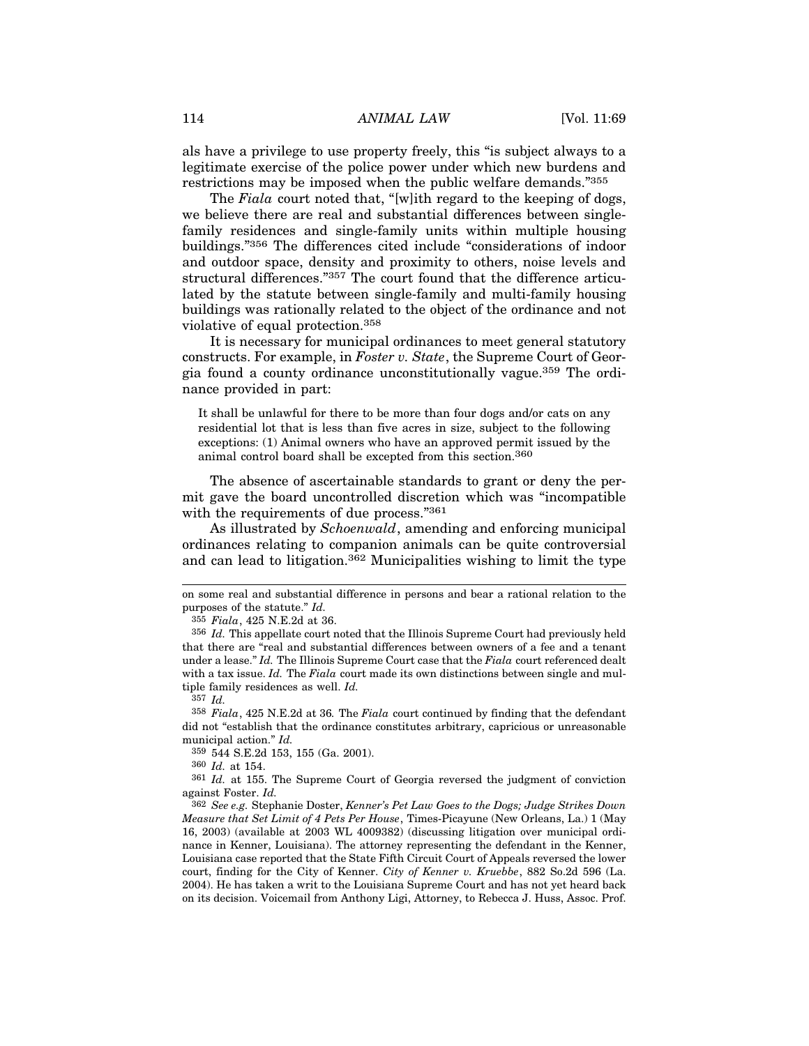als have a privilege to use property freely, this "is subject always to a legitimate exercise of the police power under which new burdens and restrictions may be imposed when the public welfare demands."355

The *Fiala* court noted that, "[w]ith regard to the keeping of dogs, we believe there are real and substantial differences between singlefamily residences and single-family units within multiple housing buildings."356 The differences cited include "considerations of indoor and outdoor space, density and proximity to others, noise levels and structural differences."357 The court found that the difference articulated by the statute between single-family and multi-family housing buildings was rationally related to the object of the ordinance and not violative of equal protection.358

It is necessary for municipal ordinances to meet general statutory constructs. For example, in *Foster v. State*, the Supreme Court of Georgia found a county ordinance unconstitutionally vague.359 The ordinance provided in part:

It shall be unlawful for there to be more than four dogs and/or cats on any residential lot that is less than five acres in size, subject to the following exceptions: (1) Animal owners who have an approved permit issued by the animal control board shall be excepted from this section.<sup>360</sup>

The absence of ascertainable standards to grant or deny the permit gave the board uncontrolled discretion which was "incompatible with the requirements of due process."361

As illustrated by *Schoenwald*, amending and enforcing municipal ordinances relating to companion animals can be quite controversial and can lead to litigation.362 Municipalities wishing to limit the type

on some real and substantial difference in persons and bear a rational relation to the purposes of the statute." *Id.*

<sup>355</sup> *Fiala*, 425 N.E.2d at 36.

<sup>356</sup> *Id.* This appellate court noted that the Illinois Supreme Court had previously held that there are "real and substantial differences between owners of a fee and a tenant under a lease." *Id.* The Illinois Supreme Court case that the *Fiala* court referenced dealt with a tax issue. *Id.* The *Fiala* court made its own distinctions between single and multiple family residences as well. *Id.*

<sup>357</sup> *Id.*

<sup>358</sup> *Fiala*, 425 N.E.2d at 36*.* The *Fiala* court continued by finding that the defendant did not "establish that the ordinance constitutes arbitrary, capricious or unreasonable municipal action." *Id.*

<sup>359</sup> 544 S.E.2d 153, 155 (Ga. 2001).

<sup>360</sup> *Id.* at 154.

<sup>361</sup> *Id.* at 155. The Supreme Court of Georgia reversed the judgment of conviction against Foster. *Id.*

<sup>362</sup> *See e.g.* Stephanie Doster, *Kenner's Pet Law Goes to the Dogs; Judge Strikes Down Measure that Set Limit of 4 Pets Per House*, Times-Picayune (New Orleans, La.) 1 (May 16, 2003) (available at 2003 WL 4009382) (discussing litigation over municipal ordinance in Kenner, Louisiana). The attorney representing the defendant in the Kenner, Louisiana case reported that the State Fifth Circuit Court of Appeals reversed the lower court, finding for the City of Kenner. *City of Kenner v. Kruebbe*, 882 So.2d 596 (La. 2004). He has taken a writ to the Louisiana Supreme Court and has not yet heard back on its decision. Voicemail from Anthony Ligi, Attorney, to Rebecca J. Huss, Assoc. Prof.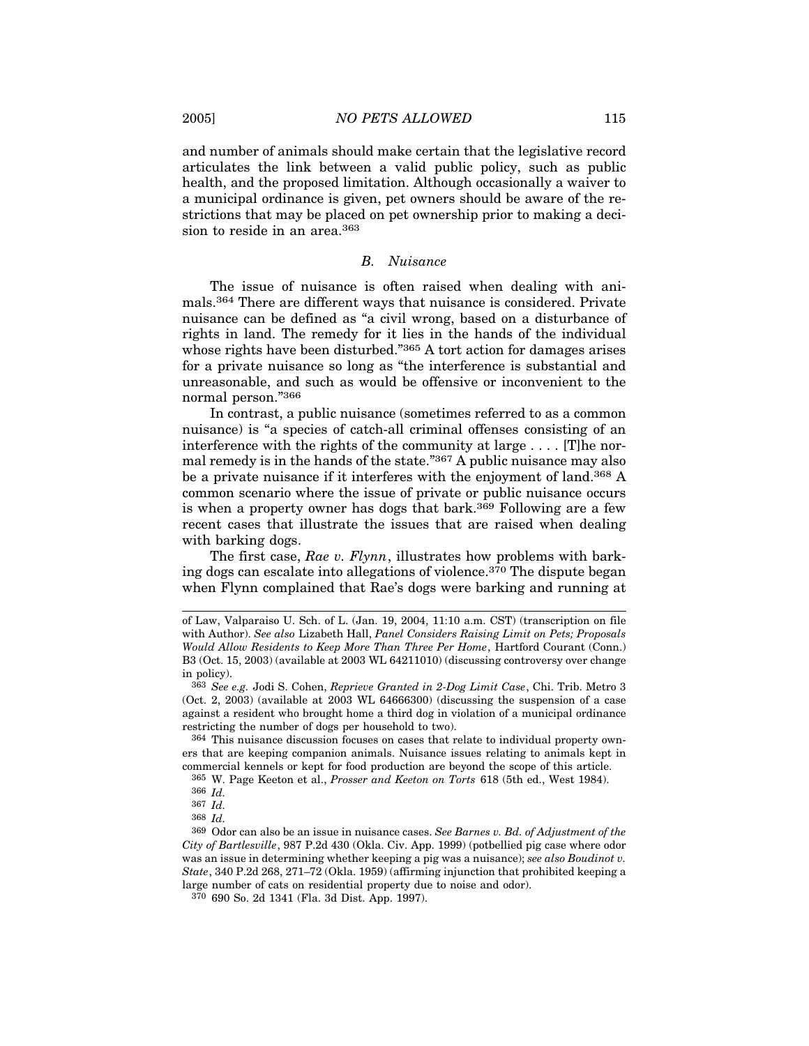and number of animals should make certain that the legislative record articulates the link between a valid public policy, such as public health, and the proposed limitation. Although occasionally a waiver to a municipal ordinance is given, pet owners should be aware of the restrictions that may be placed on pet ownership prior to making a decision to reside in an area.<sup>363</sup>

#### *B. Nuisance*

The issue of nuisance is often raised when dealing with animals.364 There are different ways that nuisance is considered. Private nuisance can be defined as "a civil wrong, based on a disturbance of rights in land. The remedy for it lies in the hands of the individual whose rights have been disturbed."<sup>365</sup> A tort action for damages arises for a private nuisance so long as "the interference is substantial and unreasonable, and such as would be offensive or inconvenient to the normal person."366

In contrast, a public nuisance (sometimes referred to as a common nuisance) is "a species of catch-all criminal offenses consisting of an interference with the rights of the community at large . . . . [T]he normal remedy is in the hands of the state."367 A public nuisance may also be a private nuisance if it interferes with the enjoyment of land.368 A common scenario where the issue of private or public nuisance occurs is when a property owner has dogs that bark.<sup>369</sup> Following are a few recent cases that illustrate the issues that are raised when dealing with barking dogs.

The first case, *Rae v. Flynn*, illustrates how problems with barking dogs can escalate into allegations of violence.370 The dispute began when Flynn complained that Rae's dogs were barking and running at

364 This nuisance discussion focuses on cases that relate to individual property owners that are keeping companion animals. Nuisance issues relating to animals kept in commercial kennels or kept for food production are beyond the scope of this article.

of Law, Valparaiso U. Sch. of L. (Jan. 19, 2004, 11:10 a.m. CST) (transcription on file with Author). *See also* Lizabeth Hall, *Panel Considers Raising Limit on Pets; Proposals Would Allow Residents to Keep More Than Three Per Home*, Hartford Courant (Conn.) B3 (Oct. 15, 2003) (available at 2003 WL 64211010) (discussing controversy over change in policy).

<sup>363</sup> *See e.g.* Jodi S. Cohen, *Reprieve Granted in 2-Dog Limit Case*, Chi. Trib. Metro 3 (Oct. 2, 2003) (available at 2003 WL 64666300) (discussing the suspension of a case against a resident who brought home a third dog in violation of a municipal ordinance restricting the number of dogs per household to two).

<sup>365</sup> W. Page Keeton et al., *Prosser and Keeton on Torts* 618 (5th ed., West 1984).

<sup>366</sup> *Id.*

<sup>367</sup> *Id.*

<sup>368</sup> *Id.*

<sup>369</sup> Odor can also be an issue in nuisance cases. *See Barnes v. Bd. of Adjustment of the City of Bartlesville*, 987 P.2d 430 (Okla. Civ. App. 1999) (potbellied pig case where odor was an issue in determining whether keeping a pig was a nuisance); *see also Boudinot v. State*, 340 P.2d 268, 271–72 (Okla. 1959) (affirming injunction that prohibited keeping a large number of cats on residential property due to noise and odor).

<sup>370</sup> 690 So. 2d 1341 (Fla. 3d Dist. App. 1997).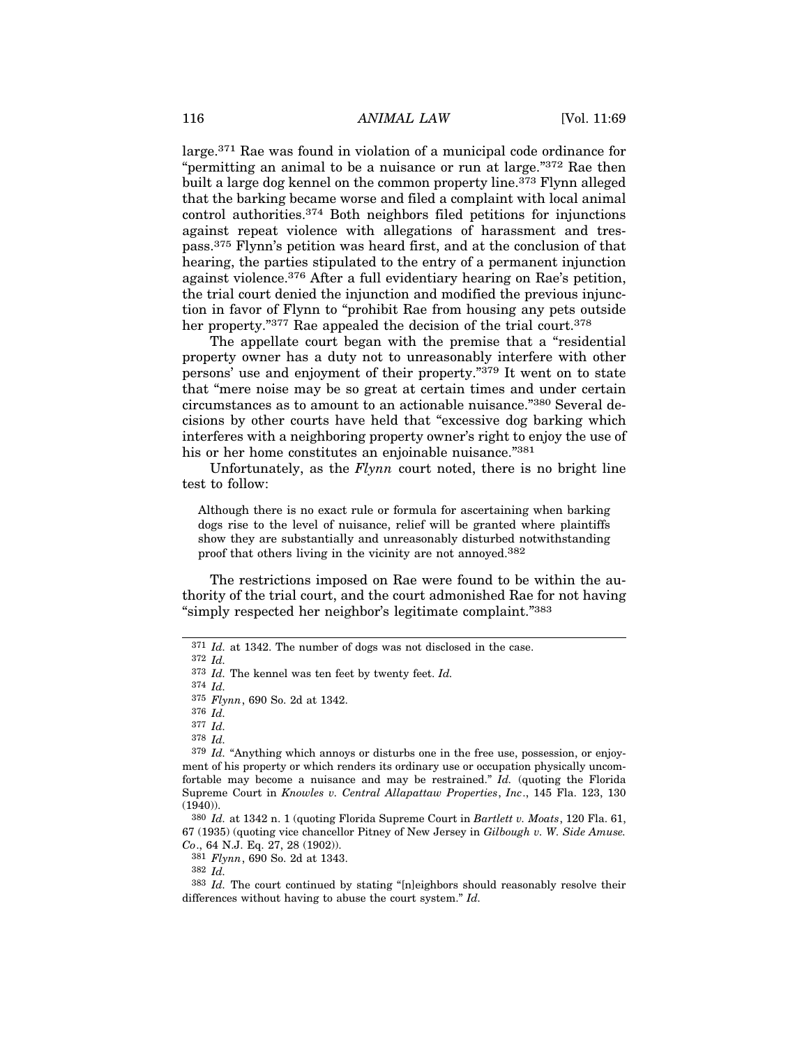large.371 Rae was found in violation of a municipal code ordinance for "permitting an animal to be a nuisance or run at large."372 Rae then built a large dog kennel on the common property line.<sup>373</sup> Flynn alleged that the barking became worse and filed a complaint with local animal control authorities.374 Both neighbors filed petitions for injunctions against repeat violence with allegations of harassment and trespass.375 Flynn's petition was heard first, and at the conclusion of that hearing, the parties stipulated to the entry of a permanent injunction against violence.376 After a full evidentiary hearing on Rae's petition, the trial court denied the injunction and modified the previous injunction in favor of Flynn to "prohibit Rae from housing any pets outside her property."<sup>377</sup> Rae appealed the decision of the trial court.<sup>378</sup>

The appellate court began with the premise that a "residential property owner has a duty not to unreasonably interfere with other persons' use and enjoyment of their property."379 It went on to state that "mere noise may be so great at certain times and under certain circumstances as to amount to an actionable nuisance."380 Several decisions by other courts have held that "excessive dog barking which interferes with a neighboring property owner's right to enjoy the use of his or her home constitutes an enjoinable nuisance."<sup>381</sup>

Unfortunately, as the *Flynn* court noted, there is no bright line test to follow:

Although there is no exact rule or formula for ascertaining when barking dogs rise to the level of nuisance, relief will be granted where plaintiffs show they are substantially and unreasonably disturbed notwithstanding proof that others living in the vicinity are not annoyed.382

The restrictions imposed on Rae were found to be within the authority of the trial court, and the court admonished Rae for not having "simply respected her neighbor's legitimate complaint."383

376 *Id.*

381 *Flynn*, 690 So. 2d at 1343.

382 *Id.*

<sup>371</sup> *Id.* at 1342. The number of dogs was not disclosed in the case.

<sup>372</sup> *Id.*

<sup>373</sup> *Id.* The kennel was ten feet by twenty feet. *Id.*

<sup>374</sup> *Id.*

<sup>375</sup> *Flynn*, 690 So. 2d at 1342.

<sup>377</sup> *Id.*

<sup>378</sup> *Id.*

<sup>379</sup> *Id.* "Anything which annoys or disturbs one in the free use, possession, or enjoyment of his property or which renders its ordinary use or occupation physically uncomfortable may become a nuisance and may be restrained." *Id.* (quoting the Florida Supreme Court in *Knowles v. Central Allapattaw Properties*, *Inc*., 145 Fla. 123, 130 (1940)).

<sup>380</sup> *Id.* at 1342 n. 1 (quoting Florida Supreme Court in *Bartlett v. Moats*, 120 Fla. 61, 67 (1935) (quoting vice chancellor Pitney of New Jersey in *Gilbough v. W. Side Amuse. Co*., 64 N.J. Eq. 27, 28 (1902)).

<sup>383</sup> *Id.* The court continued by stating "[n]eighbors should reasonably resolve their differences without having to abuse the court system." *Id.*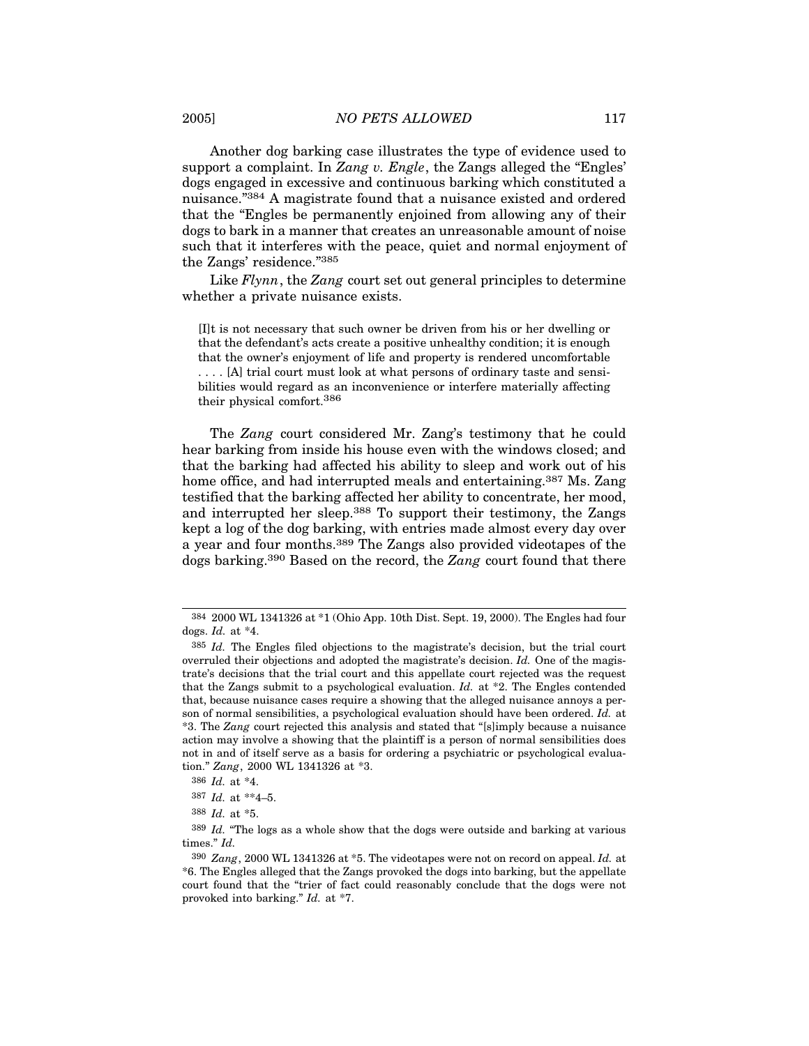Another dog barking case illustrates the type of evidence used to support a complaint. In *Zang v. Engle*, the Zangs alleged the "Engles' dogs engaged in excessive and continuous barking which constituted a nuisance."384 A magistrate found that a nuisance existed and ordered that the "Engles be permanently enjoined from allowing any of their dogs to bark in a manner that creates an unreasonable amount of noise such that it interferes with the peace, quiet and normal enjoyment of the Zangs' residence."385

Like *Flynn*, the *Zang* court set out general principles to determine whether a private nuisance exists.

[I]t is not necessary that such owner be driven from his or her dwelling or that the defendant's acts create a positive unhealthy condition; it is enough that the owner's enjoyment of life and property is rendered uncomfortable . . . . [A] trial court must look at what persons of ordinary taste and sensibilities would regard as an inconvenience or interfere materially affecting their physical comfort.386

The *Zang* court considered Mr. Zang's testimony that he could hear barking from inside his house even with the windows closed; and that the barking had affected his ability to sleep and work out of his home office, and had interrupted meals and entertaining.<sup>387</sup> Ms. Zang testified that the barking affected her ability to concentrate, her mood, and interrupted her sleep.388 To support their testimony, the Zangs kept a log of the dog barking, with entries made almost every day over a year and four months.389 The Zangs also provided videotapes of the dogs barking.390 Based on the record, the *Zang* court found that there

<sup>384</sup> 2000 WL 1341326 at \*1 (Ohio App. 10th Dist. Sept. 19, 2000). The Engles had four dogs. *Id.* at \*4.

<sup>385</sup> *Id.* The Engles filed objections to the magistrate's decision, but the trial court overruled their objections and adopted the magistrate's decision. *Id.* One of the magistrate's decisions that the trial court and this appellate court rejected was the request that the Zangs submit to a psychological evaluation. *Id.* at \*2. The Engles contended that, because nuisance cases require a showing that the alleged nuisance annoys a person of normal sensibilities, a psychological evaluation should have been ordered. *Id.* at \*3. The *Zang* court rejected this analysis and stated that "[s]imply because a nuisance action may involve a showing that the plaintiff is a person of normal sensibilities does not in and of itself serve as a basis for ordering a psychiatric or psychological evaluation." *Zang*, 2000 WL 1341326 at \*3.

<sup>386</sup> *Id.* at \*4.

<sup>387</sup> *Id.* at \*\*4–5.

<sup>388</sup> *Id.* at \*5.

<sup>389</sup> *Id.* "The logs as a whole show that the dogs were outside and barking at various times." *Id.*

<sup>390</sup> *Zang*, 2000 WL 1341326 at \*5. The videotapes were not on record on appeal. *Id.* at \*6. The Engles alleged that the Zangs provoked the dogs into barking, but the appellate court found that the "trier of fact could reasonably conclude that the dogs were not provoked into barking." *Id.* at \*7.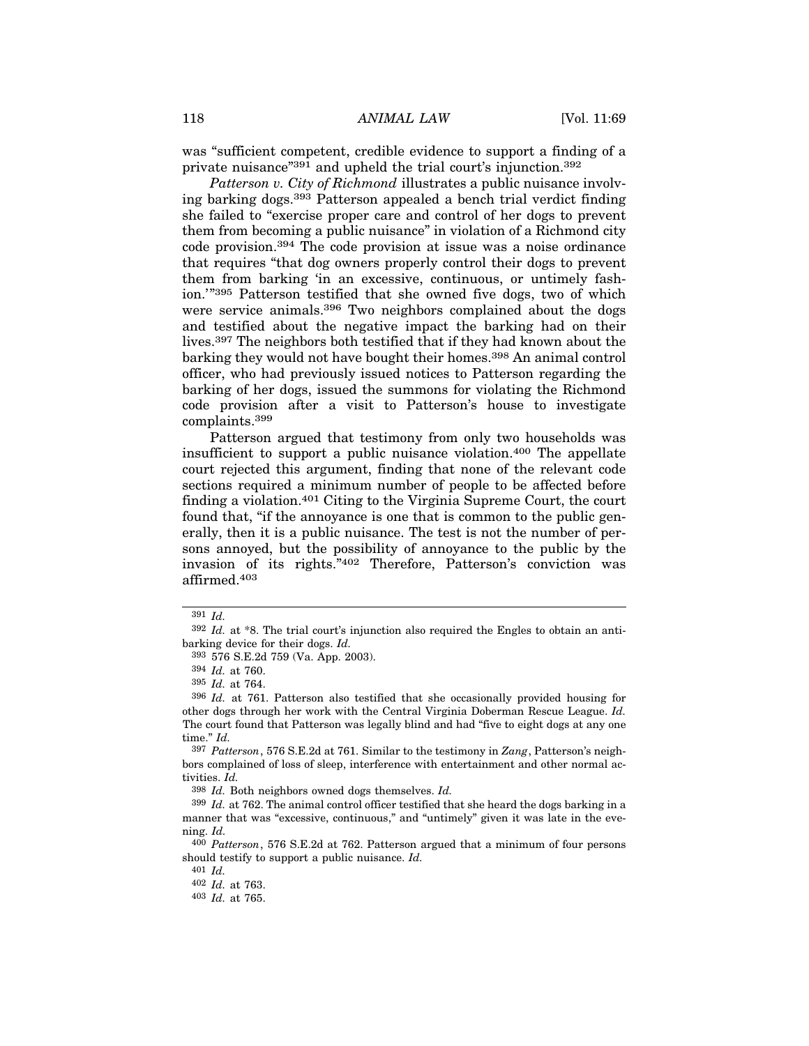was "sufficient competent, credible evidence to support a finding of a private nuisance"391 and upheld the trial court's injunction.392

*Patterson v. City of Richmond* illustrates a public nuisance involving barking dogs.393 Patterson appealed a bench trial verdict finding she failed to "exercise proper care and control of her dogs to prevent them from becoming a public nuisance" in violation of a Richmond city code provision.394 The code provision at issue was a noise ordinance that requires "that dog owners properly control their dogs to prevent them from barking 'in an excessive, continuous, or untimely fashion.'"395 Patterson testified that she owned five dogs, two of which were service animals.396 Two neighbors complained about the dogs and testified about the negative impact the barking had on their lives.397 The neighbors both testified that if they had known about the barking they would not have bought their homes.<sup>398</sup> An animal control officer, who had previously issued notices to Patterson regarding the barking of her dogs, issued the summons for violating the Richmond code provision after a visit to Patterson's house to investigate complaints.399

Patterson argued that testimony from only two households was insufficient to support a public nuisance violation.400 The appellate court rejected this argument, finding that none of the relevant code sections required a minimum number of people to be affected before finding a violation.401 Citing to the Virginia Supreme Court, the court found that, "if the annoyance is one that is common to the public generally, then it is a public nuisance. The test is not the number of persons annoyed, but the possibility of annoyance to the public by the invasion of its rights."402 Therefore, Patterson's conviction was affirmed.403

398 *Id.* Both neighbors owned dogs themselves. *Id.*

<sup>391</sup> *Id.*

<sup>392</sup> *Id.* at \*8. The trial court's injunction also required the Engles to obtain an antibarking device for their dogs. *Id.*

<sup>393</sup> 576 S.E.2d 759 (Va. App. 2003).

<sup>394</sup> *Id.* at 760.

<sup>395</sup> *Id.* at 764.

<sup>396</sup> *Id.* at 761. Patterson also testified that she occasionally provided housing for other dogs through her work with the Central Virginia Doberman Rescue League. *Id.* The court found that Patterson was legally blind and had "five to eight dogs at any one time." *Id.*

<sup>397</sup> *Patterson*, 576 S.E.2d at 761. Similar to the testimony in *Zang*, Patterson's neighbors complained of loss of sleep, interference with entertainment and other normal activities. *Id.*

<sup>399</sup> *Id.* at 762. The animal control officer testified that she heard the dogs barking in a manner that was "excessive, continuous," and "untimely" given it was late in the evening. *Id.*

<sup>400</sup> *Patterson*, 576 S.E.2d at 762. Patterson argued that a minimum of four persons should testify to support a public nuisance. *Id.*

<sup>401</sup> *Id.*

<sup>402</sup> *Id.* at 763.

<sup>403</sup> *Id.* at 765.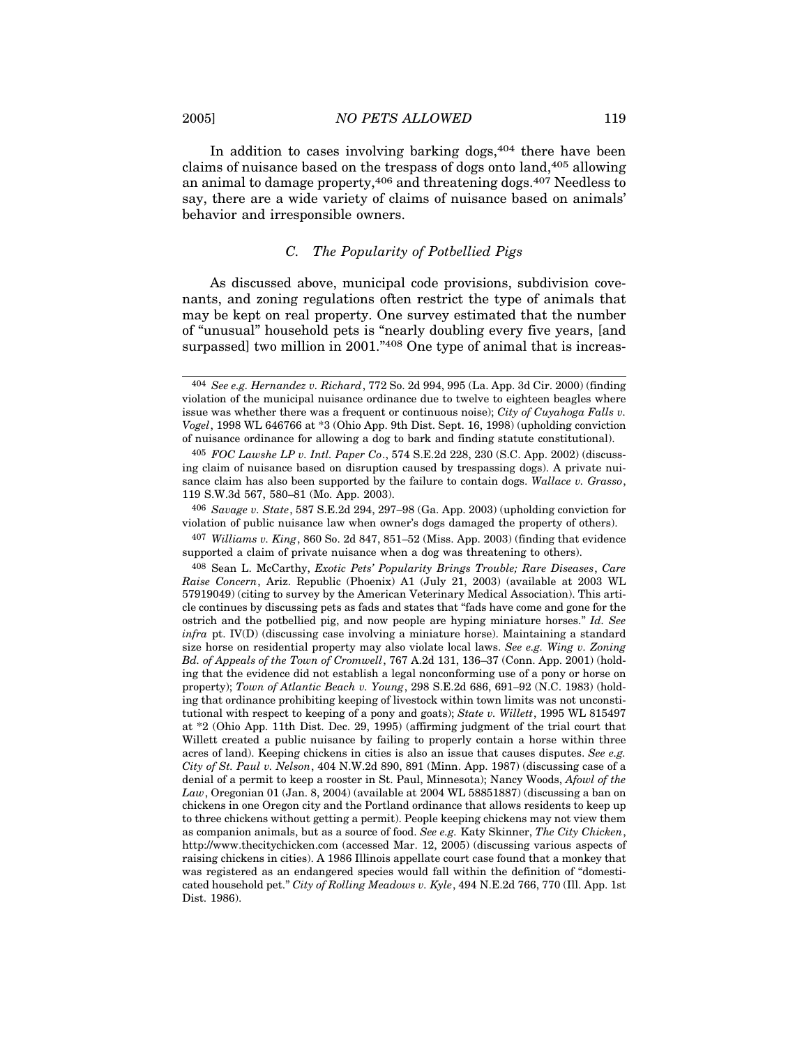In addition to cases involving barking  $\log s$ ,  $404$  there have been claims of nuisance based on the trespass of dogs onto land,405 allowing an animal to damage property,406 and threatening dogs.407 Needless to say, there are a wide variety of claims of nuisance based on animals'

#### *C. The Popularity of Potbellied Pigs*

As discussed above, municipal code provisions, subdivision covenants, and zoning regulations often restrict the type of animals that may be kept on real property. One survey estimated that the number of "unusual" household pets is "nearly doubling every five years, [and surpassed] two million in 2001."<sup>408</sup> One type of animal that is increas-

406 *Savage v. State*, 587 S.E.2d 294, 297–98 (Ga. App. 2003) (upholding conviction for violation of public nuisance law when owner's dogs damaged the property of others).

407 *Williams v. King*, 860 So. 2d 847, 851–52 (Miss. App. 2003) (finding that evidence supported a claim of private nuisance when a dog was threatening to others).

408 Sean L. McCarthy, *Exotic Pets' Popularity Brings Trouble; Rare Diseases*, *Care Raise Concern*, Ariz. Republic (Phoenix) A1 (July 21, 2003) (available at 2003 WL 57919049) (citing to survey by the American Veterinary Medical Association). This article continues by discussing pets as fads and states that "fads have come and gone for the ostrich and the potbellied pig, and now people are hyping miniature horses." *Id. See infra* pt. IV(D) (discussing case involving a miniature horse). Maintaining a standard size horse on residential property may also violate local laws. *See e.g. Wing v. Zoning Bd. of Appeals of the Town of Cromwell*, 767 A.2d 131, 136–37 (Conn. App. 2001) (holding that the evidence did not establish a legal nonconforming use of a pony or horse on property); *Town of Atlantic Beach v. Young*, 298 S.E.2d 686, 691–92 (N.C. 1983) (holding that ordinance prohibiting keeping of livestock within town limits was not unconstitutional with respect to keeping of a pony and goats); *State v. Willett*, 1995 WL 815497 at \*2 (Ohio App. 11th Dist. Dec. 29, 1995) (affirming judgment of the trial court that Willett created a public nuisance by failing to properly contain a horse within three acres of land). Keeping chickens in cities is also an issue that causes disputes. *See e.g. City of St. Paul v. Nelson*, 404 N.W.2d 890, 891 (Minn. App. 1987) (discussing case of a denial of a permit to keep a rooster in St. Paul, Minnesota); Nancy Woods, *Afowl of the Law*, Oregonian 01 (Jan. 8, 2004) (available at 2004 WL 58851887) (discussing a ban on chickens in one Oregon city and the Portland ordinance that allows residents to keep up to three chickens without getting a permit). People keeping chickens may not view them as companion animals, but as a source of food. *See e.g.* Katy Skinner, *The City Chicken*, http://www.thecitychicken.com (accessed Mar. 12, 2005) (discussing various aspects of raising chickens in cities). A 1986 Illinois appellate court case found that a monkey that was registered as an endangered species would fall within the definition of "domesticated household pet." *City of Rolling Meadows v. Kyle*, 494 N.E.2d 766, 770 (Ill. App. 1st Dist. 1986).

behavior and irresponsible owners.

<sup>404</sup> *See e.g. Hernandez v. Richard*, 772 So. 2d 994, 995 (La. App. 3d Cir. 2000) (finding violation of the municipal nuisance ordinance due to twelve to eighteen beagles where issue was whether there was a frequent or continuous noise); *City of Cuyahoga Falls v. Vogel*, 1998 WL 646766 at \*3 (Ohio App. 9th Dist. Sept. 16, 1998) (upholding conviction of nuisance ordinance for allowing a dog to bark and finding statute constitutional).

<sup>405</sup> *FOC Lawshe LP v. Intl. Paper Co*., 574 S.E.2d 228, 230 (S.C. App. 2002) (discussing claim of nuisance based on disruption caused by trespassing dogs). A private nuisance claim has also been supported by the failure to contain dogs. *Wallace v. Grasso*, 119 S.W.3d 567, 580–81 (Mo. App. 2003).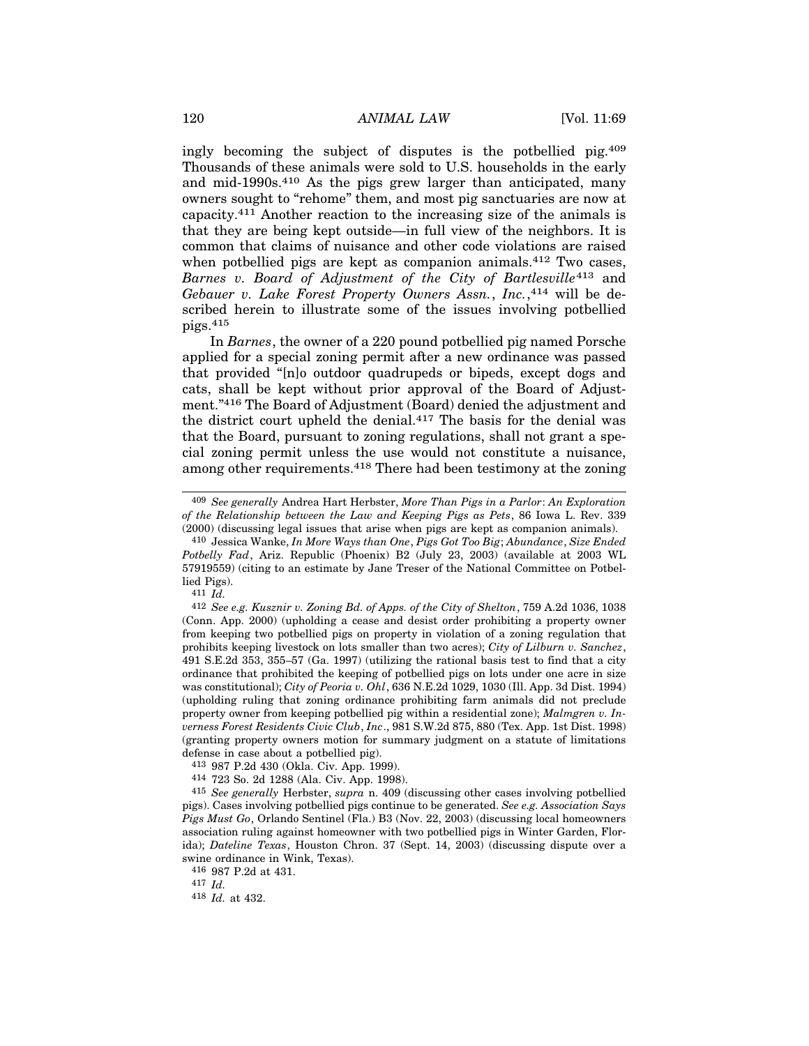ingly becoming the subject of disputes is the potbellied pig.409 Thousands of these animals were sold to U.S. households in the early and mid-1990s.410 As the pigs grew larger than anticipated, many owners sought to "rehome" them, and most pig sanctuaries are now at capacity.411 Another reaction to the increasing size of the animals is that they are being kept outside—in full view of the neighbors. It is common that claims of nuisance and other code violations are raised when potbellied pigs are kept as companion animals.<sup>412</sup> Two cases, *Barnes v. Board of Adjustment of the City of Bartlesville*413 and *Gebauer v. Lake Forest Property Owners Assn.*, *Inc.*, 414 will be described herein to illustrate some of the issues involving potbellied pigs.415

In *Barnes*, the owner of a 220 pound potbellied pig named Porsche applied for a special zoning permit after a new ordinance was passed that provided "[n]o outdoor quadrupeds or bipeds, except dogs and cats, shall be kept without prior approval of the Board of Adjustment."416 The Board of Adjustment (Board) denied the adjustment and the district court upheld the denial.417 The basis for the denial was that the Board, pursuant to zoning regulations, shall not grant a special zoning permit unless the use would not constitute a nuisance, among other requirements.418 There had been testimony at the zoning

411 *Id.*

417 *Id.*

418 *Id.* at 432.

<sup>409</sup> *See generally* Andrea Hart Herbster, *More Than Pigs in a Parlor*: *An Exploration of the Relationship between the Law and Keeping Pigs as Pets*, 86 Iowa L. Rev. 339 (2000) (discussing legal issues that arise when pigs are kept as companion animals).

<sup>410</sup> Jessica Wanke, *In More Ways than One*, *Pigs Got Too Big*; *Abundance*, *Size Ended Potbelly Fad*, Ariz. Republic (Phoenix) B2 (July 23, 2003) (available at 2003 WL 57919559) (citing to an estimate by Jane Treser of the National Committee on Potbellied Pigs).

<sup>412</sup> *See e.g. Kusznir v. Zoning Bd. of Apps. of the City of Shelton*, 759 A.2d 1036, 1038 (Conn. App. 2000) (upholding a cease and desist order prohibiting a property owner from keeping two potbellied pigs on property in violation of a zoning regulation that prohibits keeping livestock on lots smaller than two acres); *City of Lilburn v. Sanchez*, 491 S.E.2d 353, 355–57 (Ga. 1997) (utilizing the rational basis test to find that a city ordinance that prohibited the keeping of potbellied pigs on lots under one acre in size was constitutional); *City of Peoria v. Ohl*, 636 N.E.2d 1029, 1030 (Ill. App. 3d Dist. 1994) (upholding ruling that zoning ordinance prohibiting farm animals did not preclude property owner from keeping potbellied pig within a residential zone); *Malmgren v. Inverness Forest Residents Civic Club*, *Inc*., 981 S.W.2d 875, 880 (Tex. App. 1st Dist. 1998) (granting property owners motion for summary judgment on a statute of limitations defense in case about a potbellied pig).

<sup>413</sup> 987 P.2d 430 (Okla. Civ. App. 1999).

<sup>414</sup> 723 So. 2d 1288 (Ala. Civ. App. 1998).

<sup>415</sup> *See generally* Herbster, *supra* n. 409 (discussing other cases involving potbellied pigs). Cases involving potbellied pigs continue to be generated. *See e.g. Association Says Pigs Must Go*, Orlando Sentinel (Fla.) B3 (Nov. 22, 2003) (discussing local homeowners association ruling against homeowner with two potbellied pigs in Winter Garden, Florida); *Dateline Texas*, Houston Chron. 37 (Sept. 14, 2003) (discussing dispute over a swine ordinance in Wink, Texas).

<sup>416</sup> 987 P.2d at 431.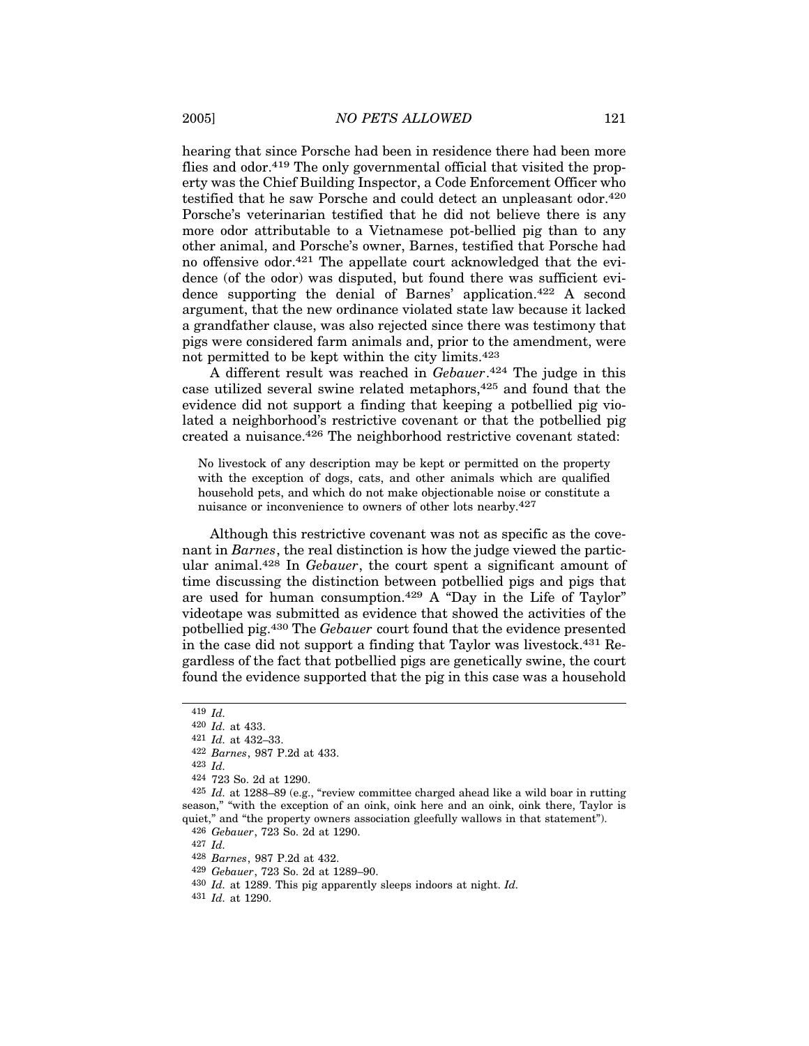hearing that since Porsche had been in residence there had been more flies and odor.<sup>419</sup> The only governmental official that visited the property was the Chief Building Inspector, a Code Enforcement Officer who testified that he saw Porsche and could detect an unpleasant odor.420 Porsche's veterinarian testified that he did not believe there is any more odor attributable to a Vietnamese pot-bellied pig than to any other animal, and Porsche's owner, Barnes, testified that Porsche had no offensive odor.421 The appellate court acknowledged that the evidence (of the odor) was disputed, but found there was sufficient evidence supporting the denial of Barnes' application.422 A second argument, that the new ordinance violated state law because it lacked a grandfather clause, was also rejected since there was testimony that pigs were considered farm animals and, prior to the amendment, were not permitted to be kept within the city limits.423

A different result was reached in *Gebauer*. 424 The judge in this case utilized several swine related metaphors,425 and found that the evidence did not support a finding that keeping a potbellied pig violated a neighborhood's restrictive covenant or that the potbellied pig created a nuisance.426 The neighborhood restrictive covenant stated:

No livestock of any description may be kept or permitted on the property with the exception of dogs, cats, and other animals which are qualified household pets, and which do not make objectionable noise or constitute a nuisance or inconvenience to owners of other lots nearby.427

Although this restrictive covenant was not as specific as the covenant in *Barnes*, the real distinction is how the judge viewed the particular animal.428 In *Gebauer*, the court spent a significant amount of time discussing the distinction between potbellied pigs and pigs that are used for human consumption.429 A "Day in the Life of Taylor" videotape was submitted as evidence that showed the activities of the potbellied pig.430 The *Gebauer* court found that the evidence presented in the case did not support a finding that Taylor was livestock.431 Regardless of the fact that potbellied pigs are genetically swine, the court found the evidence supported that the pig in this case was a household

<sup>419</sup> *Id.*

<sup>420</sup> *Id.* at 433.

<sup>421</sup> *Id.* at 432–33.

<sup>422</sup> *Barnes*, 987 P.2d at 433.

<sup>423</sup> *Id.*

<sup>424</sup> 723 So. 2d at 1290.

<sup>425</sup> *Id.* at 1288–89 (e.g., "review committee charged ahead like a wild boar in rutting season," "with the exception of an oink, oink here and an oink, oink there, Taylor is quiet," and "the property owners association gleefully wallows in that statement").

<sup>426</sup> *Gebauer*, 723 So. 2d at 1290.

<sup>427</sup> *Id.*

<sup>428</sup> *Barnes*, 987 P.2d at 432.

<sup>429</sup> *Gebauer*, 723 So. 2d at 1289–90.

<sup>430</sup> *Id.* at 1289. This pig apparently sleeps indoors at night. *Id.*

<sup>431</sup> *Id.* at 1290.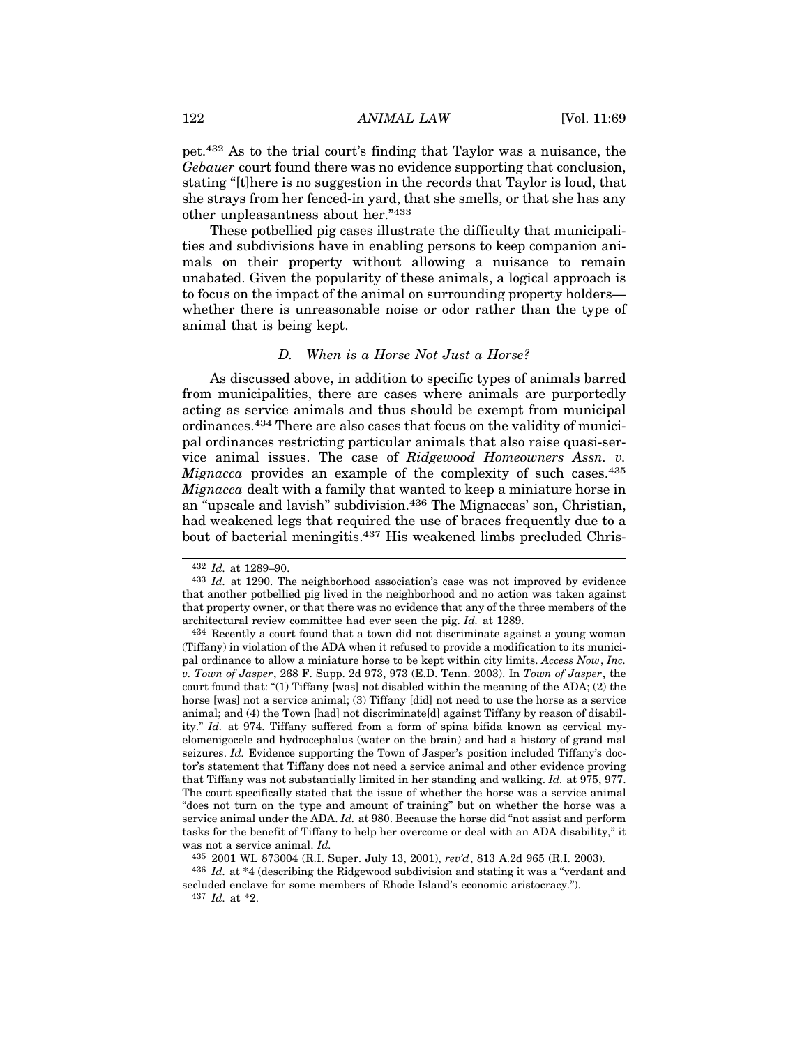pet.432 As to the trial court's finding that Taylor was a nuisance, the *Gebauer* court found there was no evidence supporting that conclusion, stating "[t]here is no suggestion in the records that Taylor is loud, that she strays from her fenced-in yard, that she smells, or that she has any other unpleasantness about her."433

These potbellied pig cases illustrate the difficulty that municipalities and subdivisions have in enabling persons to keep companion animals on their property without allowing a nuisance to remain unabated. Given the popularity of these animals, a logical approach is to focus on the impact of the animal on surrounding property holders whether there is unreasonable noise or odor rather than the type of animal that is being kept.

#### *D. When is a Horse Not Just a Horse?*

As discussed above, in addition to specific types of animals barred from municipalities, there are cases where animals are purportedly acting as service animals and thus should be exempt from municipal ordinances.434 There are also cases that focus on the validity of municipal ordinances restricting particular animals that also raise quasi-service animal issues. The case of *Ridgewood Homeowners Assn. v. Mignacca* provides an example of the complexity of such cases.435 *Mignacca* dealt with a family that wanted to keep a miniature horse in an "upscale and lavish" subdivision.436 The Mignaccas' son, Christian, had weakened legs that required the use of braces frequently due to a bout of bacterial meningitis.437 His weakened limbs precluded Chris-

<sup>432</sup> *Id.* at 1289–90.

<sup>433</sup> *Id.* at 1290. The neighborhood association's case was not improved by evidence that another potbellied pig lived in the neighborhood and no action was taken against that property owner, or that there was no evidence that any of the three members of the architectural review committee had ever seen the pig. *Id.* at 1289.

<sup>434</sup> Recently a court found that a town did not discriminate against a young woman (Tiffany) in violation of the ADA when it refused to provide a modification to its municipal ordinance to allow a miniature horse to be kept within city limits. *Access Now*, *Inc. v. Town of Jasper*, 268 F. Supp. 2d 973, 973 (E.D. Tenn. 2003). In *Town of Jasper*, the court found that: "(1) Tiffany [was] not disabled within the meaning of the ADA; (2) the horse [was] not a service animal; (3) Tiffany [did] not need to use the horse as a service animal; and (4) the Town [had] not discriminate[d] against Tiffany by reason of disability." *Id.* at 974. Tiffany suffered from a form of spina bifida known as cervical myelomenigocele and hydrocephalus (water on the brain) and had a history of grand mal seizures. *Id.* Evidence supporting the Town of Jasper's position included Tiffany's doctor's statement that Tiffany does not need a service animal and other evidence proving that Tiffany was not substantially limited in her standing and walking. *Id.* at 975, 977. The court specifically stated that the issue of whether the horse was a service animal "does not turn on the type and amount of training" but on whether the horse was a service animal under the ADA. *Id.* at 980. Because the horse did "not assist and perform tasks for the benefit of Tiffany to help her overcome or deal with an ADA disability," it was not a service animal. *Id.*

<sup>435</sup> 2001 WL 873004 (R.I. Super. July 13, 2001), *rev'd*, 813 A.2d 965 (R.I. 2003).

<sup>436</sup> *Id.* at \*4 (describing the Ridgewood subdivision and stating it was a "verdant and secluded enclave for some members of Rhode Island's economic aristocracy."). 437 *Id.* at \*2.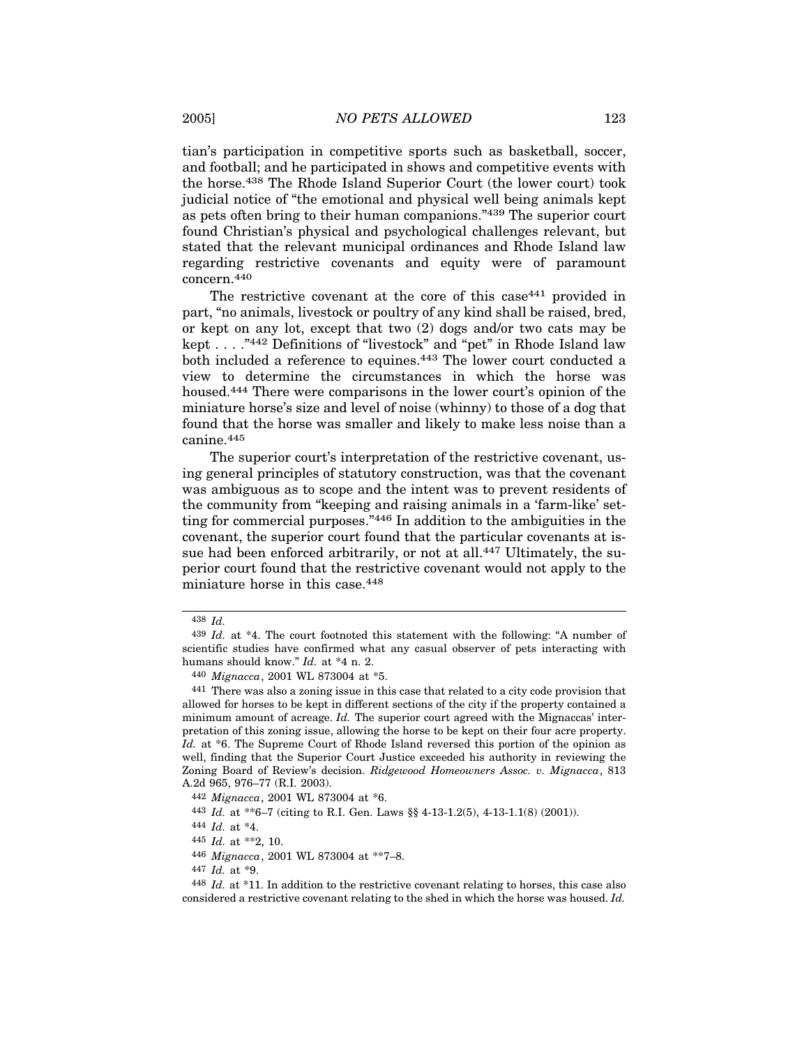tian's participation in competitive sports such as basketball, soccer, and football; and he participated in shows and competitive events with the horse.438 The Rhode Island Superior Court (the lower court) took judicial notice of "the emotional and physical well being animals kept as pets often bring to their human companions."439 The superior court found Christian's physical and psychological challenges relevant, but stated that the relevant municipal ordinances and Rhode Island law regarding restrictive covenants and equity were of paramount concern.440

The restrictive covenant at the core of this case<sup>441</sup> provided in part, "no animals, livestock or poultry of any kind shall be raised, bred, or kept on any lot, except that two (2) dogs and/or two cats may be kept . . . ."442 Definitions of "livestock" and "pet" in Rhode Island law both included a reference to equines.443 The lower court conducted a view to determine the circumstances in which the horse was housed.444 There were comparisons in the lower court's opinion of the miniature horse's size and level of noise (whinny) to those of a dog that found that the horse was smaller and likely to make less noise than a canine.445

The superior court's interpretation of the restrictive covenant, using general principles of statutory construction, was that the covenant was ambiguous as to scope and the intent was to prevent residents of the community from "keeping and raising animals in a 'farm-like' setting for commercial purposes."446 In addition to the ambiguities in the covenant, the superior court found that the particular covenants at issue had been enforced arbitrarily, or not at all.<sup>447</sup> Ultimately, the superior court found that the restrictive covenant would not apply to the miniature horse in this case.448

447 *Id.* at \*9.

<sup>438</sup> *Id.*

<sup>439</sup> *Id.* at \*4. The court footnoted this statement with the following: "A number of scientific studies have confirmed what any casual observer of pets interacting with humans should know." *Id.* at \*4 n. 2.

<sup>440</sup> *Mignacca*, 2001 WL 873004 at \*5.

<sup>441</sup> There was also a zoning issue in this case that related to a city code provision that allowed for horses to be kept in different sections of the city if the property contained a minimum amount of acreage. *Id.* The superior court agreed with the Mignaccas' interpretation of this zoning issue, allowing the horse to be kept on their four acre property. Id. at  $*6$ . The Supreme Court of Rhode Island reversed this portion of the opinion as well, finding that the Superior Court Justice exceeded his authority in reviewing the Zoning Board of Review's decision. *Ridgewood Homeowners Assoc. v. Mignacca*, 813 A.2d 965, 976–77 (R.I. 2003).

<sup>442</sup> *Mignacca*, 2001 WL 873004 at \*6.

<sup>443</sup> *Id.* at \*\*6–7 (citing to R.I. Gen. Laws §§ 4-13-1.2(5), 4-13-1.1(8) (2001)).

<sup>444</sup> *Id.* at \*4.

<sup>445</sup> *Id.* at \*\*2, 10.

<sup>446</sup> *Mignacca*, 2001 WL 873004 at \*\*7–8.

<sup>448</sup> *Id.* at \*11. In addition to the restrictive covenant relating to horses, this case also considered a restrictive covenant relating to the shed in which the horse was housed. *Id.*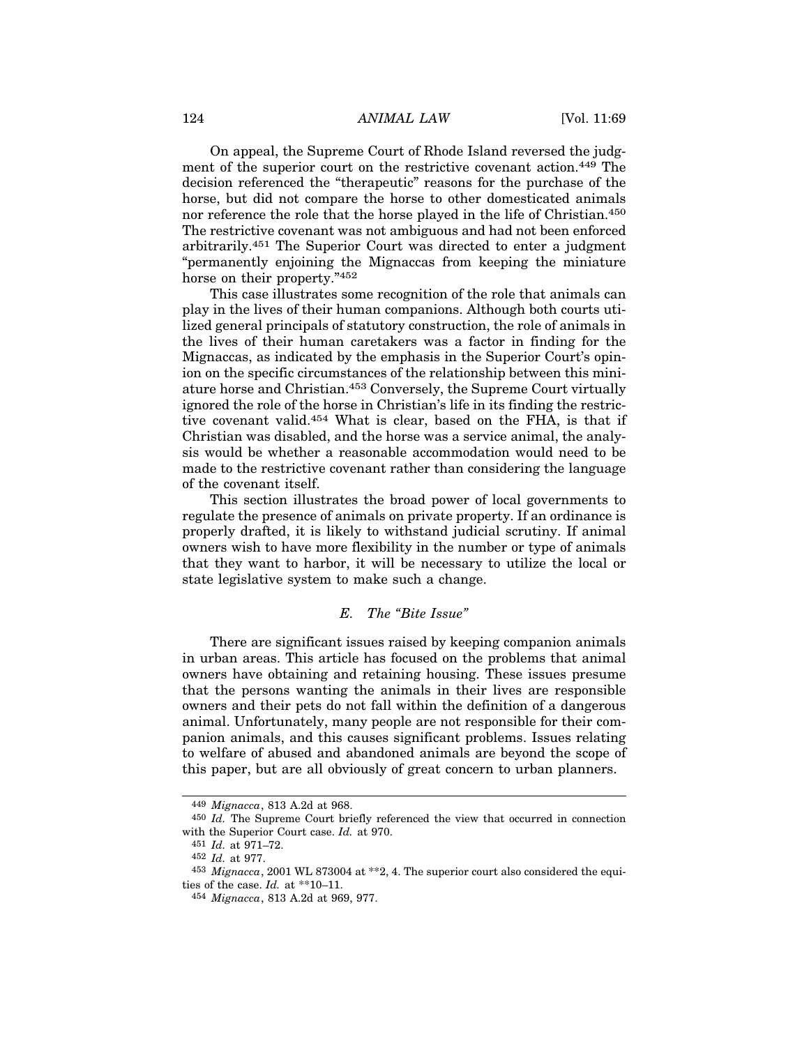On appeal, the Supreme Court of Rhode Island reversed the judgment of the superior court on the restrictive covenant action.449 The decision referenced the "therapeutic" reasons for the purchase of the horse, but did not compare the horse to other domesticated animals nor reference the role that the horse played in the life of Christian.450 The restrictive covenant was not ambiguous and had not been enforced arbitrarily.451 The Superior Court was directed to enter a judgment "permanently enjoining the Mignaccas from keeping the miniature horse on their property."452

This case illustrates some recognition of the role that animals can play in the lives of their human companions. Although both courts utilized general principals of statutory construction, the role of animals in the lives of their human caretakers was a factor in finding for the Mignaccas, as indicated by the emphasis in the Superior Court's opinion on the specific circumstances of the relationship between this miniature horse and Christian.453 Conversely, the Supreme Court virtually ignored the role of the horse in Christian's life in its finding the restrictive covenant valid.454 What is clear, based on the FHA, is that if Christian was disabled, and the horse was a service animal, the analysis would be whether a reasonable accommodation would need to be made to the restrictive covenant rather than considering the language of the covenant itself.

This section illustrates the broad power of local governments to regulate the presence of animals on private property. If an ordinance is properly drafted, it is likely to withstand judicial scrutiny. If animal owners wish to have more flexibility in the number or type of animals that they want to harbor, it will be necessary to utilize the local or state legislative system to make such a change.

## *E. The "Bite Issue"*

There are significant issues raised by keeping companion animals in urban areas. This article has focused on the problems that animal owners have obtaining and retaining housing. These issues presume that the persons wanting the animals in their lives are responsible owners and their pets do not fall within the definition of a dangerous animal. Unfortunately, many people are not responsible for their companion animals, and this causes significant problems. Issues relating to welfare of abused and abandoned animals are beyond the scope of this paper, but are all obviously of great concern to urban planners.

<sup>449</sup> *Mignacca*, 813 A.2d at 968.

<sup>450</sup> *Id.* The Supreme Court briefly referenced the view that occurred in connection with the Superior Court case. *Id.* at 970.

<sup>451</sup> *Id.* at 971–72.

<sup>452</sup> *Id.* at 977.

<sup>453</sup> *Mignacca*, 2001 WL 873004 at \*\*2, 4. The superior court also considered the equities of the case. *Id.* at \*\*10–11.

<sup>454</sup> *Mignacca*, 813 A.2d at 969, 977.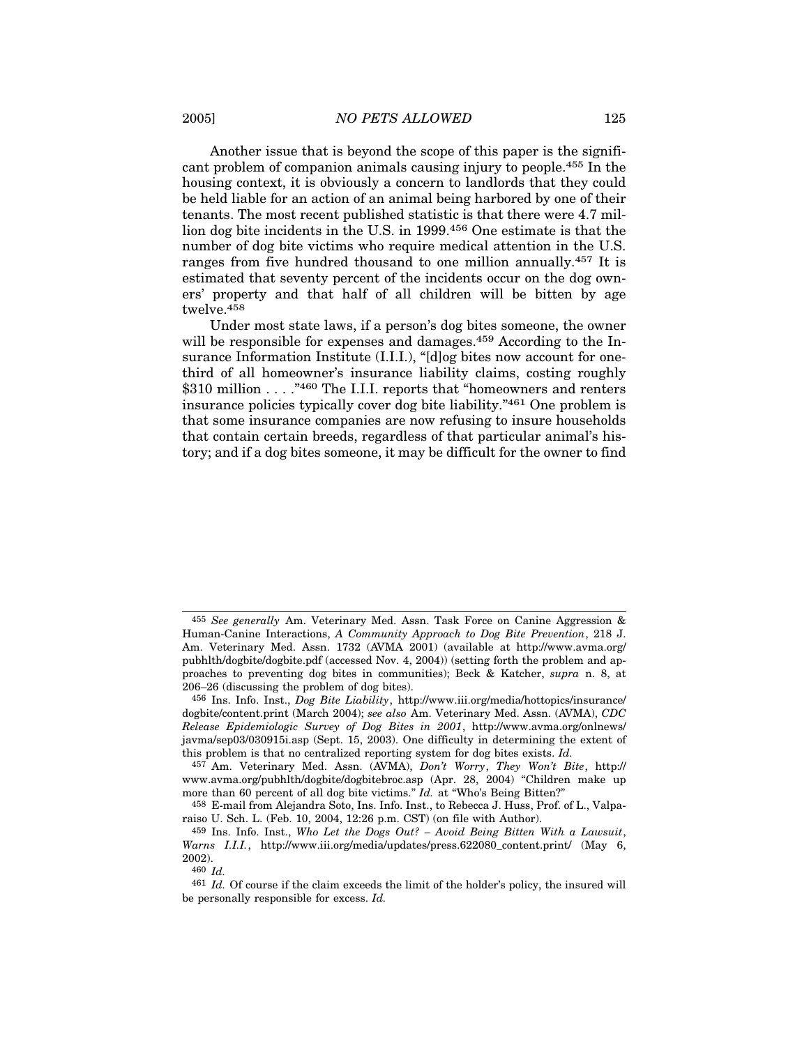Another issue that is beyond the scope of this paper is the significant problem of companion animals causing injury to people.455 In the housing context, it is obviously a concern to landlords that they could be held liable for an action of an animal being harbored by one of their tenants. The most recent published statistic is that there were 4.7 million dog bite incidents in the U.S. in 1999.456 One estimate is that the number of dog bite victims who require medical attention in the U.S. ranges from five hundred thousand to one million annually.457 It is estimated that seventy percent of the incidents occur on the dog owners' property and that half of all children will be bitten by age twelve.458

Under most state laws, if a person's dog bites someone, the owner will be responsible for expenses and damages.<sup>459</sup> According to the Insurance Information Institute (I.I.I.), "[d]og bites now account for onethird of all homeowner's insurance liability claims, costing roughly \$310 million . . . . "460 The I.I.I. reports that "homeowners and renters" insurance policies typically cover dog bite liability."461 One problem is that some insurance companies are now refusing to insure households that contain certain breeds, regardless of that particular animal's history; and if a dog bites someone, it may be difficult for the owner to find

460 *Id.*

<sup>455</sup> *See generally* Am. Veterinary Med. Assn. Task Force on Canine Aggression & Human-Canine Interactions, *A Community Approach to Dog Bite Prevention*, 218 J. Am. Veterinary Med. Assn. 1732 (AVMA 2001) (available at http://www.avma.org/ pubhlth/dogbite/dogbite.pdf (accessed Nov. 4, 2004)) (setting forth the problem and approaches to preventing dog bites in communities); Beck & Katcher, *supra* n. 8, at 206–26 (discussing the problem of dog bites).

<sup>456</sup> Ins. Info. Inst., *Dog Bite Liability*, http://www.iii.org/media/hottopics/insurance/ dogbite/content.print (March 2004); *see also* Am. Veterinary Med. Assn. (AVMA), *CDC Release Epidemiologic Survey of Dog Bites in 2001*, http://www.avma.org/onlnews/ javma/sep03/030915i.asp (Sept. 15, 2003). One difficulty in determining the extent of this problem is that no centralized reporting system for dog bites exists. *Id.*

<sup>457</sup> Am. Veterinary Med. Assn. (AVMA), *Don't Worry*, *They Won't Bite*, http:// www.avma.org/pubhlth/dogbite/dogbitebroc.asp (Apr. 28, 2004) "Children make up more than 60 percent of all dog bite victims." *Id.* at "Who's Being Bitten?"

<sup>458</sup> E-mail from Alejandra Soto, Ins. Info. Inst., to Rebecca J. Huss, Prof. of L., Valparaiso U. Sch. L. (Feb. 10, 2004, 12:26 p.m. CST) (on file with Author).

<sup>459</sup> Ins. Info. Inst., *Who Let the Dogs Out? – Avoid Being Bitten With a Lawsuit*, *Warns I.I.I.*, http://www.iii.org/media/updates/press.622080\_content.print/ (May 6, 2002).

<sup>461</sup> *Id.* Of course if the claim exceeds the limit of the holder's policy, the insured will be personally responsible for excess. *Id.*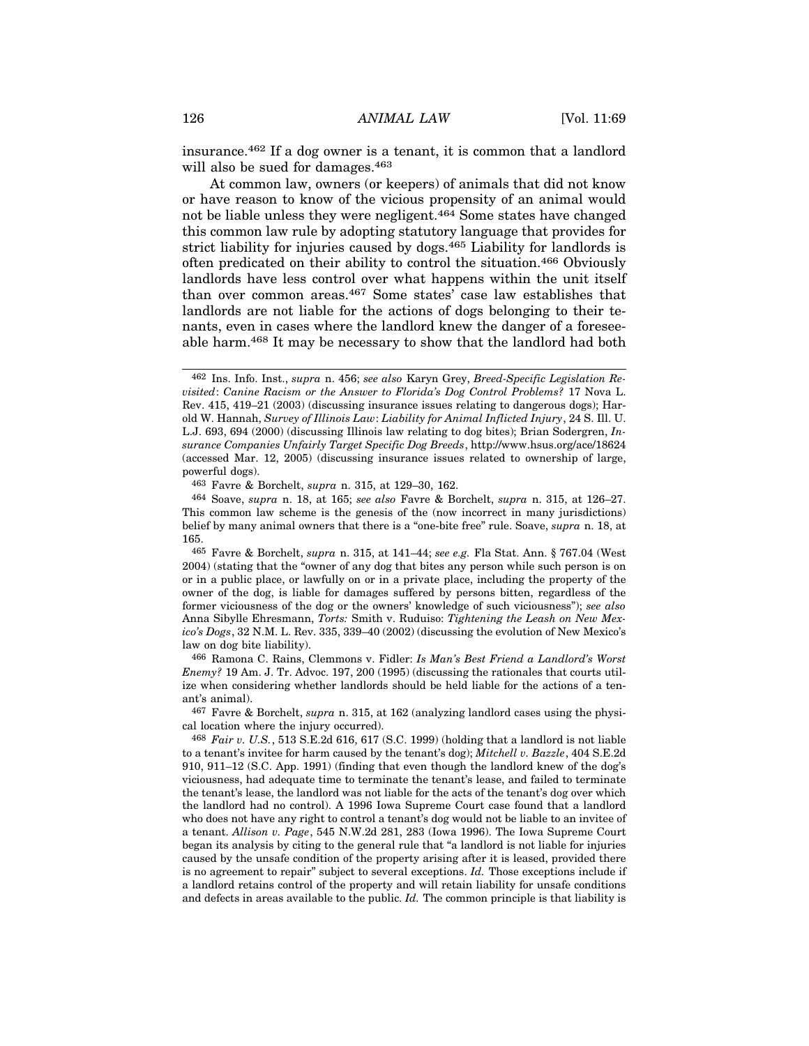insurance.462 If a dog owner is a tenant, it is common that a landlord will also be sued for damages.463

At common law, owners (or keepers) of animals that did not know or have reason to know of the vicious propensity of an animal would not be liable unless they were negligent.464 Some states have changed this common law rule by adopting statutory language that provides for strict liability for injuries caused by dogs.<sup>465</sup> Liability for landlords is often predicated on their ability to control the situation.466 Obviously landlords have less control over what happens within the unit itself than over common areas.467 Some states' case law establishes that landlords are not liable for the actions of dogs belonging to their tenants, even in cases where the landlord knew the danger of a foreseeable harm.468 It may be necessary to show that the landlord had both

466 Ramona C. Rains, Clemmons v. Fidler: *Is Man's Best Friend a Landlord's Worst Enemy?* 19 Am. J. Tr. Advoc. 197, 200 (1995) (discussing the rationales that courts utilize when considering whether landlords should be held liable for the actions of a tenant's animal).

467 Favre & Borchelt, *supra* n. 315, at 162 (analyzing landlord cases using the physical location where the injury occurred).

468 *Fair v. U.S.*, 513 S.E.2d 616, 617 (S.C. 1999) (holding that a landlord is not liable to a tenant's invitee for harm caused by the tenant's dog); *Mitchell v. Bazzle*, 404 S.E.2d 910, 911–12 (S.C. App. 1991) (finding that even though the landlord knew of the dog's viciousness, had adequate time to terminate the tenant's lease, and failed to terminate the tenant's lease, the landlord was not liable for the acts of the tenant's dog over which the landlord had no control). A 1996 Iowa Supreme Court case found that a landlord who does not have any right to control a tenant's dog would not be liable to an invitee of a tenant. *Allison v. Page*, 545 N.W.2d 281, 283 (Iowa 1996). The Iowa Supreme Court began its analysis by citing to the general rule that "a landlord is not liable for injuries caused by the unsafe condition of the property arising after it is leased, provided there is no agreement to repair" subject to several exceptions. *Id.* Those exceptions include if a landlord retains control of the property and will retain liability for unsafe conditions and defects in areas available to the public. *Id.* The common principle is that liability is

<sup>462</sup> Ins. Info. Inst., *supra* n. 456; *see also* Karyn Grey, *Breed-Specific Legislation Revisited*: *Canine Racism or the Answer to Florida's Dog Control Problems?* 17 Nova L. Rev. 415, 419–21 (2003) (discussing insurance issues relating to dangerous dogs); Harold W. Hannah, *Survey of Illinois Law*: *Liability for Animal Inflicted Injury*, 24 S. Ill. U. L.J. 693, 694 (2000) (discussing Illinois law relating to dog bites); Brian Sodergren, *Insurance Companies Unfairly Target Specific Dog Breeds*, http://www.hsus.org/ace/18624 (accessed Mar. 12, 2005) (discussing insurance issues related to ownership of large, powerful dogs).

<sup>463</sup> Favre & Borchelt, *supra* n. 315, at 129–30, 162.

<sup>464</sup> Soave, *supra* n. 18, at 165; *see also* Favre & Borchelt, *supra* n. 315, at 126–27. This common law scheme is the genesis of the (now incorrect in many jurisdictions) belief by many animal owners that there is a "one-bite free" rule. Soave, *supra* n. 18, at 165.

<sup>465</sup> Favre & Borchelt, *supra* n. 315, at 141–44; *see e.g.* Fla Stat. Ann. § 767.04 (West 2004) (stating that the "owner of any dog that bites any person while such person is on or in a public place, or lawfully on or in a private place, including the property of the owner of the dog, is liable for damages suffered by persons bitten, regardless of the former viciousness of the dog or the owners' knowledge of such viciousness"); *see also* Anna Sibylle Ehresmann, *Torts:* Smith v. Ruduiso: *Tightening the Leash on New Mexico's Dogs*, 32 N.M. L. Rev. 335, 339–40 (2002) (discussing the evolution of New Mexico's law on dog bite liability).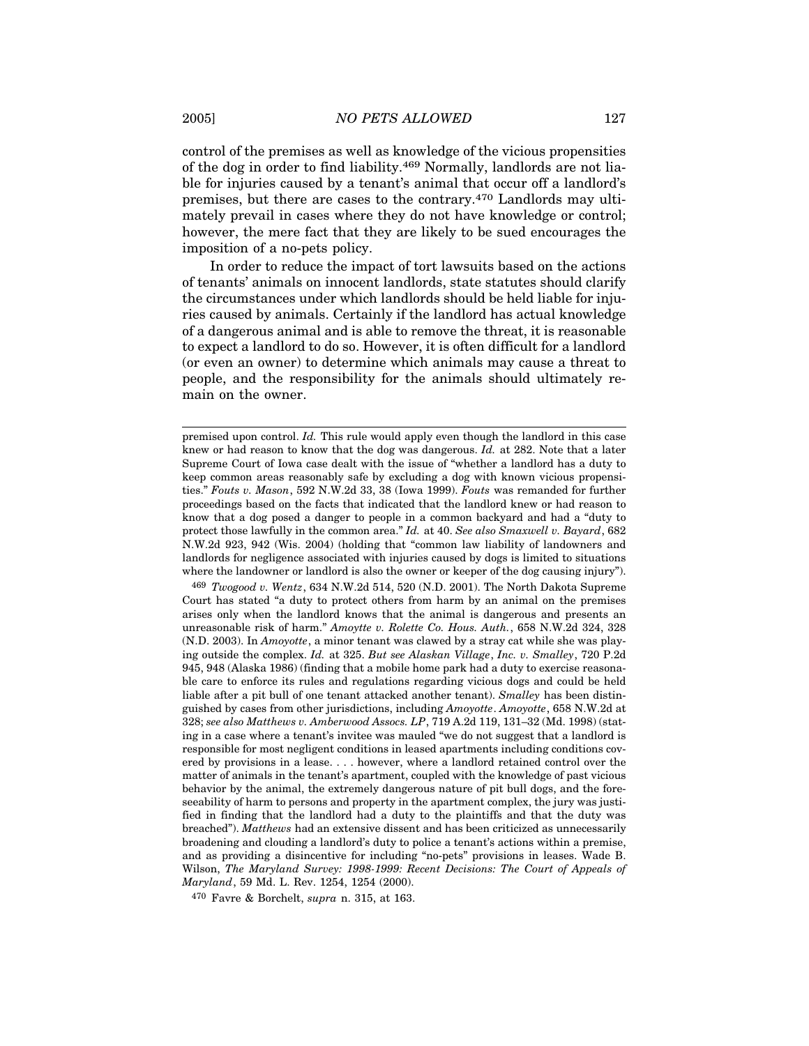control of the premises as well as knowledge of the vicious propensities of the dog in order to find liability.469 Normally, landlords are not liable for injuries caused by a tenant's animal that occur off a landlord's premises, but there are cases to the contrary.470 Landlords may ultimately prevail in cases where they do not have knowledge or control; however, the mere fact that they are likely to be sued encourages the imposition of a no-pets policy.

In order to reduce the impact of tort lawsuits based on the actions of tenants' animals on innocent landlords, state statutes should clarify the circumstances under which landlords should be held liable for injuries caused by animals. Certainly if the landlord has actual knowledge of a dangerous animal and is able to remove the threat, it is reasonable to expect a landlord to do so. However, it is often difficult for a landlord (or even an owner) to determine which animals may cause a threat to people, and the responsibility for the animals should ultimately remain on the owner.

469 *Twogood v. Wentz*, 634 N.W.2d 514, 520 (N.D. 2001). The North Dakota Supreme Court has stated "a duty to protect others from harm by an animal on the premises arises only when the landlord knows that the animal is dangerous and presents an unreasonable risk of harm." *Amoytte v. Rolette Co. Hous. Auth.*, 658 N.W.2d 324, 328 (N.D. 2003). In *Amoyotte*, a minor tenant was clawed by a stray cat while she was playing outside the complex. *Id.* at 325. *But see Alaskan Village*, *Inc. v. Smalley*, 720 P.2d 945, 948 (Alaska 1986) (finding that a mobile home park had a duty to exercise reasonable care to enforce its rules and regulations regarding vicious dogs and could be held liable after a pit bull of one tenant attacked another tenant). *Smalley* has been distinguished by cases from other jurisdictions, including *Amoyotte*. *Amoyotte*, 658 N.W.2d at 328; *see also Matthews v. Amberwood Assocs. LP*, 719 A.2d 119, 131–32 (Md. 1998) (stating in a case where a tenant's invitee was mauled "we do not suggest that a landlord is responsible for most negligent conditions in leased apartments including conditions covered by provisions in a lease. . . . however, where a landlord retained control over the matter of animals in the tenant's apartment, coupled with the knowledge of past vicious behavior by the animal, the extremely dangerous nature of pit bull dogs, and the foreseeability of harm to persons and property in the apartment complex, the jury was justified in finding that the landlord had a duty to the plaintiffs and that the duty was breached"). *Matthews* had an extensive dissent and has been criticized as unnecessarily broadening and clouding a landlord's duty to police a tenant's actions within a premise, and as providing a disincentive for including "no-pets" provisions in leases. Wade B. Wilson, *The Maryland Survey: 1998-1999: Recent Decisions: The Court of Appeals of Maryland*, 59 Md. L. Rev. 1254, 1254 (2000).

470 Favre & Borchelt, *supra* n. 315, at 163.

premised upon control. *Id.* This rule would apply even though the landlord in this case knew or had reason to know that the dog was dangerous. *Id.* at 282. Note that a later Supreme Court of Iowa case dealt with the issue of "whether a landlord has a duty to keep common areas reasonably safe by excluding a dog with known vicious propensities." *Fouts v. Mason*, 592 N.W.2d 33, 38 (Iowa 1999). *Fouts* was remanded for further proceedings based on the facts that indicated that the landlord knew or had reason to know that a dog posed a danger to people in a common backyard and had a "duty to protect those lawfully in the common area." *Id.* at 40. *See also Smaxwell v. Bayard*, 682 N.W.2d 923, 942 (Wis. 2004) (holding that "common law liability of landowners and landlords for negligence associated with injuries caused by dogs is limited to situations where the landowner or landlord is also the owner or keeper of the dog causing injury").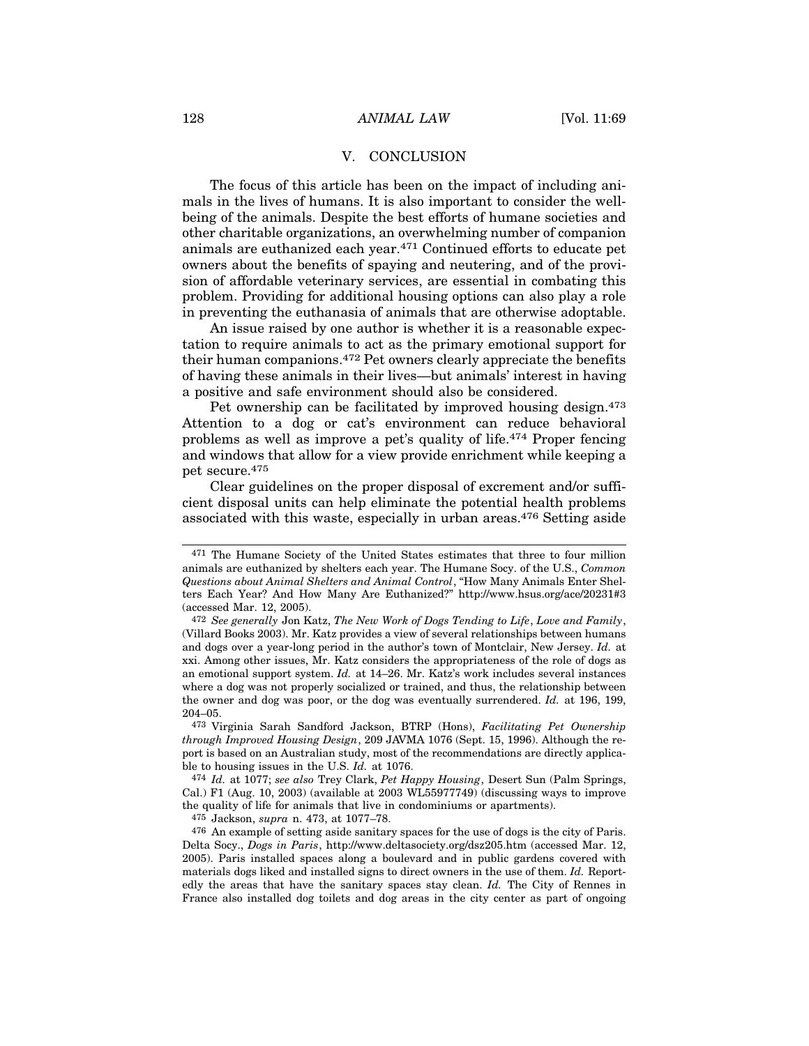#### V. CONCLUSION

The focus of this article has been on the impact of including animals in the lives of humans. It is also important to consider the wellbeing of the animals. Despite the best efforts of humane societies and other charitable organizations, an overwhelming number of companion animals are euthanized each year.471 Continued efforts to educate pet owners about the benefits of spaying and neutering, and of the provision of affordable veterinary services, are essential in combating this problem. Providing for additional housing options can also play a role in preventing the euthanasia of animals that are otherwise adoptable.

An issue raised by one author is whether it is a reasonable expectation to require animals to act as the primary emotional support for their human companions.472 Pet owners clearly appreciate the benefits of having these animals in their lives—but animals' interest in having a positive and safe environment should also be considered.

Pet ownership can be facilitated by improved housing design.<sup>473</sup> Attention to a dog or cat's environment can reduce behavioral problems as well as improve a pet's quality of life.474 Proper fencing and windows that allow for a view provide enrichment while keeping a pet secure.475

Clear guidelines on the proper disposal of excrement and/or sufficient disposal units can help eliminate the potential health problems associated with this waste, especially in urban areas.476 Setting aside

473 Virginia Sarah Sandford Jackson, BTRP (Hons), *Facilitating Pet Ownership through Improved Housing Design*, 209 JAVMA 1076 (Sept. 15, 1996). Although the report is based on an Australian study, most of the recommendations are directly applicable to housing issues in the U.S. *Id.* at 1076.

474 *Id.* at 1077; *see also* Trey Clark, *Pet Happy Housing*, Desert Sun (Palm Springs, Cal.) F1 (Aug. 10, 2003) (available at 2003 WL55977749) (discussing ways to improve the quality of life for animals that live in condominiums or apartments).

475 Jackson, *supra* n. 473, at 1077–78.

476 An example of setting aside sanitary spaces for the use of dogs is the city of Paris. Delta Socy., *Dogs in Paris*, http://www.deltasociety.org/dsz205.htm (accessed Mar. 12, 2005). Paris installed spaces along a boulevard and in public gardens covered with materials dogs liked and installed signs to direct owners in the use of them. *Id.* Reportedly the areas that have the sanitary spaces stay clean. *Id.* The City of Rennes in France also installed dog toilets and dog areas in the city center as part of ongoing

<sup>471</sup> The Humane Society of the United States estimates that three to four million animals are euthanized by shelters each year. The Humane Socy. of the U.S., *Common Questions about Animal Shelters and Animal Control*, "How Many Animals Enter Shelters Each Year? And How Many Are Euthanized?" http://www.hsus.org/ace/20231#3 (accessed Mar. 12, 2005).

<sup>472</sup> *See generally* Jon Katz, *The New Work of Dogs Tending to Life*, *Love and Family*, (Villard Books 2003). Mr. Katz provides a view of several relationships between humans and dogs over a year-long period in the author's town of Montclair, New Jersey. *Id.* at xxi. Among other issues, Mr. Katz considers the appropriateness of the role of dogs as an emotional support system. *Id.* at 14–26. Mr. Katz's work includes several instances where a dog was not properly socialized or trained, and thus, the relationship between the owner and dog was poor, or the dog was eventually surrendered. *Id.* at 196, 199, 204–05.